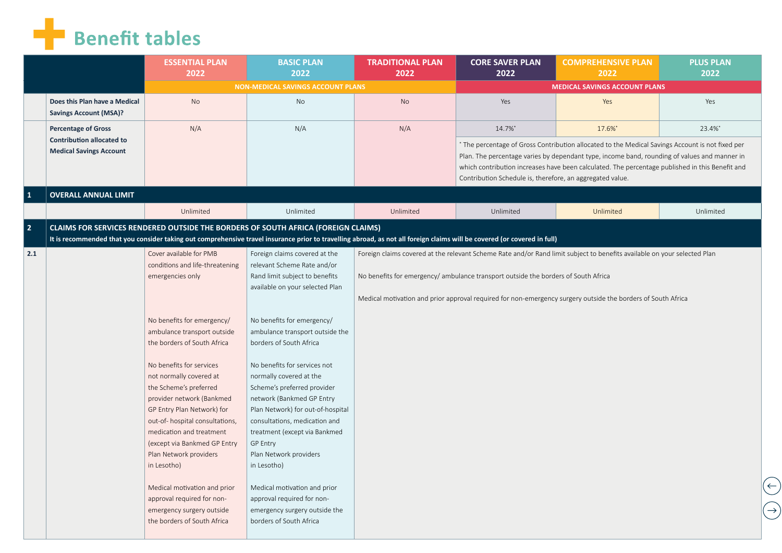## **Benefit tables**

| NON-MEDICAL SAVINGS ACCOUNT PLANS<br><b>MEDICAL SAVINGS ACCOUNT PLANS</b><br>Does this Plan have a Medical<br><b>No</b><br>No<br><b>No</b><br>Yes<br>Yes<br>Yes<br><b>Savings Account (MSA)?</b><br>N/A<br>N/A<br>N/A<br>14.7%*<br>17.6%*<br><b>Percentage of Gross</b><br><b>Contribution allocated to</b><br>* The percentage of Gross Contribution allocated to the Medical Savings Account is not fixed per<br><b>Medical Savings Account</b><br>Plan. The percentage varies by dependant type, income band, rounding of values and manner in<br>which contribution increases have been calculated. The percentage published in this Benefit and<br>Contribution Schedule is, therefore, an aggregated value.<br>$\mathbf{1}$<br><b>OVERALL ANNUAL LIMIT</b><br>Unlimited<br>Unlimited<br>Unlimited<br>Unlimited<br>Unlimited<br>$\overline{2}$<br><b>CLAIMS FOR SERVICES RENDERED OUTSIDE THE BORDERS OF SOUTH AFRICA (FOREIGN CLAIMS)</b><br>It is recommended that you consider taking out comprehensive travel insurance prior to travelling abroad, as not all foreign claims will be covered (or covered in full)<br>Cover available for PMB<br>2.1<br>Foreign claims covered at the<br>Foreign claims covered at the relevant Scheme Rate and/or Rand limit subject to benefits available on your selected Plan<br>conditions and life-threatening<br>relevant Scheme Rate and/or<br>Rand limit subject to benefits<br>No benefits for emergency/ ambulance transport outside the borders of South Africa<br>emergencies only<br>available on your selected Plan<br>Medical motivation and prior approval required for non-emergency surgery outside the borders of South Africa<br>No benefits for emergency/<br>No benefits for emergency/<br>ambulance transport outside<br>ambulance transport outside the<br>the borders of South Africa<br>borders of South Africa<br>No benefits for services<br>No benefits for services not<br>not normally covered at<br>normally covered at the<br>the Scheme's preferred<br>Scheme's preferred provider<br>provider network (Bankmed<br>network (Bankmed GP Entry<br>GP Entry Plan Network) for<br>Plan Network) for out-of-hospital<br>out-of-hospital consultations,<br>consultations, medication and<br>medication and treatment<br>treatment (except via Bankmed<br>(except via Bankmed GP Entry<br><b>GP Entry</b><br>Plan Network providers<br>Plan Network providers<br>in Lesotho)<br>in Lesotho)<br>Medical motivation and prior<br>Medical motivation and prior<br>approval required for non-<br>approval required for non- | <b>ESSENTIAL PLAN</b><br>2022 | <b>BASIC PLAN</b><br>2022     | <b>TRADITIONAL PLAN</b><br>2022 | <b>CORE SAVER PLAN</b><br>2022 | <b>COMPREHENSIVE PLAN</b><br>2022 | <b>PLUS PLAN</b><br>2022 |
|----------------------------------------------------------------------------------------------------------------------------------------------------------------------------------------------------------------------------------------------------------------------------------------------------------------------------------------------------------------------------------------------------------------------------------------------------------------------------------------------------------------------------------------------------------------------------------------------------------------------------------------------------------------------------------------------------------------------------------------------------------------------------------------------------------------------------------------------------------------------------------------------------------------------------------------------------------------------------------------------------------------------------------------------------------------------------------------------------------------------------------------------------------------------------------------------------------------------------------------------------------------------------------------------------------------------------------------------------------------------------------------------------------------------------------------------------------------------------------------------------------------------------------------------------------------------------------------------------------------------------------------------------------------------------------------------------------------------------------------------------------------------------------------------------------------------------------------------------------------------------------------------------------------------------------------------------------------------------------------------------------------------------------------------------------------------------------------------------------------------------------------------------------------------------------------------------------------------------------------------------------------------------------------------------------------------------------------------------------------------------------------------------------------------------------------------------------------------------------------------------------------------------------------------------------------------------------------------|-------------------------------|-------------------------------|---------------------------------|--------------------------------|-----------------------------------|--------------------------|
|                                                                                                                                                                                                                                                                                                                                                                                                                                                                                                                                                                                                                                                                                                                                                                                                                                                                                                                                                                                                                                                                                                                                                                                                                                                                                                                                                                                                                                                                                                                                                                                                                                                                                                                                                                                                                                                                                                                                                                                                                                                                                                                                                                                                                                                                                                                                                                                                                                                                                                                                                                                              |                               |                               |                                 |                                |                                   |                          |
|                                                                                                                                                                                                                                                                                                                                                                                                                                                                                                                                                                                                                                                                                                                                                                                                                                                                                                                                                                                                                                                                                                                                                                                                                                                                                                                                                                                                                                                                                                                                                                                                                                                                                                                                                                                                                                                                                                                                                                                                                                                                                                                                                                                                                                                                                                                                                                                                                                                                                                                                                                                              |                               |                               |                                 |                                |                                   |                          |
|                                                                                                                                                                                                                                                                                                                                                                                                                                                                                                                                                                                                                                                                                                                                                                                                                                                                                                                                                                                                                                                                                                                                                                                                                                                                                                                                                                                                                                                                                                                                                                                                                                                                                                                                                                                                                                                                                                                                                                                                                                                                                                                                                                                                                                                                                                                                                                                                                                                                                                                                                                                              |                               |                               |                                 |                                |                                   | 23.4%*                   |
|                                                                                                                                                                                                                                                                                                                                                                                                                                                                                                                                                                                                                                                                                                                                                                                                                                                                                                                                                                                                                                                                                                                                                                                                                                                                                                                                                                                                                                                                                                                                                                                                                                                                                                                                                                                                                                                                                                                                                                                                                                                                                                                                                                                                                                                                                                                                                                                                                                                                                                                                                                                              |                               |                               |                                 |                                |                                   |                          |
|                                                                                                                                                                                                                                                                                                                                                                                                                                                                                                                                                                                                                                                                                                                                                                                                                                                                                                                                                                                                                                                                                                                                                                                                                                                                                                                                                                                                                                                                                                                                                                                                                                                                                                                                                                                                                                                                                                                                                                                                                                                                                                                                                                                                                                                                                                                                                                                                                                                                                                                                                                                              |                               |                               |                                 |                                |                                   |                          |
|                                                                                                                                                                                                                                                                                                                                                                                                                                                                                                                                                                                                                                                                                                                                                                                                                                                                                                                                                                                                                                                                                                                                                                                                                                                                                                                                                                                                                                                                                                                                                                                                                                                                                                                                                                                                                                                                                                                                                                                                                                                                                                                                                                                                                                                                                                                                                                                                                                                                                                                                                                                              |                               |                               |                                 |                                |                                   | Unlimited                |
|                                                                                                                                                                                                                                                                                                                                                                                                                                                                                                                                                                                                                                                                                                                                                                                                                                                                                                                                                                                                                                                                                                                                                                                                                                                                                                                                                                                                                                                                                                                                                                                                                                                                                                                                                                                                                                                                                                                                                                                                                                                                                                                                                                                                                                                                                                                                                                                                                                                                                                                                                                                              |                               |                               |                                 |                                |                                   |                          |
|                                                                                                                                                                                                                                                                                                                                                                                                                                                                                                                                                                                                                                                                                                                                                                                                                                                                                                                                                                                                                                                                                                                                                                                                                                                                                                                                                                                                                                                                                                                                                                                                                                                                                                                                                                                                                                                                                                                                                                                                                                                                                                                                                                                                                                                                                                                                                                                                                                                                                                                                                                                              |                               |                               |                                 |                                |                                   |                          |
|                                                                                                                                                                                                                                                                                                                                                                                                                                                                                                                                                                                                                                                                                                                                                                                                                                                                                                                                                                                                                                                                                                                                                                                                                                                                                                                                                                                                                                                                                                                                                                                                                                                                                                                                                                                                                                                                                                                                                                                                                                                                                                                                                                                                                                                                                                                                                                                                                                                                                                                                                                                              |                               |                               |                                 |                                |                                   |                          |
|                                                                                                                                                                                                                                                                                                                                                                                                                                                                                                                                                                                                                                                                                                                                                                                                                                                                                                                                                                                                                                                                                                                                                                                                                                                                                                                                                                                                                                                                                                                                                                                                                                                                                                                                                                                                                                                                                                                                                                                                                                                                                                                                                                                                                                                                                                                                                                                                                                                                                                                                                                                              |                               |                               |                                 |                                |                                   |                          |
|                                                                                                                                                                                                                                                                                                                                                                                                                                                                                                                                                                                                                                                                                                                                                                                                                                                                                                                                                                                                                                                                                                                                                                                                                                                                                                                                                                                                                                                                                                                                                                                                                                                                                                                                                                                                                                                                                                                                                                                                                                                                                                                                                                                                                                                                                                                                                                                                                                                                                                                                                                                              |                               |                               |                                 |                                |                                   |                          |
|                                                                                                                                                                                                                                                                                                                                                                                                                                                                                                                                                                                                                                                                                                                                                                                                                                                                                                                                                                                                                                                                                                                                                                                                                                                                                                                                                                                                                                                                                                                                                                                                                                                                                                                                                                                                                                                                                                                                                                                                                                                                                                                                                                                                                                                                                                                                                                                                                                                                                                                                                                                              |                               |                               |                                 |                                |                                   |                          |
|                                                                                                                                                                                                                                                                                                                                                                                                                                                                                                                                                                                                                                                                                                                                                                                                                                                                                                                                                                                                                                                                                                                                                                                                                                                                                                                                                                                                                                                                                                                                                                                                                                                                                                                                                                                                                                                                                                                                                                                                                                                                                                                                                                                                                                                                                                                                                                                                                                                                                                                                                                                              |                               |                               |                                 |                                |                                   |                          |
|                                                                                                                                                                                                                                                                                                                                                                                                                                                                                                                                                                                                                                                                                                                                                                                                                                                                                                                                                                                                                                                                                                                                                                                                                                                                                                                                                                                                                                                                                                                                                                                                                                                                                                                                                                                                                                                                                                                                                                                                                                                                                                                                                                                                                                                                                                                                                                                                                                                                                                                                                                                              |                               |                               |                                 |                                |                                   |                          |
|                                                                                                                                                                                                                                                                                                                                                                                                                                                                                                                                                                                                                                                                                                                                                                                                                                                                                                                                                                                                                                                                                                                                                                                                                                                                                                                                                                                                                                                                                                                                                                                                                                                                                                                                                                                                                                                                                                                                                                                                                                                                                                                                                                                                                                                                                                                                                                                                                                                                                                                                                                                              |                               |                               |                                 |                                |                                   |                          |
|                                                                                                                                                                                                                                                                                                                                                                                                                                                                                                                                                                                                                                                                                                                                                                                                                                                                                                                                                                                                                                                                                                                                                                                                                                                                                                                                                                                                                                                                                                                                                                                                                                                                                                                                                                                                                                                                                                                                                                                                                                                                                                                                                                                                                                                                                                                                                                                                                                                                                                                                                                                              |                               |                               |                                 |                                |                                   |                          |
|                                                                                                                                                                                                                                                                                                                                                                                                                                                                                                                                                                                                                                                                                                                                                                                                                                                                                                                                                                                                                                                                                                                                                                                                                                                                                                                                                                                                                                                                                                                                                                                                                                                                                                                                                                                                                                                                                                                                                                                                                                                                                                                                                                                                                                                                                                                                                                                                                                                                                                                                                                                              |                               |                               |                                 |                                |                                   |                          |
|                                                                                                                                                                                                                                                                                                                                                                                                                                                                                                                                                                                                                                                                                                                                                                                                                                                                                                                                                                                                                                                                                                                                                                                                                                                                                                                                                                                                                                                                                                                                                                                                                                                                                                                                                                                                                                                                                                                                                                                                                                                                                                                                                                                                                                                                                                                                                                                                                                                                                                                                                                                              |                               |                               |                                 |                                |                                   |                          |
|                                                                                                                                                                                                                                                                                                                                                                                                                                                                                                                                                                                                                                                                                                                                                                                                                                                                                                                                                                                                                                                                                                                                                                                                                                                                                                                                                                                                                                                                                                                                                                                                                                                                                                                                                                                                                                                                                                                                                                                                                                                                                                                                                                                                                                                                                                                                                                                                                                                                                                                                                                                              |                               |                               |                                 |                                |                                   |                          |
|                                                                                                                                                                                                                                                                                                                                                                                                                                                                                                                                                                                                                                                                                                                                                                                                                                                                                                                                                                                                                                                                                                                                                                                                                                                                                                                                                                                                                                                                                                                                                                                                                                                                                                                                                                                                                                                                                                                                                                                                                                                                                                                                                                                                                                                                                                                                                                                                                                                                                                                                                                                              |                               |                               |                                 |                                |                                   |                          |
|                                                                                                                                                                                                                                                                                                                                                                                                                                                                                                                                                                                                                                                                                                                                                                                                                                                                                                                                                                                                                                                                                                                                                                                                                                                                                                                                                                                                                                                                                                                                                                                                                                                                                                                                                                                                                                                                                                                                                                                                                                                                                                                                                                                                                                                                                                                                                                                                                                                                                                                                                                                              |                               |                               |                                 |                                |                                   |                          |
|                                                                                                                                                                                                                                                                                                                                                                                                                                                                                                                                                                                                                                                                                                                                                                                                                                                                                                                                                                                                                                                                                                                                                                                                                                                                                                                                                                                                                                                                                                                                                                                                                                                                                                                                                                                                                                                                                                                                                                                                                                                                                                                                                                                                                                                                                                                                                                                                                                                                                                                                                                                              |                               |                               |                                 |                                |                                   |                          |
| emergency surgery outside                                                                                                                                                                                                                                                                                                                                                                                                                                                                                                                                                                                                                                                                                                                                                                                                                                                                                                                                                                                                                                                                                                                                                                                                                                                                                                                                                                                                                                                                                                                                                                                                                                                                                                                                                                                                                                                                                                                                                                                                                                                                                                                                                                                                                                                                                                                                                                                                                                                                                                                                                                    |                               | emergency surgery outside the |                                 |                                |                                   |                          |
| the borders of South Africa<br>borders of South Africa                                                                                                                                                                                                                                                                                                                                                                                                                                                                                                                                                                                                                                                                                                                                                                                                                                                                                                                                                                                                                                                                                                                                                                                                                                                                                                                                                                                                                                                                                                                                                                                                                                                                                                                                                                                                                                                                                                                                                                                                                                                                                                                                                                                                                                                                                                                                                                                                                                                                                                                                       |                               |                               |                                 |                                |                                   |                          |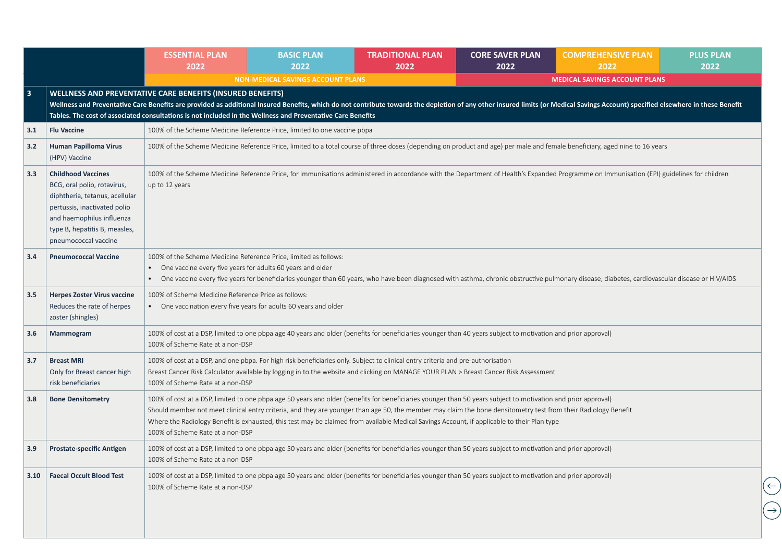|               |                                                                                                                                                                                                                  | <b>ESSENTIAL PLAN</b><br>2022                                                                                                    | <b>BASIC PLAN</b><br>2022                                                                                                                                                                                                                                                                                                                                                                                                                                                      | <b>TRADITIONAL PLAN</b><br>2022 | <b>CORE SAVER PLAN</b><br>2022 | <b>COMPREHENSIVE PLAN</b><br>2022                                                                                                                                                                                              | <b>PLUS PLAN</b><br>2022 |
|---------------|------------------------------------------------------------------------------------------------------------------------------------------------------------------------------------------------------------------|----------------------------------------------------------------------------------------------------------------------------------|--------------------------------------------------------------------------------------------------------------------------------------------------------------------------------------------------------------------------------------------------------------------------------------------------------------------------------------------------------------------------------------------------------------------------------------------------------------------------------|---------------------------------|--------------------------------|--------------------------------------------------------------------------------------------------------------------------------------------------------------------------------------------------------------------------------|--------------------------|
|               |                                                                                                                                                                                                                  |                                                                                                                                  | <b>NON-MEDICAL SAVINGS ACCOUNT PLANS</b>                                                                                                                                                                                                                                                                                                                                                                                                                                       |                                 |                                | <b>MEDICAL SAVINGS ACCOUNT PLANS</b>                                                                                                                                                                                           |                          |
| 3             |                                                                                                                                                                                                                  | WELLNESS AND PREVENTATIVE CARE BENEFITS (INSURED BENEFITS)                                                                       | Tables. The cost of associated consultations is not included in the Wellness and Preventative Care Benefits                                                                                                                                                                                                                                                                                                                                                                    |                                 |                                | Wellness and Preventative Care Benefits are provided as additional Insured Benefits, which do not contribute towards the depletion of any other insured limits (or Medical Savings Account) specified elsewhere in these Benef |                          |
| 3.1           | <b>Flu Vaccine</b>                                                                                                                                                                                               |                                                                                                                                  | 100% of the Scheme Medicine Reference Price, limited to one vaccine pbpa                                                                                                                                                                                                                                                                                                                                                                                                       |                                 |                                |                                                                                                                                                                                                                                |                          |
| 3.2           | <b>Human Papilloma Virus</b><br>(HPV) Vaccine                                                                                                                                                                    |                                                                                                                                  |                                                                                                                                                                                                                                                                                                                                                                                                                                                                                |                                 |                                | 100% of the Scheme Medicine Reference Price, limited to a total course of three doses (depending on product and age) per male and female beneficiary, aged nine to 16 years                                                    |                          |
| 3.3           | <b>Childhood Vaccines</b><br>BCG, oral polio, rotavirus,<br>diphtheria, tetanus, acellular<br>pertussis, inactivated polio<br>and haemophilus influenza<br>type B, hepatitis B, measles,<br>pneumococcal vaccine | up to 12 years                                                                                                                   |                                                                                                                                                                                                                                                                                                                                                                                                                                                                                |                                 |                                | 100% of the Scheme Medicine Reference Price, for immunisations administered in accordance with the Department of Health's Expanded Programme on Immunisation (EPI) guidelines for children                                     |                          |
| 3.4           | <b>Pneumococcal Vaccine</b>                                                                                                                                                                                      | 100% of the Scheme Medicine Reference Price, limited as follows:<br>• One vaccine every five years for adults 60 years and older |                                                                                                                                                                                                                                                                                                                                                                                                                                                                                |                                 |                                | • One vaccine every five years for beneficiaries younger than 60 years, who have been diagnosed with asthma, chronic obstructive pulmonary disease, diabetes, cardiovascular disease or HIV/AIDS                               |                          |
| $3.5^{\circ}$ | <b>Herpes Zoster Virus vaccine</b><br>Reduces the rate of herpes<br>zoster (shingles)                                                                                                                            | 100% of Scheme Medicine Reference Price as follows:<br>• One vaccination every five years for adults 60 years and older          |                                                                                                                                                                                                                                                                                                                                                                                                                                                                                |                                 |                                |                                                                                                                                                                                                                                |                          |
| 3.6           | Mammogram                                                                                                                                                                                                        | 100% of Scheme Rate at a non-DSP                                                                                                 | 100% of cost at a DSP, limited to one pbpa age 40 years and older (benefits for beneficiaries younger than 40 years subject to motivation and prior approval)                                                                                                                                                                                                                                                                                                                  |                                 |                                |                                                                                                                                                                                                                                |                          |
| 3.7           | <b>Breast MRI</b><br>Only for Breast cancer high<br>risk beneficiaries                                                                                                                                           | 100% of Scheme Rate at a non-DSP                                                                                                 | 100% of cost at a DSP, and one pbpa. For high risk beneficiaries only. Subject to clinical entry criteria and pre-authorisation<br>Breast Cancer Risk Calculator available by logging in to the website and clicking on MANAGE YOUR PLAN > Breast Cancer Risk Assessment                                                                                                                                                                                                       |                                 |                                |                                                                                                                                                                                                                                |                          |
| 3.8           | <b>Bone Densitometry</b>                                                                                                                                                                                         | 100% of Scheme Rate at a non-DSP                                                                                                 | 100% of cost at a DSP, limited to one pbpa age 50 years and older (benefits for beneficiaries younger than 50 years subject to motivation and prior approval)<br>Should member not meet clinical entry criteria, and they are younger than age 50, the member may claim the bone densitometry test from their Radiology Benefit<br>Where the Radiology Benefit is exhausted, this test may be claimed from available Medical Savings Account, if applicable to their Plan type |                                 |                                |                                                                                                                                                                                                                                |                          |
| 3.9           | <b>Prostate-specific Antigen</b>                                                                                                                                                                                 | 100% of Scheme Rate at a non-DSP                                                                                                 | 100% of cost at a DSP, limited to one pbpa age 50 years and older (benefits for beneficiaries younger than 50 years subject to motivation and prior approval)                                                                                                                                                                                                                                                                                                                  |                                 |                                |                                                                                                                                                                                                                                |                          |
| 3.10          | <b>Faecal Occult Blood Test</b>                                                                                                                                                                                  | 100% of Scheme Rate at a non-DSP                                                                                                 | 100% of cost at a DSP, limited to one pbpa age 50 years and older (benefits for beneficiaries younger than 50 years subject to motivation and prior approval)                                                                                                                                                                                                                                                                                                                  |                                 |                                |                                                                                                                                                                                                                                |                          |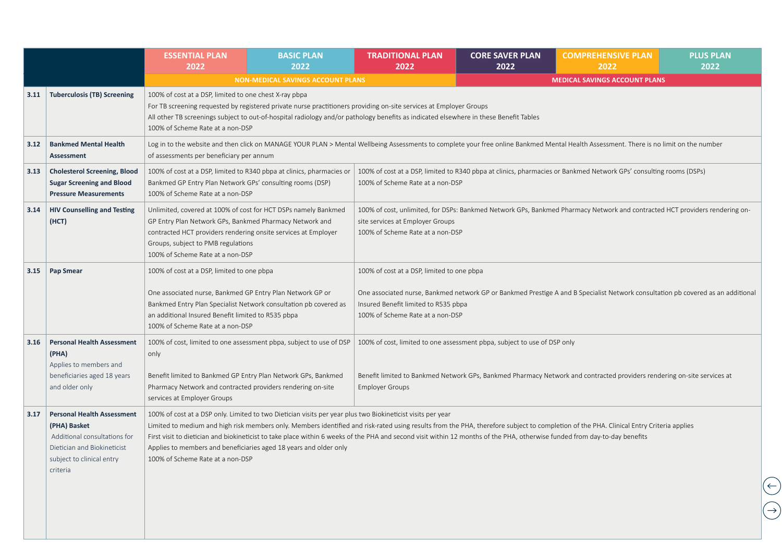|      |                                                                                                                                                           | <b>ESSENTIAL PLAN</b><br>2022                                                                                                                                                                       | <b>BASIC PLAN</b><br>2022                                                                                                                                                                                                                                                                                                                                      | <b>TRADITIONAL PLAN</b><br>2022                                                                                        | <b>CORE SAVER PLAN</b><br>2022 | <b>COMPREHENSIVE PLAN</b><br>2022                                                                                                                                                       | <b>PLUS PLAN</b><br>2022 |
|------|-----------------------------------------------------------------------------------------------------------------------------------------------------------|-----------------------------------------------------------------------------------------------------------------------------------------------------------------------------------------------------|----------------------------------------------------------------------------------------------------------------------------------------------------------------------------------------------------------------------------------------------------------------------------------------------------------------------------------------------------------------|------------------------------------------------------------------------------------------------------------------------|--------------------------------|-----------------------------------------------------------------------------------------------------------------------------------------------------------------------------------------|--------------------------|
|      |                                                                                                                                                           |                                                                                                                                                                                                     | <b>NON-MEDICAL SAVINGS ACCOUNT PLANS</b>                                                                                                                                                                                                                                                                                                                       |                                                                                                                        |                                | <b>MEDICAL SAVINGS ACCOUNT PLANS</b>                                                                                                                                                    |                          |
| 3.11 | <b>Tuberculosis (TB) Screening</b>                                                                                                                        | 100% of cost at a DSP, limited to one chest X-ray pbpa<br>100% of Scheme Rate at a non-DSP                                                                                                          | For TB screening requested by registered private nurse practitioners providing on-site services at Employer Groups<br>All other TB screenings subject to out-of-hospital radiology and/or pathology benefits as indicated elsewhere in these Benefit Tables                                                                                                    |                                                                                                                        |                                |                                                                                                                                                                                         |                          |
| 3.12 | <b>Bankmed Mental Health</b><br>Assessment                                                                                                                | of assessments per beneficiary per annum                                                                                                                                                            |                                                                                                                                                                                                                                                                                                                                                                |                                                                                                                        |                                | Log in to the website and then click on MANAGE YOUR PLAN > Mental Wellbeing Assessments to complete your free online Bankmed Mental Health Assessment. There is no limit on the number  |                          |
| 3.13 | <b>Cholesterol Screening, Blood</b><br><b>Sugar Screening and Blood</b><br><b>Pressure Measurements</b>                                                   | Bankmed GP Entry Plan Network GPs' consulting rooms (DSP)<br>100% of Scheme Rate at a non-DSP                                                                                                       | 100% of cost at a DSP, limited to R340 pbpa at clinics, pharmacies or                                                                                                                                                                                                                                                                                          | 100% of Scheme Rate at a non-DSP                                                                                       |                                | 100% of cost at a DSP, limited to R340 pbpa at clinics, pharmacies or Bankmed Network GPs' consulting rooms (DSPs)                                                                      |                          |
| 3.14 | <b>HIV Counselling and Testing</b><br>(HCT)                                                                                                               | GP Entry Plan Network GPs, Bankmed Pharmacy Network and<br>contracted HCT providers rendering onsite services at Employer<br>Groups, subject to PMB regulations<br>100% of Scheme Rate at a non-DSP | Unlimited, covered at 100% of cost for HCT DSPs namely Bankmed                                                                                                                                                                                                                                                                                                 | site services at Employer Groups<br>100% of Scheme Rate at a non-DSP                                                   |                                | 100% of cost, unlimited, for DSPs: Bankmed Network GPs, Bankmed Pharmacy Network and contracted HCT providers rendering on-                                                             |                          |
| 3.15 | <b>Pap Smear</b>                                                                                                                                          | 100% of cost at a DSP, limited to one pbpa<br>One associated nurse, Bankmed GP Entry Plan Network GP or<br>an additional Insured Benefit limited to R535 pbpa<br>100% of Scheme Rate at a non-DSP   | Bankmed Entry Plan Specialist Network consultation pb covered as                                                                                                                                                                                                                                                                                               | 100% of cost at a DSP, limited to one pbpa<br>Insured Benefit limited to R535 pbpa<br>100% of Scheme Rate at a non-DSP |                                | One associated nurse, Bankmed network GP or Bankmed Prestige A and B Specialist Network consultation pb covered as an additional                                                        |                          |
| 3.16 | <b>Personal Health Assessment</b><br>(PHA)<br>Applies to members and<br>beneficiaries aged 18 years<br>and older only                                     | only<br>Benefit limited to Bankmed GP Entry Plan Network GPs, Bankmed<br>Pharmacy Network and contracted providers rendering on-site<br>services at Employer Groups                                 | 100% of cost, limited to one assessment pbpa, subject to use of DSP                                                                                                                                                                                                                                                                                            | 100% of cost, limited to one assessment pbpa, subject to use of DSP only<br><b>Employer Groups</b>                     |                                | Benefit limited to Bankmed Network GPs, Bankmed Pharmacy Network and contracted providers rendering on-site services at                                                                 |                          |
| 3.17 | <b>Personal Health Assessment</b><br>(PHA) Basket<br>Additional consultations for<br>Dietician and Biokineticist<br>subject to clinical entry<br>criteria | 100% of Scheme Rate at a non-DSP                                                                                                                                                                    | 100% of cost at a DSP only. Limited to two Dietician visits per year plus two Biokineticist visits per year<br>First visit to dietician and biokineticist to take place within 6 weeks of the PHA and second visit within 12 months of the PHA, otherwise funded from day-to-day benefits<br>Applies to members and beneficiaries aged 18 years and older only |                                                                                                                        |                                | Limited to medium and high risk members only. Members identified and risk-rated using results from the PHA, therefore subject to completion of the PHA. Clinical Entry Criteria applies |                          |
|      |                                                                                                                                                           |                                                                                                                                                                                                     |                                                                                                                                                                                                                                                                                                                                                                |                                                                                                                        |                                |                                                                                                                                                                                         |                          |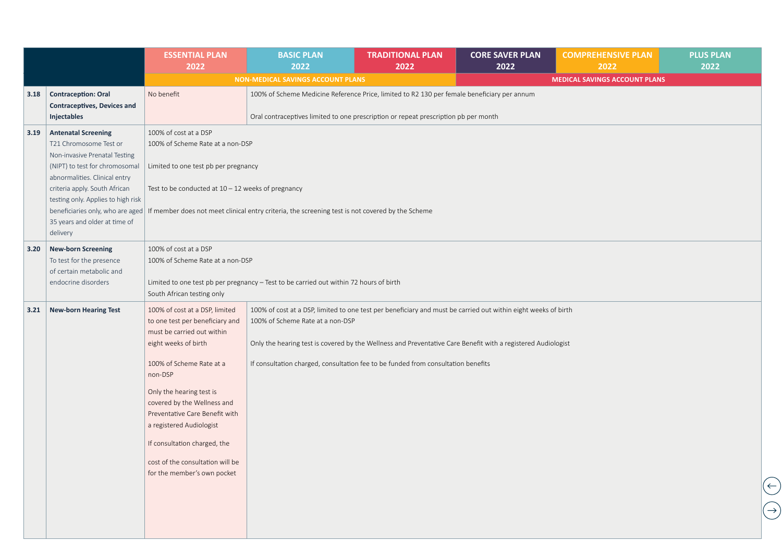|      |                                                                                                                                                                                                                                                                                                                  | <b>ESSENTIAL PLAN</b><br>2022                                                                                                                                                                                                                                                                                                                                                              | <b>BASIC PLAN</b><br>2022                                                                                                                                                                                                                                                                                                                               | <b>TRADITIONAL PLAN</b><br>2022 | <b>CORE SAVER PLAN</b><br>2022 | <b>COMPREHENSIVE PLAN</b><br>2022    | <b>PLUS PLAN</b><br>2022 |
|------|------------------------------------------------------------------------------------------------------------------------------------------------------------------------------------------------------------------------------------------------------------------------------------------------------------------|--------------------------------------------------------------------------------------------------------------------------------------------------------------------------------------------------------------------------------------------------------------------------------------------------------------------------------------------------------------------------------------------|---------------------------------------------------------------------------------------------------------------------------------------------------------------------------------------------------------------------------------------------------------------------------------------------------------------------------------------------------------|---------------------------------|--------------------------------|--------------------------------------|--------------------------|
|      |                                                                                                                                                                                                                                                                                                                  |                                                                                                                                                                                                                                                                                                                                                                                            | <b>NON-MEDICAL SAVINGS ACCOUNT PLANS</b>                                                                                                                                                                                                                                                                                                                |                                 |                                | <b>MEDICAL SAVINGS ACCOUNT PLANS</b> |                          |
| 3.18 | <b>Contraception: Oral</b><br><b>Contraceptives, Devices and</b><br>Injectables                                                                                                                                                                                                                                  | No benefit                                                                                                                                                                                                                                                                                                                                                                                 | 100% of Scheme Medicine Reference Price, limited to R2 130 per female beneficiary per annum<br>Oral contraceptives limited to one prescription or repeat prescription pb per month                                                                                                                                                                      |                                 |                                |                                      |                          |
| 3.19 | <b>Antenatal Screening</b><br>T21 Chromosome Test or<br>Non-invasive Prenatal Testing<br>(NIPT) to test for chromosomal<br>abnormalities. Clinical entry<br>criteria apply. South African<br>testing only. Applies to high risk<br>beneficiaries only, who are aged<br>35 years and older at time of<br>delivery | 100% of cost at a DSP<br>100% of Scheme Rate at a non-DSP<br>Limited to one test pb per pregnancy<br>Test to be conducted at $10 - 12$ weeks of pregnancy                                                                                                                                                                                                                                  | If member does not meet clinical entry criteria, the screening test is not covered by the Scheme                                                                                                                                                                                                                                                        |                                 |                                |                                      |                          |
| 3.20 | <b>New-born Screening</b><br>To test for the presence<br>of certain metabolic and<br>endocrine disorders                                                                                                                                                                                                         | 100% of cost at a DSP<br>100% of Scheme Rate at a non-DSP<br>South African testing only                                                                                                                                                                                                                                                                                                    | Limited to one test pb per pregnancy - Test to be carried out within 72 hours of birth                                                                                                                                                                                                                                                                  |                                 |                                |                                      |                          |
| 3.21 | <b>New-born Hearing Test</b>                                                                                                                                                                                                                                                                                     | 100% of cost at a DSP, limited<br>to one test per beneficiary and<br>must be carried out within<br>eight weeks of birth<br>100% of Scheme Rate at a<br>non-DSP<br>Only the hearing test is<br>covered by the Wellness and<br>Preventative Care Benefit with<br>a registered Audiologist<br>If consultation charged, the<br>cost of the consultation will be<br>for the member's own pocket | 100% of cost at a DSP, limited to one test per beneficiary and must be carried out within eight weeks of birth<br>100% of Scheme Rate at a non-DSP<br>Only the hearing test is covered by the Wellness and Preventative Care Benefit with a registered Audiologist<br>If consultation charged, consultation fee to be funded from consultation benefits |                                 |                                |                                      |                          |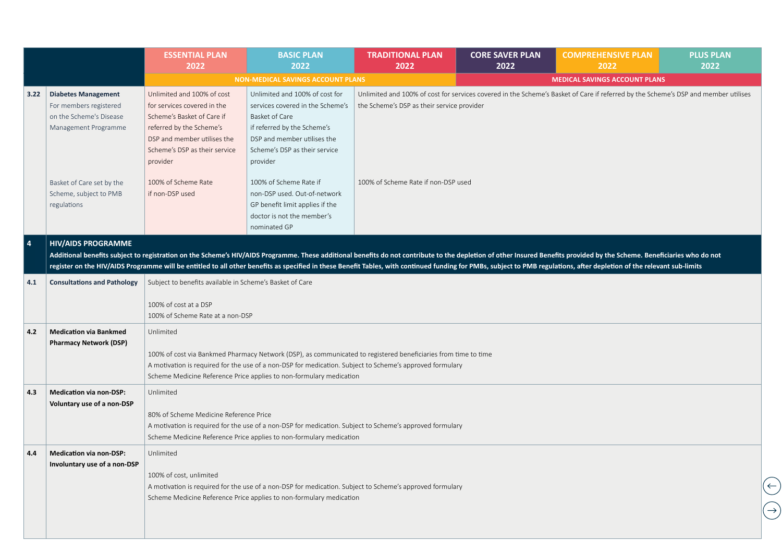|            |                                                                                                         | <b>ESSENTIAL PLAN</b><br>2022                                                                                                                                                                   | <b>BASIC PLAN</b><br>2022                                                                                                                                                                                                                                                                         | <b>TRADITIONAL PLAN</b><br>2022            | <b>CORE SAVER PLAN</b><br>2022 | <b>COMPREHENSIVE PLAN</b><br>2022                                                                                                                                                                                                                                                                                                                                                                                                                  | <b>PLUS PLAN</b><br>2022 |  |  |
|------------|---------------------------------------------------------------------------------------------------------|-------------------------------------------------------------------------------------------------------------------------------------------------------------------------------------------------|---------------------------------------------------------------------------------------------------------------------------------------------------------------------------------------------------------------------------------------------------------------------------------------------------|--------------------------------------------|--------------------------------|----------------------------------------------------------------------------------------------------------------------------------------------------------------------------------------------------------------------------------------------------------------------------------------------------------------------------------------------------------------------------------------------------------------------------------------------------|--------------------------|--|--|
|            |                                                                                                         |                                                                                                                                                                                                 | <b>NON-MEDICAL SAVINGS ACCOUNT PLANS</b>                                                                                                                                                                                                                                                          |                                            |                                | <b>MEDICAL SAVINGS ACCOUNT PLANS</b>                                                                                                                                                                                                                                                                                                                                                                                                               |                          |  |  |
| 3.22       | <b>Diabetes Management</b><br>For members registered<br>on the Scheme's Disease<br>Management Programme | Unlimited and 100% of cost<br>for services covered in the<br>Scheme's Basket of Care if<br>referred by the Scheme's<br>DSP and member utilises the<br>Scheme's DSP as their service<br>provider | Unlimited and 100% of cost for<br>services covered in the Scheme's<br>Basket of Care<br>if referred by the Scheme's<br>DSP and member utilises the<br>Scheme's DSP as their service<br>provider                                                                                                   | the Scheme's DSP as their service provider |                                | Unlimited and 100% of cost for services covered in the Scheme's Basket of Care if referred by the Scheme's DSP and member utilises                                                                                                                                                                                                                                                                                                                 |                          |  |  |
|            | Basket of Care set by the<br>Scheme, subject to PMB<br>regulations                                      | 100% of Scheme Rate<br>if non-DSP used                                                                                                                                                          | 100% of Scheme Rate if<br>non-DSP used. Out-of-network<br>GP benefit limit applies if the<br>doctor is not the member's<br>nominated GP                                                                                                                                                           | 100% of Scheme Rate if non-DSP used        |                                | Additional benefits subject to registration on the Scheme's HIV/AIDS Programme. These additional benefits do not contribute to the depletion of other Insured Benefits provided by the Scheme. Beneficiaries who do not<br>register on the HIV/AIDS Programme will be entitled to all other benefits as specified in these Benefit Tables, with continued funding for PMBs, subject to PMB regulations, after depletion of the relevant sub-limits |                          |  |  |
| $\sqrt{4}$ | <b>HIV/AIDS PROGRAMME</b>                                                                               |                                                                                                                                                                                                 |                                                                                                                                                                                                                                                                                                   |                                            |                                |                                                                                                                                                                                                                                                                                                                                                                                                                                                    |                          |  |  |
| 4.1        | <b>Consultations and Pathology</b>                                                                      | Subject to benefits available in Scheme's Basket of Care                                                                                                                                        |                                                                                                                                                                                                                                                                                                   |                                            |                                |                                                                                                                                                                                                                                                                                                                                                                                                                                                    |                          |  |  |
|            |                                                                                                         | 100% of cost at a DSP<br>100% of Scheme Rate at a non-DSP                                                                                                                                       |                                                                                                                                                                                                                                                                                                   |                                            |                                |                                                                                                                                                                                                                                                                                                                                                                                                                                                    |                          |  |  |
| 4.2        | <b>Medication via Bankmed</b><br><b>Pharmacy Network (DSP)</b>                                          | Unlimited                                                                                                                                                                                       | 100% of cost via Bankmed Pharmacy Network (DSP), as communicated to registered beneficiaries from time to time<br>A motivation is required for the use of a non-DSP for medication. Subject to Scheme's approved formulary<br>Scheme Medicine Reference Price applies to non-formulary medication |                                            |                                |                                                                                                                                                                                                                                                                                                                                                                                                                                                    |                          |  |  |
| 4.3        | <b>Medication via non-DSP:</b><br>Voluntary use of a non-DSP                                            | Unlimited<br>80% of Scheme Medicine Reference Price                                                                                                                                             | A motivation is required for the use of a non-DSP for medication. Subject to Scheme's approved formulary<br>Scheme Medicine Reference Price applies to non-formulary medication                                                                                                                   |                                            |                                |                                                                                                                                                                                                                                                                                                                                                                                                                                                    |                          |  |  |
| 4.4        | <b>Medication via non-DSP:</b><br>Involuntary use of a non-DSP                                          | Unlimited<br>100% of cost, unlimited                                                                                                                                                            | A motivation is required for the use of a non-DSP for medication. Subject to Scheme's approved formulary<br>Scheme Medicine Reference Price applies to non-formulary medication                                                                                                                   |                                            |                                |                                                                                                                                                                                                                                                                                                                                                                                                                                                    |                          |  |  |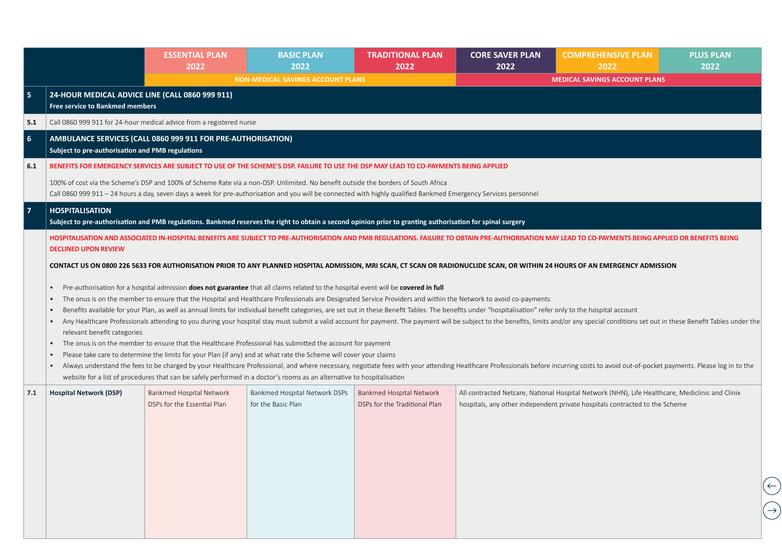|                             | <b>ESSENTIAL PLAN</b><br>2022 | <b>BASIC PLAN</b><br>2022                                                                                                                                                                                       | <b>TRADITIONAL PLAN</b><br>2022                                                                                                                                       | <b>CORE SAVER PLAN</b><br>2022                                                                                                                                                                                                                                                                                                                                                                                                                                                                                                                                                                                                                                                                                  | <b>COMPREHENSIVE PLAN</b><br>2022                                                                                                                                                                                                                                                                                                                                                                                                                                                                                                                                                                                                         | <b>PLUS PLAN</b><br>2022                                                                                                                                                                                                                                                                                                                                                                                                                                                                                                                                                                                                                                                                                                                                                                                                                                                                                                                                                                                                                                                                                                                                                                                                                                                                        |
|-----------------------------|-------------------------------|-----------------------------------------------------------------------------------------------------------------------------------------------------------------------------------------------------------------|-----------------------------------------------------------------------------------------------------------------------------------------------------------------------|-----------------------------------------------------------------------------------------------------------------------------------------------------------------------------------------------------------------------------------------------------------------------------------------------------------------------------------------------------------------------------------------------------------------------------------------------------------------------------------------------------------------------------------------------------------------------------------------------------------------------------------------------------------------------------------------------------------------|-------------------------------------------------------------------------------------------------------------------------------------------------------------------------------------------------------------------------------------------------------------------------------------------------------------------------------------------------------------------------------------------------------------------------------------------------------------------------------------------------------------------------------------------------------------------------------------------------------------------------------------------|-------------------------------------------------------------------------------------------------------------------------------------------------------------------------------------------------------------------------------------------------------------------------------------------------------------------------------------------------------------------------------------------------------------------------------------------------------------------------------------------------------------------------------------------------------------------------------------------------------------------------------------------------------------------------------------------------------------------------------------------------------------------------------------------------------------------------------------------------------------------------------------------------------------------------------------------------------------------------------------------------------------------------------------------------------------------------------------------------------------------------------------------------------------------------------------------------------------------------------------------------------------------------------------------------|
|                             |                               |                                                                                                                                                                                                                 |                                                                                                                                                                       |                                                                                                                                                                                                                                                                                                                                                                                                                                                                                                                                                                                                                                                                                                                 |                                                                                                                                                                                                                                                                                                                                                                                                                                                                                                                                                                                                                                           |                                                                                                                                                                                                                                                                                                                                                                                                                                                                                                                                                                                                                                                                                                                                                                                                                                                                                                                                                                                                                                                                                                                                                                                                                                                                                                 |
|                             |                               |                                                                                                                                                                                                                 |                                                                                                                                                                       |                                                                                                                                                                                                                                                                                                                                                                                                                                                                                                                                                                                                                                                                                                                 |                                                                                                                                                                                                                                                                                                                                                                                                                                                                                                                                                                                                                                           |                                                                                                                                                                                                                                                                                                                                                                                                                                                                                                                                                                                                                                                                                                                                                                                                                                                                                                                                                                                                                                                                                                                                                                                                                                                                                                 |
|                             |                               |                                                                                                                                                                                                                 |                                                                                                                                                                       |                                                                                                                                                                                                                                                                                                                                                                                                                                                                                                                                                                                                                                                                                                                 |                                                                                                                                                                                                                                                                                                                                                                                                                                                                                                                                                                                                                                           |                                                                                                                                                                                                                                                                                                                                                                                                                                                                                                                                                                                                                                                                                                                                                                                                                                                                                                                                                                                                                                                                                                                                                                                                                                                                                                 |
|                             |                               |                                                                                                                                                                                                                 |                                                                                                                                                                       |                                                                                                                                                                                                                                                                                                                                                                                                                                                                                                                                                                                                                                                                                                                 |                                                                                                                                                                                                                                                                                                                                                                                                                                                                                                                                                                                                                                           |                                                                                                                                                                                                                                                                                                                                                                                                                                                                                                                                                                                                                                                                                                                                                                                                                                                                                                                                                                                                                                                                                                                                                                                                                                                                                                 |
|                             |                               |                                                                                                                                                                                                                 |                                                                                                                                                                       |                                                                                                                                                                                                                                                                                                                                                                                                                                                                                                                                                                                                                                                                                                                 |                                                                                                                                                                                                                                                                                                                                                                                                                                                                                                                                                                                                                                           |                                                                                                                                                                                                                                                                                                                                                                                                                                                                                                                                                                                                                                                                                                                                                                                                                                                                                                                                                                                                                                                                                                                                                                                                                                                                                                 |
|                             |                               |                                                                                                                                                                                                                 |                                                                                                                                                                       |                                                                                                                                                                                                                                                                                                                                                                                                                                                                                                                                                                                                                                                                                                                 |                                                                                                                                                                                                                                                                                                                                                                                                                                                                                                                                                                                                                                           |                                                                                                                                                                                                                                                                                                                                                                                                                                                                                                                                                                                                                                                                                                                                                                                                                                                                                                                                                                                                                                                                                                                                                                                                                                                                                                 |
| <b>HOSPITALISATION</b>      |                               |                                                                                                                                                                                                                 |                                                                                                                                                                       |                                                                                                                                                                                                                                                                                                                                                                                                                                                                                                                                                                                                                                                                                                                 |                                                                                                                                                                                                                                                                                                                                                                                                                                                                                                                                                                                                                                           |                                                                                                                                                                                                                                                                                                                                                                                                                                                                                                                                                                                                                                                                                                                                                                                                                                                                                                                                                                                                                                                                                                                                                                                                                                                                                                 |
| <b>DECLINED UPON REVIEW</b> |                               |                                                                                                                                                                                                                 |                                                                                                                                                                       |                                                                                                                                                                                                                                                                                                                                                                                                                                                                                                                                                                                                                                                                                                                 |                                                                                                                                                                                                                                                                                                                                                                                                                                                                                                                                                                                                                                           |                                                                                                                                                                                                                                                                                                                                                                                                                                                                                                                                                                                                                                                                                                                                                                                                                                                                                                                                                                                                                                                                                                                                                                                                                                                                                                 |
|                             |                               |                                                                                                                                                                                                                 |                                                                                                                                                                       |                                                                                                                                                                                                                                                                                                                                                                                                                                                                                                                                                                                                                                                                                                                 |                                                                                                                                                                                                                                                                                                                                                                                                                                                                                                                                                                                                                                           |                                                                                                                                                                                                                                                                                                                                                                                                                                                                                                                                                                                                                                                                                                                                                                                                                                                                                                                                                                                                                                                                                                                                                                                                                                                                                                 |
| $\bullet$                   |                               |                                                                                                                                                                                                                 |                                                                                                                                                                       |                                                                                                                                                                                                                                                                                                                                                                                                                                                                                                                                                                                                                                                                                                                 |                                                                                                                                                                                                                                                                                                                                                                                                                                                                                                                                                                                                                                           |                                                                                                                                                                                                                                                                                                                                                                                                                                                                                                                                                                                                                                                                                                                                                                                                                                                                                                                                                                                                                                                                                                                                                                                                                                                                                                 |
|                             |                               |                                                                                                                                                                                                                 |                                                                                                                                                                       |                                                                                                                                                                                                                                                                                                                                                                                                                                                                                                                                                                                                                                                                                                                 |                                                                                                                                                                                                                                                                                                                                                                                                                                                                                                                                                                                                                                           |                                                                                                                                                                                                                                                                                                                                                                                                                                                                                                                                                                                                                                                                                                                                                                                                                                                                                                                                                                                                                                                                                                                                                                                                                                                                                                 |
|                             | DSPs for the Essential Plan   | for the Basic Plan                                                                                                                                                                                              | DSPs for the Traditional Plan                                                                                                                                         |                                                                                                                                                                                                                                                                                                                                                                                                                                                                                                                                                                                                                                                                                                                 |                                                                                                                                                                                                                                                                                                                                                                                                                                                                                                                                                                                                                                           |                                                                                                                                                                                                                                                                                                                                                                                                                                                                                                                                                                                                                                                                                                                                                                                                                                                                                                                                                                                                                                                                                                                                                                                                                                                                                                 |
|                             |                               |                                                                                                                                                                                                                 |                                                                                                                                                                       |                                                                                                                                                                                                                                                                                                                                                                                                                                                                                                                                                                                                                                                                                                                 |                                                                                                                                                                                                                                                                                                                                                                                                                                                                                                                                                                                                                                           |                                                                                                                                                                                                                                                                                                                                                                                                                                                                                                                                                                                                                                                                                                                                                                                                                                                                                                                                                                                                                                                                                                                                                                                                                                                                                                 |
|                             | <b>Hospital Network (DSP)</b> | 24-HOUR MEDICAL ADVICE LINE (CALL 0860 999 911)<br><b>Free service to Bankmed members</b><br>Subject to pre-authorisation and PMB regulations<br>relevant benefit categories<br><b>Bankmed Hospital Network</b> | Call 0860 999 911 for 24-hour medical advice from a registered nurse<br>AMBULANCE SERVICES (CALL 0860 999 911 FOR PRE-AUTHORISATION)<br>Bankmed Hospital Network DSPs | <b>NON-MEDICAL SAVINGS ACCOUNT PLANS</b><br>100% of cost via the Scheme's DSP and 100% of Scheme Rate via a non-DSP. Unlimited. No benefit outside the borders of South Africa<br>Pre-authorisation for a hospital admission does not guarantee that all claims related to the hospital event will be covered in full<br>The onus is on the member to ensure that the Healthcare Professional has submitted the account for payment<br>Please take care to determine the limits for your Plan (if any) and at what rate the Scheme will cover your claims<br>website for a list of procedures that can be safely performed in a doctor's rooms as an alternative to hospitalisation<br>Bankmed Hospital Network | BENEFITS FOR EMERGENCY SERVICES ARE SUBJECT TO USE OF THE SCHEME'S DSP. FAILURE TO USE THE DSP MAY LEAD TO CO-PAYMENTS BEING APPLIED<br>Call 0860 999 911 - 24 hours a day, seven days a week for pre-authorisation and you will be connected with highly qualified Bankmed Emergency Services personnel<br>Subject to pre-authorisation and PMB regulations. Bankmed reserves the right to obtain a second opinion prior to granting authorisation for spinal surgery<br>The onus is on the member to ensure that the Hospital and Healthcare Professionals are Designated Service Providers and within the Network to avoid co-payments | <b>MEDICAL SAVINGS ACCOUNT PLANS</b><br>HOSPITALISATION AND ASSOCIATED IN-HOSPITAL BENEFITS ARE SUBJECT TO PRE-AUTHORISATION AND PMB REGULATIONS. FAILURE TO OBTAIN PRE-AUTHORISATION MAY LEAD TO CO-PAYMENTS BEING APPLIED OR BENEFITS BEING<br>CONTACT US ON 0800 226 5633 FOR AUTHORISATION PRIOR TO ANY PLANNED HOSPITAL ADMISSION, MRI SCAN, CT SCAN OR RADIONUCLIDE SCAN, OR WITHIN 24 HOURS OF AN EMERGENCY ADMISSION<br>Benefits available for your Plan, as well as annual limits for individual benefit categories, are set out in these Benefit Tables. The benefits under "hospitalisation" refer only to the hospital account<br>Any Healthcare Professionals attending to you during your hospital stay must submit a valid account for payment. The payment will be subject to the benefits, limits and/or any special conditions set out in these Benefit Ta<br>Always understand the fees to be charged by your Healthcare Professional, and where necessary, negotiate fees with your attending Healthcare Professionals before incurring costs to avoid out-of-pocket payments. Please log<br>All contracted Netcare, National Hospital Network (NHN), Life Healthcare, Mediclinic and Clinix<br>hospitals, any other independent private hospitals contracted to the Scheme |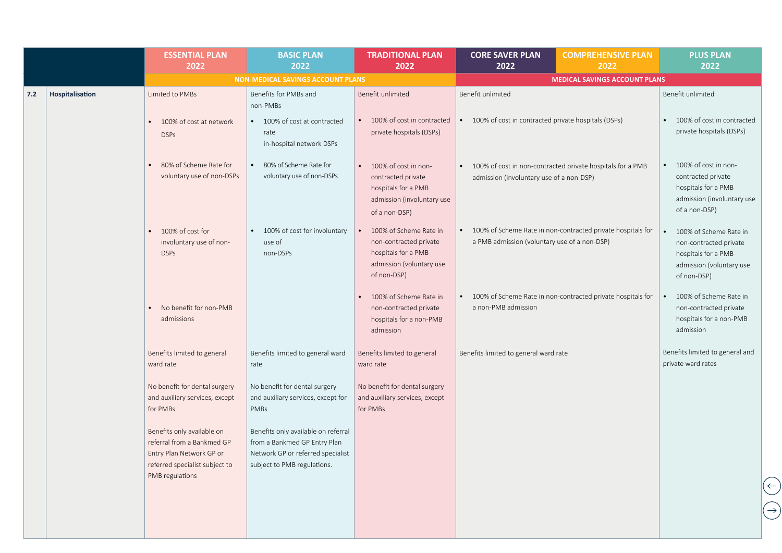|                        | <b>ESSENTIAL PLAN</b><br>2022                                                                                          | <b>BASIC PLAN</b><br>2022                                                                                                               | <b>TRADITIONAL PLAN</b><br>2022                                                                                    | <b>CORE SAVER PLAN</b><br>2022                        | <b>COMPREHENSIVE PLAN</b><br>2022                           | <b>PLUS PLAN</b><br>2022                                                                                                        |
|------------------------|------------------------------------------------------------------------------------------------------------------------|-----------------------------------------------------------------------------------------------------------------------------------------|--------------------------------------------------------------------------------------------------------------------|-------------------------------------------------------|-------------------------------------------------------------|---------------------------------------------------------------------------------------------------------------------------------|
|                        |                                                                                                                        | NON-MEDICAL SAVINGS ACCOUNT PLANS                                                                                                       |                                                                                                                    |                                                       | <b>MEDICAL SAVINGS ACCOUNT PLANS</b>                        |                                                                                                                                 |
| Hospitalisation<br>7.2 | Limited to PMBs                                                                                                        | Benefits for PMBs and<br>non-PMBs                                                                                                       | Benefit unlimited                                                                                                  | Benefit unlimited                                     |                                                             | Benefit unlimited                                                                                                               |
|                        | 100% of cost at network<br><b>DSPs</b>                                                                                 | • 100% of cost at contracted<br>rate<br>in-hospital network DSPs                                                                        | 100% of cost in contracted<br>private hospitals (DSPs)                                                             | 100% of cost in contracted private hospitals (DSPs)   |                                                             | 100% of cost in contracted<br>private hospitals (DSPs)                                                                          |
|                        | 80% of Scheme Rate for<br>voluntary use of non-DSPs                                                                    | 80% of Scheme Rate for<br>voluntary use of non-DSPs                                                                                     | • 100% of cost in non-<br>contracted private<br>hospitals for a PMB<br>admission (involuntary use<br>of a non-DSP) | $\bullet$<br>admission (involuntary use of a non-DSP) | 100% of cost in non-contracted private hospitals for a PMB  | 100% of cost in non-<br>$\bullet$<br>contracted private<br>hospitals for a PMB<br>admission (involuntary use<br>of a non-DSP)   |
|                        | 100% of cost for<br>involuntary use of non-<br><b>DSPs</b>                                                             | 100% of cost for involuntary<br>use of<br>non-DSPs                                                                                      | 100% of Scheme Rate in<br>non-contracted private<br>hospitals for a PMB<br>admission (voluntary use<br>of non-DSP) | a PMB admission (voluntary use of a non-DSP)          | 100% of Scheme Rate in non-contracted private hospitals for | 100% of Scheme Rate in<br>$\bullet$<br>non-contracted private<br>hospitals for a PMB<br>admission (voluntary use<br>of non-DSP) |
|                        | No benefit for non-PMB<br>admissions                                                                                   |                                                                                                                                         | 100% of Scheme Rate in<br>non-contracted private<br>hospitals for a non-PMB<br>admission                           | $\bullet$<br>a non-PMB admission                      | 100% of Scheme Rate in non-contracted private hospitals for | 100% of Scheme Rate in<br>non-contracted private<br>hospitals for a non-PMB<br>admission                                        |
|                        | Benefits limited to general<br>ward rate                                                                               | Benefits limited to general ward<br>rate                                                                                                | Benefits limited to general<br>ward rate                                                                           | Benefits limited to general ward rate                 |                                                             | Benefits limited to general and<br>private ward rates                                                                           |
|                        | No benefit for dental surgery<br>and auxiliary services, except<br>for PMBs                                            | No benefit for dental surgery<br>and auxiliary services, except for<br>PMBs                                                             | No benefit for dental surgery<br>and auxiliary services, except<br>for PMBs                                        |                                                       |                                                             |                                                                                                                                 |
|                        | Benefits only available on<br>referral from a Bankmed GP<br>Entry Plan Network GP or<br>referred specialist subject to | Benefits only available on referral<br>from a Bankmed GP Entry Plan<br>Network GP or referred specialist<br>subject to PMB regulations. |                                                                                                                    |                                                       |                                                             |                                                                                                                                 |
|                        | PMB regulations                                                                                                        |                                                                                                                                         |                                                                                                                    |                                                       |                                                             |                                                                                                                                 |
|                        |                                                                                                                        |                                                                                                                                         |                                                                                                                    |                                                       |                                                             |                                                                                                                                 |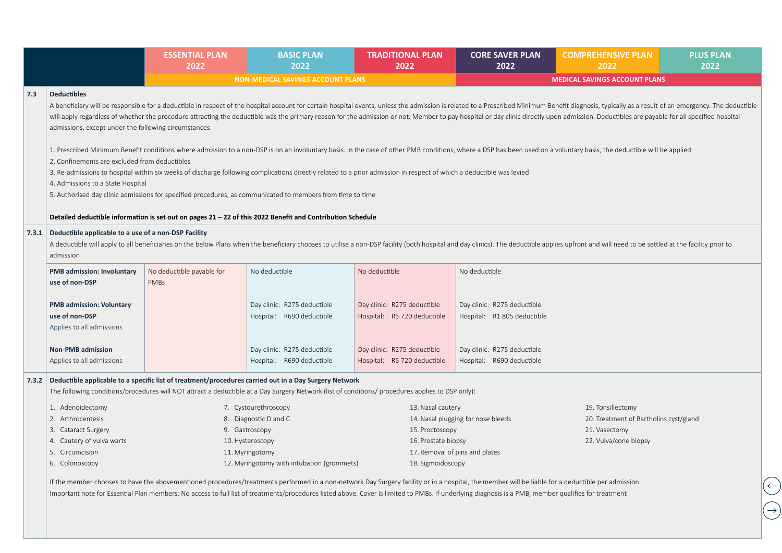|     |                                                                                                                                                                   | <b>ESSENTIAL PLAN</b><br>2022            | <b>BASIC PLAN</b><br>2022                                                                                                                                                                                                                                                                                                                                                                                | <b>TRADITIONAL PLAN</b><br>2022                            | <b>CORE SAVER PLAN</b><br>2022                             | <b>COMPREHENSIVE PLAN</b><br>2022                                                                                                                                                                                                                                                                                                                                                                                                                                                                                                                                                                                                                                                         | <b>PLUS PLAN</b><br>2022 |
|-----|-------------------------------------------------------------------------------------------------------------------------------------------------------------------|------------------------------------------|----------------------------------------------------------------------------------------------------------------------------------------------------------------------------------------------------------------------------------------------------------------------------------------------------------------------------------------------------------------------------------------------------------|------------------------------------------------------------|------------------------------------------------------------|-------------------------------------------------------------------------------------------------------------------------------------------------------------------------------------------------------------------------------------------------------------------------------------------------------------------------------------------------------------------------------------------------------------------------------------------------------------------------------------------------------------------------------------------------------------------------------------------------------------------------------------------------------------------------------------------|--------------------------|
|     |                                                                                                                                                                   |                                          | <b>NON-MEDICAL SAVINGS ACCOUNT PLANS</b>                                                                                                                                                                                                                                                                                                                                                                 |                                                            |                                                            | <b>MEDICAL SAVINGS ACCOUNT PLANS</b>                                                                                                                                                                                                                                                                                                                                                                                                                                                                                                                                                                                                                                                      |                          |
| 7.3 | <b>Deductibles</b><br>admissions, except under the following circumstances:<br>2. Confinements are excluded from deductibles<br>4. Admissions to a State Hospital |                                          | 3. Re-admissions to hospital within six weeks of discharge following complications directly related to a prior admission in respect of which a deductible was levied<br>5. Authorised day clinic admissions for specified procedures, as communicated to members from time to time                                                                                                                       |                                                            |                                                            | A beneficiary will be responsible for a deductible in respect of the hospital account for certain hospital events, unless the admission is related to a Prescribed Minimum Benefit diagnosis, typically as a result of an emer<br>will apply regardless of whether the procedure attracting the deductible was the primary reason for the admission or not. Member to pay hospital or day clinic directly upon admission. Deductibles are payable for all specif<br>1. Prescribed Minimum Benefit conditions where admission to a non-DSP is on an involuntary basis. In the case of other PMB conditions, where a DSP has been used on a voluntary basis, the deductible will be applied |                          |
|     |                                                                                                                                                                   |                                          | Detailed deductible information is set out on pages 21 - 22 of this 2022 Benefit and Contribution Schedule                                                                                                                                                                                                                                                                                               |                                                            |                                                            |                                                                                                                                                                                                                                                                                                                                                                                                                                                                                                                                                                                                                                                                                           |                          |
|     | 7.3.1 Deductible applicable to a use of a non-DSP Facility<br>admission                                                                                           |                                          |                                                                                                                                                                                                                                                                                                                                                                                                          |                                                            |                                                            | A deductible will apply to all beneficiaries on the below Plans when the beneficiary chooses to utilise a non-DSP facility (both hospital and day clinics). The deductible applies upfront and will need to be settled at the                                                                                                                                                                                                                                                                                                                                                                                                                                                             |                          |
|     | <b>PMB admission: Involuntary</b><br>use of non-DSP                                                                                                               | No deductible payable for<br><b>PMBs</b> | No deductible                                                                                                                                                                                                                                                                                                                                                                                            | No deductible                                              | No deductible                                              |                                                                                                                                                                                                                                                                                                                                                                                                                                                                                                                                                                                                                                                                                           |                          |
|     | <b>PMB admission: Voluntary</b><br>use of non-DSP<br>Applies to all admissions                                                                                    |                                          | Day clinic: R275 deductible<br>Hospital: R690 deductible                                                                                                                                                                                                                                                                                                                                                 | Day clinic: R275 deductible<br>Hospital: R5 720 deductible | Day clinic: R275 deductible<br>Hospital: R1 805 deductible |                                                                                                                                                                                                                                                                                                                                                                                                                                                                                                                                                                                                                                                                                           |                          |
|     | <b>Non-PMB admission</b><br>Applies to all admissions                                                                                                             |                                          | Day clinic: R275 deductible<br>Hospital: R690 deductible                                                                                                                                                                                                                                                                                                                                                 | Day clinic: R275 deductible<br>Hospital: R5 720 deductible | Day clinic: R275 deductible<br>Hospital: R690 deductible   |                                                                                                                                                                                                                                                                                                                                                                                                                                                                                                                                                                                                                                                                                           |                          |
|     |                                                                                                                                                                   |                                          | 7.3.2 Deductible applicable to a specific list of treatment/procedures carried out in a Day Surgery Network<br>The following conditions/procedures will NOT attract a deductible at a Day Surgery Network (list of conditions/procedures applies to DSP only):                                                                                                                                           |                                                            |                                                            |                                                                                                                                                                                                                                                                                                                                                                                                                                                                                                                                                                                                                                                                                           |                          |
|     | 1. Adenoidectomy                                                                                                                                                  |                                          | 7. Cystourethroscopy                                                                                                                                                                                                                                                                                                                                                                                     | 13. Nasal cautery                                          |                                                            | 19. Tonsillectomy                                                                                                                                                                                                                                                                                                                                                                                                                                                                                                                                                                                                                                                                         |                          |
|     | 2. Arthrocentesis                                                                                                                                                 |                                          | 8. Diagnostic D and C                                                                                                                                                                                                                                                                                                                                                                                    |                                                            | 14. Nasal plugging for nose bleeds                         | 20. Treatment of Bartholins cyst/gland                                                                                                                                                                                                                                                                                                                                                                                                                                                                                                                                                                                                                                                    |                          |
|     | 3. Cataract Surgery                                                                                                                                               |                                          | 9. Gastroscopy                                                                                                                                                                                                                                                                                                                                                                                           | 15. Proctoscopy                                            |                                                            | 21. Vasectomy                                                                                                                                                                                                                                                                                                                                                                                                                                                                                                                                                                                                                                                                             |                          |
|     | 4. Cautery of vulva warts                                                                                                                                         |                                          | 10. Hysteroscopy                                                                                                                                                                                                                                                                                                                                                                                         | 16. Prostate biopsy                                        |                                                            | 22. Vulva/cone biopsy                                                                                                                                                                                                                                                                                                                                                                                                                                                                                                                                                                                                                                                                     |                          |
|     | 5. Circumcision                                                                                                                                                   |                                          | 11. Myringotomy                                                                                                                                                                                                                                                                                                                                                                                          |                                                            | 17. Removal of pins and plates                             |                                                                                                                                                                                                                                                                                                                                                                                                                                                                                                                                                                                                                                                                                           |                          |
|     | 6. Colonoscopy                                                                                                                                                    |                                          | 12. Myringotomy with intubation (grommets)                                                                                                                                                                                                                                                                                                                                                               | 18. Sigmoidoscopy                                          |                                                            |                                                                                                                                                                                                                                                                                                                                                                                                                                                                                                                                                                                                                                                                                           |                          |
|     |                                                                                                                                                                   |                                          | If the member chooses to have the abovementioned procedures/treatments performed in a non-network Day Surgery facility or in a hospital, the member will be liable for a deductible per admission<br>Important note for Essential Plan members: No access to full list of treatments/procedures listed above. Cover is limited to PMBs. If underlying diagnosis is a PMB, member qualifies for treatment |                                                            |                                                            |                                                                                                                                                                                                                                                                                                                                                                                                                                                                                                                                                                                                                                                                                           |                          |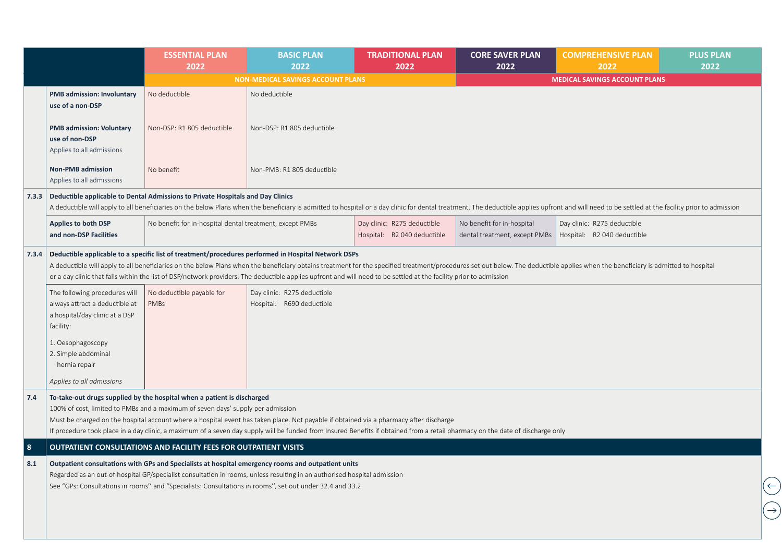|           |                                                                                                                                     | <b>ESSENTIAL PLAN</b><br>2022                                                                                                                              | <b>BASIC PLAN</b><br>2022                                                                                                                                                                                                                                                                                                                  | <b>TRADITIONAL PLAN</b><br>2022                            | <b>CORE SAVER PLAN</b><br>2022                                                            | <b>COMPREHENSIVE PLAN</b><br>2022                                                                                                                                                                                              | <b>PLUS PLAN</b><br>2022                   |
|-----------|-------------------------------------------------------------------------------------------------------------------------------------|------------------------------------------------------------------------------------------------------------------------------------------------------------|--------------------------------------------------------------------------------------------------------------------------------------------------------------------------------------------------------------------------------------------------------------------------------------------------------------------------------------------|------------------------------------------------------------|-------------------------------------------------------------------------------------------|--------------------------------------------------------------------------------------------------------------------------------------------------------------------------------------------------------------------------------|--------------------------------------------|
|           |                                                                                                                                     |                                                                                                                                                            | <b>NON-MEDICAL SAVINGS ACCOUNT PLANS</b>                                                                                                                                                                                                                                                                                                   |                                                            |                                                                                           | <b>MEDICAL SAVINGS ACCOUNT PLANS</b>                                                                                                                                                                                           |                                            |
|           | <b>PMB admission: Involuntary</b><br>use of a non-DSP                                                                               | No deductible                                                                                                                                              | No deductible                                                                                                                                                                                                                                                                                                                              |                                                            |                                                                                           |                                                                                                                                                                                                                                |                                            |
|           | <b>PMB admission: Voluntary</b><br>use of non-DSP<br>Applies to all admissions                                                      | Non-DSP: R1 805 deductible                                                                                                                                 | Non-DSP: R1 805 deductible                                                                                                                                                                                                                                                                                                                 |                                                            |                                                                                           |                                                                                                                                                                                                                                |                                            |
|           | <b>Non-PMB admission</b><br>Applies to all admissions                                                                               | No benefit                                                                                                                                                 | Non-PMB: R1 805 deductible                                                                                                                                                                                                                                                                                                                 |                                                            |                                                                                           |                                                                                                                                                                                                                                |                                            |
| 7.3.3     |                                                                                                                                     | Deductible applicable to Dental Admissions to Private Hospitals and Day Clinics                                                                            |                                                                                                                                                                                                                                                                                                                                            |                                                            |                                                                                           | A deductible will apply to all beneficiaries on the below Plans when the beneficiary is admitted to hospital or a day clinic for dental treatment. The deductible applies upfront and will need to be settled at the facility  |                                            |
|           | <b>Applies to both DSP</b><br>and non-DSP Facilities                                                                                | No benefit for in-hospital dental treatment, except PMBs                                                                                                   |                                                                                                                                                                                                                                                                                                                                            | Day clinic: R275 deductible<br>Hospital: R2 040 deductible | No benefit for in-hospital<br>dental treatment, except PMBs   Hospital: R2 040 deductible | Day clinic: R275 deductible                                                                                                                                                                                                    |                                            |
| 7.3.4     |                                                                                                                                     |                                                                                                                                                            | Deductible applicable to a specific list of treatment/procedures performed in Hospital Network DSPs<br>or a day clinic that falls within the list of DSP/network providers. The deductible applies upfront and will need to be settled at the facility prior to admission                                                                  |                                                            |                                                                                           | A deductible will apply to all beneficiaries on the below Plans when the beneficiary obtains treatment for the specified treatment/procedures set out below. The deductible applies when the beneficiary is admitted to hospit |                                            |
|           | The following procedures will<br>always attract a deductible at<br>a hospital/day clinic at a DSP<br>facility:<br>1. Oesophagoscopy | No deductible payable for<br><b>PMBs</b>                                                                                                                   | Day clinic: R275 deductible<br>Hospital: R690 deductible                                                                                                                                                                                                                                                                                   |                                                            |                                                                                           |                                                                                                                                                                                                                                |                                            |
|           | 2. Simple abdominal<br>hernia repair                                                                                                |                                                                                                                                                            |                                                                                                                                                                                                                                                                                                                                            |                                                            |                                                                                           |                                                                                                                                                                                                                                |                                            |
|           | Applies to all admissions                                                                                                           |                                                                                                                                                            |                                                                                                                                                                                                                                                                                                                                            |                                                            |                                                                                           |                                                                                                                                                                                                                                |                                            |
| 7.4       |                                                                                                                                     | To-take-out drugs supplied by the hospital when a patient is discharged<br>100% of cost, limited to PMBs and a maximum of seven days' supply per admission | Must be charged on the hospital account where a hospital event has taken place. Not payable if obtained via a pharmacy after discharge<br>If procedure took place in a day clinic, a maximum of a seven day supply will be funded from Insured Benefits if obtained from a retail pharmacy on the date of discharge only                   |                                                            |                                                                                           |                                                                                                                                                                                                                                |                                            |
| $\vert$ 8 |                                                                                                                                     | <b>OUTPATIENT CONSULTATIONS AND FACILITY FEES FOR OUTPATIENT VISITS</b>                                                                                    |                                                                                                                                                                                                                                                                                                                                            |                                                            |                                                                                           |                                                                                                                                                                                                                                |                                            |
| 8.1       |                                                                                                                                     |                                                                                                                                                            | Outpatient consultations with GPs and Specialists at hospital emergency rooms and outpatient units<br>Regarded as an out-of-hospital GP/specialist consultation in rooms, unless resulting in an authorised hospital admission<br>See "GPs: Consultations in rooms" and "Specialists: Consultations in rooms", set out under 32.4 and 33.2 |                                                            |                                                                                           |                                                                                                                                                                                                                                | $\left(\leftarrow\right)$<br>$\rightarrow$ |
|           |                                                                                                                                     |                                                                                                                                                            |                                                                                                                                                                                                                                                                                                                                            |                                                            |                                                                                           |                                                                                                                                                                                                                                |                                            |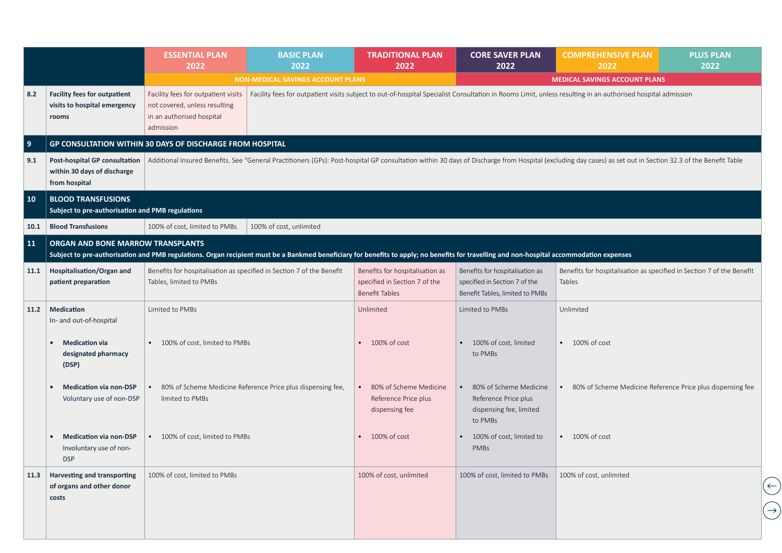|            |                                                                               | <b>ESSENTIAL PLAN</b><br>2022                                                                                  | <b>BASIC PLAN</b><br>2022                                                                                                                                                                 | <b>TRADITIONAL PLAN</b><br>2022                                                           | <b>CORE SAVER PLAN</b><br>2022                                                                      | <b>COMPREHENSIVE PLAN</b><br>2022                                                                                                                                                                            | <b>PLUS PLAN</b><br>2022         |
|------------|-------------------------------------------------------------------------------|----------------------------------------------------------------------------------------------------------------|-------------------------------------------------------------------------------------------------------------------------------------------------------------------------------------------|-------------------------------------------------------------------------------------------|-----------------------------------------------------------------------------------------------------|--------------------------------------------------------------------------------------------------------------------------------------------------------------------------------------------------------------|----------------------------------|
|            |                                                                               |                                                                                                                | <b>NON-MEDICAL SAVINGS ACCOUNT PLANS</b>                                                                                                                                                  |                                                                                           |                                                                                                     | <b>MEDICAL SAVINGS ACCOUNT PLANS</b>                                                                                                                                                                         |                                  |
| 8.2        | <b>Facility fees for outpatient</b><br>visits to hospital emergency<br>rooms  | Facility fees for outpatient visits<br>not covered, unless resulting<br>in an authorised hospital<br>admission |                                                                                                                                                                                           |                                                                                           |                                                                                                     | Facility fees for outpatient visits subject to out-of-hospital Specialist Consultation in Rooms Limit, unless resulting in an authorised hospital admission                                                  |                                  |
| 9          |                                                                               | GP CONSULTATION WITHIN 30 DAYS OF DISCHARGE FROM HOSPITAL                                                      |                                                                                                                                                                                           |                                                                                           |                                                                                                     |                                                                                                                                                                                                              |                                  |
| 9.1        | Post-hospital GP consultation<br>within 30 days of discharge<br>from hospital |                                                                                                                |                                                                                                                                                                                           |                                                                                           |                                                                                                     | Additional Insured Benefits. See "General Practitioners (GPs): Post-hospital GP consultation within 30 days of Discharge from Hospital (excluding day cases) as set out in Section 32.3 of the Benefit Table |                                  |
| $\vert$ 10 | <b>BLOOD TRANSFUSIONS</b><br>Subject to pre-authorisation and PMB regulations |                                                                                                                |                                                                                                                                                                                           |                                                                                           |                                                                                                     |                                                                                                                                                                                                              |                                  |
| 10.1       | <b>Blood Transfusions</b>                                                     | 100% of cost, limited to PMBs                                                                                  | 100% of cost, unlimited                                                                                                                                                                   |                                                                                           |                                                                                                     |                                                                                                                                                                                                              |                                  |
| <b>11</b>  | ORGAN AND BONE MARROW TRANSPLANTS                                             |                                                                                                                | Subject to pre-authorisation and PMB regulations. Organ recipient must be a Bankmed beneficiary for benefits to apply; no benefits for travelling and non-hospital accommodation expenses |                                                                                           |                                                                                                     |                                                                                                                                                                                                              |                                  |
| 11.1       | Hospitalisation/Organ and<br>patient preparation                              | Benefits for hospitalisation as specified in Section 7 of the Benefit<br>Tables, limited to PMBs               |                                                                                                                                                                                           | Benefits for hospitalisation as<br>specified in Section 7 of the<br><b>Benefit Tables</b> | Benefits for hospitalisation as<br>specified in Section 7 of the<br>Benefit Tables, limited to PMBs | Benefits for hospitalisation as specified in Section 7 of the Benefit<br>Tables                                                                                                                              |                                  |
| 11.2       | <b>Medication</b><br>In- and out-of-hospital                                  | Limited to PMBs                                                                                                |                                                                                                                                                                                           | Unlimited                                                                                 | Limited to PMBs                                                                                     | Unlimited                                                                                                                                                                                                    |                                  |
|            | <b>Medication via</b><br>designated pharmacy<br>(DSP)                         | • 100% of cost, limited to PMBs                                                                                |                                                                                                                                                                                           | 100% of cost                                                                              | 100% of cost, limited<br>to PMBs                                                                    | $\bullet$ 100% of cost                                                                                                                                                                                       |                                  |
|            | <b>Medication via non-DSP</b><br>Voluntary use of non-DSP                     | limited to PMBs                                                                                                | 80% of Scheme Medicine Reference Price plus dispensing fee,                                                                                                                               | 80% of Scheme Medicine<br>Reference Price plus<br>dispensing fee                          | 80% of Scheme Medicine<br>Reference Price plus<br>dispensing fee, limited<br>to PMBs                | • 80% of Scheme Medicine Reference Price plus dispensing fee                                                                                                                                                 |                                  |
|            | <b>Medication via non-DSP</b><br>Involuntary use of non-<br><b>DSP</b>        | 100% of cost, limited to PMBs                                                                                  |                                                                                                                                                                                           | 100% of cost                                                                              | 100% of cost, limited to<br>PMBs                                                                    | $\bullet$ 100% of cost                                                                                                                                                                                       |                                  |
| 11.3       | Harvesting and transporting<br>of organs and other donor<br>costs             | 100% of cost, limited to PMBs                                                                                  |                                                                                                                                                                                           | 100% of cost, unlimited                                                                   | 100% of cost, limited to PMBs                                                                       | 100% of cost, unlimited                                                                                                                                                                                      | $(\rightarrow)$<br>$\rightarrow$ |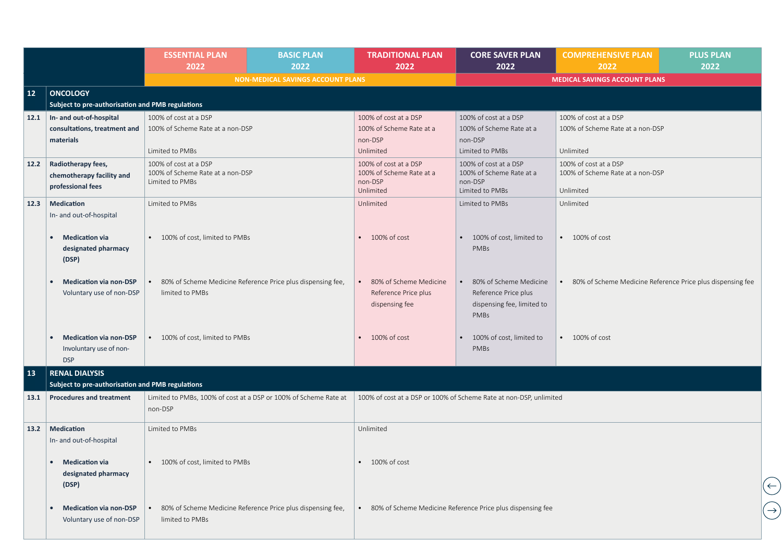|      |                                                                                                       | <b>ESSENTIAL PLAN</b><br>2022                                                | <b>BASIC PLAN</b><br>2022                                   | <b>TRADITIONAL PLAN</b><br>2022                                               | <b>CORE SAVER PLAN</b><br>2022                                                                    | <b>COMPREHENSIVE PLAN</b><br>2022                                      | <b>PLUS PLAN</b><br>2022 |
|------|-------------------------------------------------------------------------------------------------------|------------------------------------------------------------------------------|-------------------------------------------------------------|-------------------------------------------------------------------------------|---------------------------------------------------------------------------------------------------|------------------------------------------------------------------------|--------------------------|
|      |                                                                                                       |                                                                              | <b>NON-MEDICAL SAVINGS ACCOUNT PLANS</b>                    |                                                                               |                                                                                                   | <b>MEDICAL SAVINGS ACCOUNT PLANS</b>                                   |                          |
| 12   | <b>ONCOLOGY</b><br>Subject to pre-authorisation and PMB regulations                                   |                                                                              |                                                             |                                                                               |                                                                                                   |                                                                        |                          |
| 12.1 | In- and out-of-hospital<br>consultations, treatment and<br>materials                                  | 100% of cost at a DSP<br>100% of Scheme Rate at a non-DSP<br>Limited to PMBs |                                                             | 100% of cost at a DSP<br>100% of Scheme Rate at a<br>non-DSP<br>Unlimited     | 100% of cost at a DSP<br>100% of Scheme Rate at a<br>non-DSP<br>Limited to PMBs                   | 100% of cost at a DSP<br>100% of Scheme Rate at a non-DSP<br>Unlimited |                          |
| 12.2 | Radiotherapy fees,<br>chemotherapy facility and<br>professional fees                                  | 100% of cost at a DSP<br>100% of Scheme Rate at a non-DSP<br>Limited to PMBs |                                                             | 100% of cost at a DSP<br>100% of Scheme Rate at a<br>non-DSP<br>Unlimited     | 100% of cost at a DSP<br>100% of Scheme Rate at a<br>non-DSP<br>Limited to PMBs                   | 100% of cost at a DSP<br>100% of Scheme Rate at a non-DSP<br>Unlimited |                          |
| 12.3 | <b>Medication</b><br>In- and out-of-hospital<br><b>Medication via</b><br>designated pharmacy<br>(DSP) | Limited to PMBs<br>• 100% of cost, limited to PMBs                           |                                                             | Unlimited<br>$\bullet$ 100% of cost                                           | Limited to PMBs<br>100% of cost, limited to<br>PMBs                                               | Unlimited<br>$\cdot$ 100% of cost                                      |                          |
|      | <b>Medication via non-DSP</b><br>Voluntary use of non-DSP                                             | limited to PMBs                                                              | 80% of Scheme Medicine Reference Price plus dispensing fee, | 80% of Scheme Medicine<br>$\bullet$<br>Reference Price plus<br>dispensing fee | 80% of Scheme Medicine<br>$\bullet$<br>Reference Price plus<br>dispensing fee, limited to<br>PMBs | • 80% of Scheme Medicine Reference Price plus dispensing fee           |                          |
|      | <b>Medication via non-DSP</b><br>Involuntary use of non-<br><b>DSP</b>                                | • 100% of cost, limited to PMBs                                              |                                                             | $\bullet$ 100% of cost                                                        | 100% of cost, limited to<br>PMBs                                                                  | $\bullet$ 100% of cost                                                 |                          |
| 13   | <b>RENAL DIALYSIS</b><br>Subject to pre-authorisation and PMB regulations                             |                                                                              |                                                             |                                                                               |                                                                                                   |                                                                        |                          |
| 13.1 | <b>Procedures and treatment</b>                                                                       | Limited to PMBs, 100% of cost at a DSP or 100% of Scheme Rate at<br>non-DSP  |                                                             |                                                                               | 100% of cost at a DSP or 100% of Scheme Rate at non-DSP, unlimited                                |                                                                        |                          |
| 13.2 | Medication<br>In- and out-of-hospital                                                                 | Limited to PMBs                                                              |                                                             | Unlimited                                                                     |                                                                                                   |                                                                        |                          |
|      | <b>Medication via</b><br>designated pharmacy<br>(DSP)                                                 | • 100% of cost, limited to PMBs                                              |                                                             | $\bullet$ 100% of cost                                                        |                                                                                                   |                                                                        | $\left(\rightleftarrow)$ |
|      | <b>Medication via non-DSP</b><br>Voluntary use of non-DSP                                             | limited to PMBs                                                              | 80% of Scheme Medicine Reference Price plus dispensing fee, |                                                                               | • 80% of Scheme Medicine Reference Price plus dispensing fee                                      |                                                                        | $(\rightarrow)$          |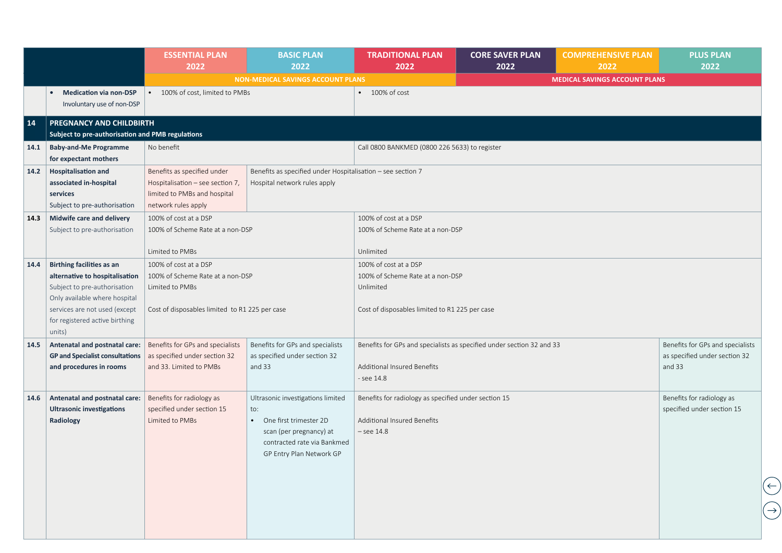| <b>Medication via non-DSP</b><br>Involuntary use of non-DSP<br>PREGNANCY AND CHILDBIRTH<br>Subject to pre-authorisation and PMB regulations<br><b>Baby-and-Me Programme</b><br>for expectant mothers             | • 100% of cost, limited to PMBs                                                                                        | <b>NON-MEDICAL SAVINGS ACCOUNT PLANS</b>                                                                                                                   | 100% of cost                                                                       |           | <b>MEDICAL SAVINGS ACCOUNT PLANS</b>                                                                                                       |                                                                             |
|------------------------------------------------------------------------------------------------------------------------------------------------------------------------------------------------------------------|------------------------------------------------------------------------------------------------------------------------|------------------------------------------------------------------------------------------------------------------------------------------------------------|------------------------------------------------------------------------------------|-----------|--------------------------------------------------------------------------------------------------------------------------------------------|-----------------------------------------------------------------------------|
|                                                                                                                                                                                                                  |                                                                                                                        |                                                                                                                                                            |                                                                                    |           |                                                                                                                                            |                                                                             |
|                                                                                                                                                                                                                  |                                                                                                                        |                                                                                                                                                            |                                                                                    |           |                                                                                                                                            |                                                                             |
|                                                                                                                                                                                                                  |                                                                                                                        |                                                                                                                                                            |                                                                                    |           |                                                                                                                                            |                                                                             |
|                                                                                                                                                                                                                  |                                                                                                                        |                                                                                                                                                            |                                                                                    |           |                                                                                                                                            |                                                                             |
|                                                                                                                                                                                                                  | No benefit                                                                                                             |                                                                                                                                                            | Call 0800 BANKMED (0800 226 5633) to register                                      |           |                                                                                                                                            |                                                                             |
| <b>Hospitalisation and</b><br>associated in-hospital<br>services<br>Subject to pre-authorisation                                                                                                                 | Benefits as specified under<br>Hospitalisation - see section 7,<br>limited to PMBs and hospital<br>network rules apply | Benefits as specified under Hospitalisation - see section 7<br>Hospital network rules apply                                                                |                                                                                    |           |                                                                                                                                            |                                                                             |
| Midwife care and delivery<br>Subject to pre-authorisation                                                                                                                                                        | 100% of cost at a DSP<br>100% of Scheme Rate at a non-DSP                                                              |                                                                                                                                                            | 100% of cost at a DSP<br>100% of Scheme Rate at a non-DSP                          |           |                                                                                                                                            |                                                                             |
| <b>Birthing facilities as an</b><br>alternative to hospitalisation<br>Subject to pre-authorisation<br>Only available where hospital<br>services are not used (except<br>for registered active birthing<br>units) | 100% of cost at a DSP<br>Limited to PMBs                                                                               |                                                                                                                                                            | 100% of cost at a DSP<br>Unlimited                                                 |           |                                                                                                                                            |                                                                             |
| Antenatal and postnatal care:<br><b>GP and Specialist consultations</b><br>and procedures in rooms                                                                                                               | Benefits for GPs and specialists<br>as specified under section 32<br>and 33. Limited to PMBs                           | Benefits for GPs and specialists<br>as specified under section 32<br>and 33                                                                                | <b>Additional Insured Benefits</b><br>- see 14.8                                   |           |                                                                                                                                            | Benefits for GPs and specialists<br>as specified under section 32<br>and 33 |
| Antenatal and postnatal care:<br><b>Ultrasonic investigations</b><br>Radiology                                                                                                                                   | Benefits for radiology as<br>specified under section 15<br>Limited to PMBs                                             | Ultrasonic investigations limited<br>to:<br>• One first trimester 2D<br>scan (per pregnancy) at<br>contracted rate via Bankmed<br>GP Entry Plan Network GP | Additional Insured Benefits<br>$-$ see 14.8                                        |           |                                                                                                                                            | Benefits for radiology as<br>specified under section 15                     |
|                                                                                                                                                                                                                  |                                                                                                                        | Limited to PMBs                                                                                                                                            | 100% of Scheme Rate at a non-DSP<br>Cost of disposables limited to R1 225 per case | Unlimited | 100% of Scheme Rate at a non-DSP<br>Cost of disposables limited to R1 225 per case<br>Benefits for radiology as specified under section 15 | Benefits for GPs and specialists as specified under section 32 and 33       |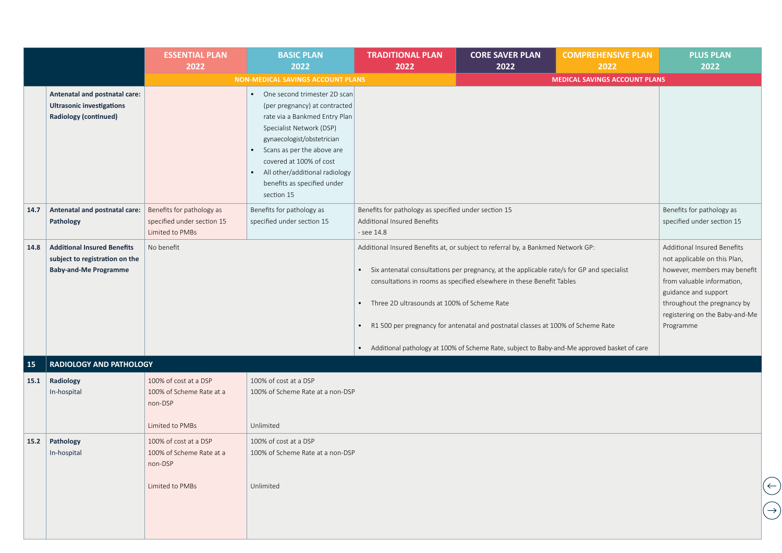|           |                                                                                                      | <b>ESSENTIAL PLAN</b><br>2022                                                   | <b>BASIC PLAN</b><br>2022                                                                                                                                                                                                                                                                        | <b>TRADITIONAL PLAN</b><br>2022                                                                                                                                                                                                                                                                                                                           | <b>CORE SAVER PLAN</b><br>2022                                                                                                                           | <b>COMPREHENSIVE PLAN</b><br>2022    | <b>PLUS PLAN</b><br>2022                                                                                                                                                                                                        |
|-----------|------------------------------------------------------------------------------------------------------|---------------------------------------------------------------------------------|--------------------------------------------------------------------------------------------------------------------------------------------------------------------------------------------------------------------------------------------------------------------------------------------------|-----------------------------------------------------------------------------------------------------------------------------------------------------------------------------------------------------------------------------------------------------------------------------------------------------------------------------------------------------------|----------------------------------------------------------------------------------------------------------------------------------------------------------|--------------------------------------|---------------------------------------------------------------------------------------------------------------------------------------------------------------------------------------------------------------------------------|
|           |                                                                                                      |                                                                                 | <b>NON-MEDICAL SAVINGS ACCOUNT PLANS</b>                                                                                                                                                                                                                                                         |                                                                                                                                                                                                                                                                                                                                                           |                                                                                                                                                          | <b>MEDICAL SAVINGS ACCOUNT PLANS</b> |                                                                                                                                                                                                                                 |
|           | Antenatal and postnatal care:<br><b>Ultrasonic investigations</b><br><b>Radiology (continued)</b>    |                                                                                 | One second trimester 2D scan<br>(per pregnancy) at contracted<br>rate via a Bankmed Entry Plan<br>Specialist Network (DSP)<br>gynaecologist/obstetrician<br>Scans as per the above are<br>covered at 100% of cost<br>All other/additional radiology<br>benefits as specified under<br>section 15 |                                                                                                                                                                                                                                                                                                                                                           |                                                                                                                                                          |                                      |                                                                                                                                                                                                                                 |
| 14.7      | Antenatal and postnatal care:<br>Pathology                                                           | Benefits for pathology as<br>specified under section 15<br>Limited to PMBs      | Benefits for pathology as<br>specified under section 15                                                                                                                                                                                                                                          | Benefits for pathology as specified under section 15<br>Additional Insured Benefits<br>- see 14.8                                                                                                                                                                                                                                                         |                                                                                                                                                          |                                      | Benefits for pathology as<br>specified under section 15                                                                                                                                                                         |
| 14.8      | <b>Additional Insured Benefits</b><br>subject to registration on the<br><b>Baby-and-Me Programme</b> | No benefit                                                                      |                                                                                                                                                                                                                                                                                                  | Additional Insured Benefits at, or subject to referral by, a Bankmed Network GP:<br>• Six antenatal consultations per pregnancy, at the applicable rate/s for GP and specialist<br>Three 2D ultrasounds at 100% of Scheme Rate<br>$\bullet$<br>$\bullet$<br>• Additional pathology at 100% of Scheme Rate, subject to Baby-and-Me approved basket of care | consultations in rooms as specified elsewhere in these Benefit Tables<br>R1 500 per pregnancy for antenatal and postnatal classes at 100% of Scheme Rate |                                      | Additional Insured Benefits<br>not applicable on this Plan,<br>however, members may benefit<br>from valuable information,<br>guidance and support<br>throughout the pregnancy by<br>registering on the Baby-and-Me<br>Programme |
| <b>15</b> | <b>RADIOLOGY AND PATHOLOGY</b>                                                                       |                                                                                 |                                                                                                                                                                                                                                                                                                  |                                                                                                                                                                                                                                                                                                                                                           |                                                                                                                                                          |                                      |                                                                                                                                                                                                                                 |
| 15.1      | Radiology<br>In-hospital                                                                             | 100% of cost at a DSP<br>100% of Scheme Rate at a<br>non-DSP<br>Limited to PMBs | 100% of cost at a DSP<br>100% of Scheme Rate at a non-DSP<br>Unlimited                                                                                                                                                                                                                           |                                                                                                                                                                                                                                                                                                                                                           |                                                                                                                                                          |                                      |                                                                                                                                                                                                                                 |
|           | 15.2 Pathology<br>In-hospital                                                                        | 100% of cost at a DSP<br>100% of Scheme Rate at a<br>non-DSP<br>Limited to PMBs | 100% of cost at a DSP<br>100% of Scheme Rate at a non-DSP<br>Unlimited                                                                                                                                                                                                                           |                                                                                                                                                                                                                                                                                                                                                           |                                                                                                                                                          |                                      |                                                                                                                                                                                                                                 |
|           |                                                                                                      |                                                                                 |                                                                                                                                                                                                                                                                                                  |                                                                                                                                                                                                                                                                                                                                                           |                                                                                                                                                          |                                      |                                                                                                                                                                                                                                 |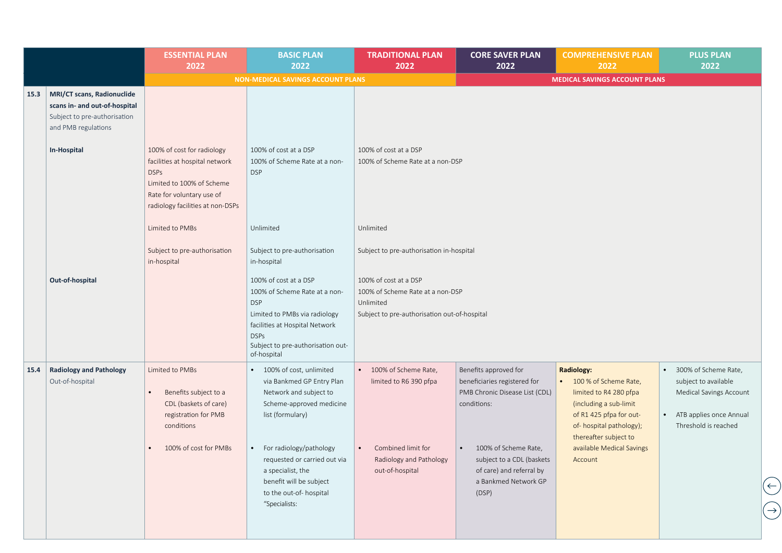|      |                                                                                                                                   | <b>ESSENTIAL PLAN</b><br>2022                                                                                                                                             | <b>BASIC PLAN</b><br>2022                                                                                                                                                                                                                                                                            | <b>TRADITIONAL PLAN</b><br>2022                                                                                                   | <b>CORE SAVER PLAN</b><br>2022                                                                                                                                                                                           | <b>COMPREHENSIVE PLAN</b><br>2022                                                                                                                                                                                       | <b>PLUS PLAN</b><br>2022                                                                                                                             |
|------|-----------------------------------------------------------------------------------------------------------------------------------|---------------------------------------------------------------------------------------------------------------------------------------------------------------------------|------------------------------------------------------------------------------------------------------------------------------------------------------------------------------------------------------------------------------------------------------------------------------------------------------|-----------------------------------------------------------------------------------------------------------------------------------|--------------------------------------------------------------------------------------------------------------------------------------------------------------------------------------------------------------------------|-------------------------------------------------------------------------------------------------------------------------------------------------------------------------------------------------------------------------|------------------------------------------------------------------------------------------------------------------------------------------------------|
|      |                                                                                                                                   |                                                                                                                                                                           | <b>NON-MEDICAL SAVINGS ACCOUNT PLANS</b>                                                                                                                                                                                                                                                             |                                                                                                                                   |                                                                                                                                                                                                                          | <b>MEDICAL SAVINGS ACCOUNT PLANS</b>                                                                                                                                                                                    |                                                                                                                                                      |
| 15.3 | MRI/CT scans, Radionuclide<br>scans in- and out-of-hospital<br>Subject to pre-authorisation<br>and PMB regulations<br>In-Hospital | 100% of cost for radiology<br>facilities at hospital network<br><b>DSPs</b><br>Limited to 100% of Scheme<br>Rate for voluntary use of<br>radiology facilities at non-DSPs | 100% of cost at a DSP<br>100% of Scheme Rate at a non-<br><b>DSP</b>                                                                                                                                                                                                                                 | 100% of cost at a DSP<br>100% of Scheme Rate at a non-DSP                                                                         |                                                                                                                                                                                                                          |                                                                                                                                                                                                                         |                                                                                                                                                      |
|      |                                                                                                                                   | Limited to PMBs                                                                                                                                                           | Unlimited                                                                                                                                                                                                                                                                                            | Unlimited                                                                                                                         |                                                                                                                                                                                                                          |                                                                                                                                                                                                                         |                                                                                                                                                      |
|      |                                                                                                                                   | Subject to pre-authorisation<br>in-hospital                                                                                                                               | Subject to pre-authorisation<br>in-hospital                                                                                                                                                                                                                                                          | Subject to pre-authorisation in-hospital                                                                                          |                                                                                                                                                                                                                          |                                                                                                                                                                                                                         |                                                                                                                                                      |
|      | Out-of-hospital                                                                                                                   |                                                                                                                                                                           | 100% of cost at a DSP<br>100% of Scheme Rate at a non-<br><b>DSP</b><br>Limited to PMBs via radiology<br>facilities at Hospital Network<br><b>DSPs</b><br>Subject to pre-authorisation out-<br>of-hospital                                                                                           | 100% of cost at a DSP<br>100% of Scheme Rate at a non-DSP<br>Unlimited<br>Subject to pre-authorisation out-of-hospital            |                                                                                                                                                                                                                          |                                                                                                                                                                                                                         |                                                                                                                                                      |
| 15.4 | <b>Radiology and Pathology</b><br>Out-of-hospital                                                                                 | Limited to PMBs<br>Benefits subject to a<br>CDL (baskets of care)<br>registration for PMB<br>conditions<br>100% of cost for PMBs                                          | 100% of cost, unlimited<br>$\bullet$<br>via Bankmed GP Entry Plan<br>Network and subject to<br>Scheme-approved medicine<br>list (formulary)<br>• For radiology/pathology<br>requested or carried out via<br>a specialist, the<br>benefit will be subject<br>to the out-of- hospital<br>"Specialists: | • 100% of Scheme Rate,<br>limited to R6 390 pfpa<br>Combined limit for<br>$\bullet$<br>Radiology and Pathology<br>out-of-hospital | Benefits approved for<br>beneficiaries registered for<br>PMB Chronic Disease List (CDL)<br>conditions:<br>100% of Scheme Rate,<br>subject to a CDL (baskets<br>of care) and referral by<br>a Bankmed Network GP<br>(DSP) | <b>Radiology:</b><br>• 100 % of Scheme Rate,<br>limited to R4 280 pfpa<br>(including a sub-limit<br>of R1 425 pfpa for out-<br>of-hospital pathology);<br>thereafter subject to<br>available Medical Savings<br>Account | 300% of Scheme Rate,<br>$\bullet$<br>subject to available<br>Medical Savings Account<br>ATB applies once Annual<br>$\bullet$<br>Threshold is reached |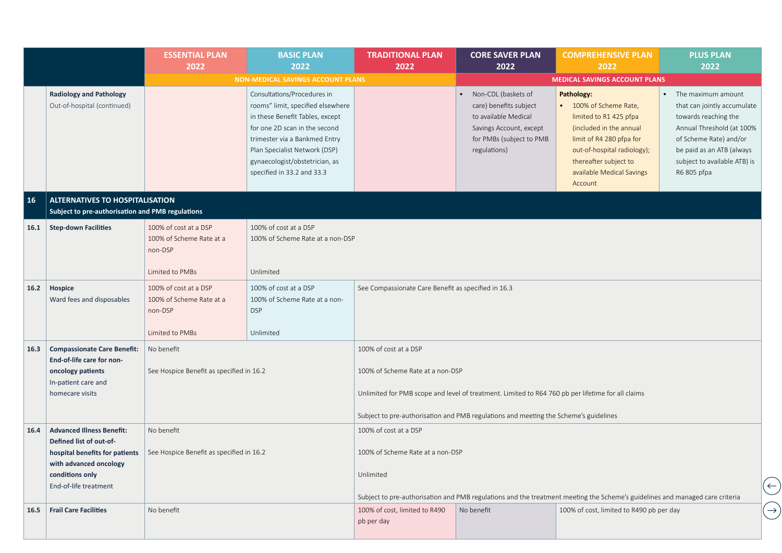|      |                                                                                            | <b>ESSENTIAL PLAN</b><br>2022                                                   | <b>BASIC PLAN</b><br>2022                                                                                                                                                                                                                                              | <b>TRADITIONAL PLAN</b><br>2022                     | <b>CORE SAVER PLAN</b><br>2022                                                                                                               | <b>COMPREHENSIVE PLAN</b><br>2022                                                                                                                                                                                   | <b>PLUS PLAN</b><br>2022                                                                                                                                                                                     |
|------|--------------------------------------------------------------------------------------------|---------------------------------------------------------------------------------|------------------------------------------------------------------------------------------------------------------------------------------------------------------------------------------------------------------------------------------------------------------------|-----------------------------------------------------|----------------------------------------------------------------------------------------------------------------------------------------------|---------------------------------------------------------------------------------------------------------------------------------------------------------------------------------------------------------------------|--------------------------------------------------------------------------------------------------------------------------------------------------------------------------------------------------------------|
|      |                                                                                            |                                                                                 | <b>NON-MEDICAL SAVINGS ACCOUNT PLANS</b>                                                                                                                                                                                                                               |                                                     |                                                                                                                                              | <b>MEDICAL SAVINGS ACCOUNT PLANS</b>                                                                                                                                                                                |                                                                                                                                                                                                              |
|      | <b>Radiology and Pathology</b><br>Out-of-hospital (continued)                              |                                                                                 | Consultations/Procedures in<br>rooms" limit, specified elsewhere<br>in these Benefit Tables, except<br>for one 2D scan in the second<br>trimester via a Bankmed Entry<br>Plan Specialist Network (DSP)<br>gynaecologist/obstetrician, as<br>specified in 33.2 and 33.3 |                                                     | Non-CDL (baskets of<br>care) benefits subject<br>to available Medical<br>Savings Account, except<br>for PMBs (subject to PMB<br>regulations) | Pathology:<br>100% of Scheme Rate,<br>limited to R1 425 pfpa<br>(included in the annual<br>limit of R4 280 pfpa for<br>out-of-hospital radiology);<br>thereafter subject to<br>available Medical Savings<br>Account | The maximum amount<br>that can jointly accumulate<br>towards reaching the<br>Annual Threshold (at 100%<br>of Scheme Rate) and/or<br>be paid as an ATB (always<br>subject to available ATB) is<br>R6 805 pfpa |
| 16   | <b>ALTERNATIVES TO HOSPITALISATION</b><br>Subject to pre-authorisation and PMB regulations |                                                                                 |                                                                                                                                                                                                                                                                        |                                                     |                                                                                                                                              |                                                                                                                                                                                                                     |                                                                                                                                                                                                              |
| 16.1 | <b>Step-down Facilities</b>                                                                | 100% of cost at a DSP<br>100% of Scheme Rate at a<br>non-DSP                    | 100% of cost at a DSP<br>100% of Scheme Rate at a non-DSP                                                                                                                                                                                                              |                                                     |                                                                                                                                              |                                                                                                                                                                                                                     |                                                                                                                                                                                                              |
|      |                                                                                            | Limited to PMBs                                                                 | Unlimited                                                                                                                                                                                                                                                              |                                                     |                                                                                                                                              |                                                                                                                                                                                                                     |                                                                                                                                                                                                              |
| 16.2 | Hospice<br>Ward fees and disposables                                                       | 100% of cost at a DSP<br>100% of Scheme Rate at a<br>non-DSP<br>Limited to PMBs | 100% of cost at a DSP<br>100% of Scheme Rate at a non-<br><b>DSP</b><br>Unlimited                                                                                                                                                                                      | See Compassionate Care Benefit as specified in 16.3 |                                                                                                                                              |                                                                                                                                                                                                                     |                                                                                                                                                                                                              |
| 16.3 | <b>Compassionate Care Benefit:</b><br>End-of-life care for non-                            | No benefit                                                                      |                                                                                                                                                                                                                                                                        | 100% of cost at a DSP                               |                                                                                                                                              |                                                                                                                                                                                                                     |                                                                                                                                                                                                              |
|      | oncology patients<br>In-patient care and                                                   | See Hospice Benefit as specified in 16.2                                        |                                                                                                                                                                                                                                                                        | 100% of Scheme Rate at a non-DSP                    |                                                                                                                                              |                                                                                                                                                                                                                     |                                                                                                                                                                                                              |
|      | homecare visits                                                                            |                                                                                 |                                                                                                                                                                                                                                                                        |                                                     | Unlimited for PMB scope and level of treatment. Limited to R64 760 pb per lifetime for all claims                                            |                                                                                                                                                                                                                     |                                                                                                                                                                                                              |
|      |                                                                                            |                                                                                 |                                                                                                                                                                                                                                                                        |                                                     | Subject to pre-authorisation and PMB regulations and meeting the Scheme's guidelines                                                         |                                                                                                                                                                                                                     |                                                                                                                                                                                                              |
| 16.4 | <b>Advanced Illness Benefit:</b><br>Defined list of out-of-                                | No benefit                                                                      |                                                                                                                                                                                                                                                                        | 100% of cost at a DSP                               |                                                                                                                                              |                                                                                                                                                                                                                     |                                                                                                                                                                                                              |
|      | hospital benefits for patients<br>with advanced oncology                                   | See Hospice Benefit as specified in 16.2                                        |                                                                                                                                                                                                                                                                        | 100% of Scheme Rate at a non-DSP                    |                                                                                                                                              |                                                                                                                                                                                                                     |                                                                                                                                                                                                              |
|      | conditions only<br>End-of-life treatment                                                   |                                                                                 |                                                                                                                                                                                                                                                                        | Unlimited                                           |                                                                                                                                              |                                                                                                                                                                                                                     |                                                                                                                                                                                                              |
|      |                                                                                            |                                                                                 |                                                                                                                                                                                                                                                                        |                                                     |                                                                                                                                              | Subject to pre-authorisation and PMB regulations and the treatment meeting the Scheme's guidelines and managed care criteria                                                                                        |                                                                                                                                                                                                              |
| 16.5 | <b>Frail Care Facilities</b>                                                               | No benefit                                                                      |                                                                                                                                                                                                                                                                        | 100% of cost, limited to R490<br>pb per day         | No benefit                                                                                                                                   | 100% of cost, limited to R490 pb per day                                                                                                                                                                            |                                                                                                                                                                                                              |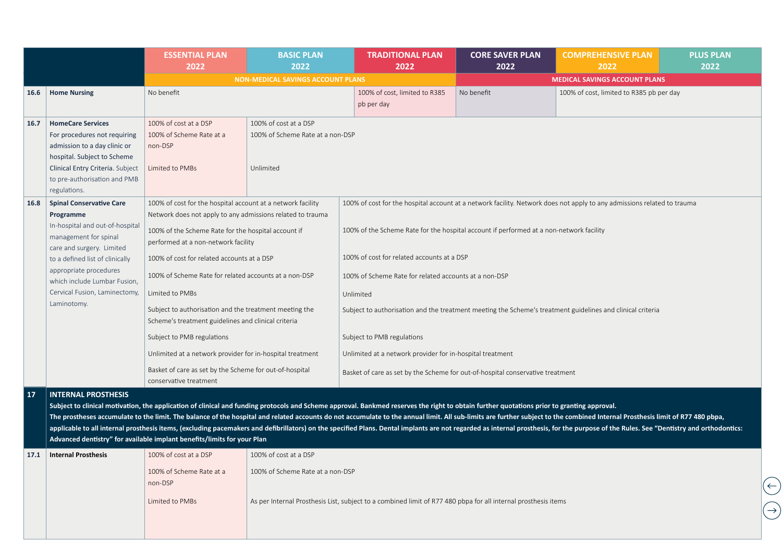|      |                                                                                                                                                                                                                                                                                    | <b>ESSENTIAL PLAN</b><br>2022                                                                                                                                                                                                                                                                                                                                                                               | <b>BASIC PLAN</b><br>2022                                              | <b>TRADITIONAL PLAN</b><br>2022                                                                                                                                                                                                                                                                                                                                                                                                                                                                                                                                                                                                                               | <b>CORE SAVER PLAN</b><br>2022 | <b>COMPREHENSIVE PLAN</b><br>2022        | <b>PLUS PLAN</b><br>2022 |
|------|------------------------------------------------------------------------------------------------------------------------------------------------------------------------------------------------------------------------------------------------------------------------------------|-------------------------------------------------------------------------------------------------------------------------------------------------------------------------------------------------------------------------------------------------------------------------------------------------------------------------------------------------------------------------------------------------------------|------------------------------------------------------------------------|---------------------------------------------------------------------------------------------------------------------------------------------------------------------------------------------------------------------------------------------------------------------------------------------------------------------------------------------------------------------------------------------------------------------------------------------------------------------------------------------------------------------------------------------------------------------------------------------------------------------------------------------------------------|--------------------------------|------------------------------------------|--------------------------|
|      |                                                                                                                                                                                                                                                                                    |                                                                                                                                                                                                                                                                                                                                                                                                             | <b>NON-MEDICAL SAVINGS ACCOUNT PLANS</b>                               |                                                                                                                                                                                                                                                                                                                                                                                                                                                                                                                                                                                                                                                               |                                | <b>MEDICAL SAVINGS ACCOUNT PLANS</b>     |                          |
| 16.6 | <b>Home Nursing</b>                                                                                                                                                                                                                                                                | No benefit                                                                                                                                                                                                                                                                                                                                                                                                  |                                                                        | 100% of cost, limited to R385<br>pb per day                                                                                                                                                                                                                                                                                                                                                                                                                                                                                                                                                                                                                   | No benefit                     | 100% of cost, limited to R385 pb per day |                          |
| 16.7 | <b>HomeCare Services</b><br>For procedures not requiring<br>admission to a day clinic or<br>hospital. Subject to Scheme<br>Clinical Entry Criteria. Subject<br>to pre-authorisation and PMB<br>regulations.                                                                        | 100% of cost at a DSP<br>100% of Scheme Rate at a<br>non-DSP<br>Limited to PMBs                                                                                                                                                                                                                                                                                                                             | 100% of cost at a DSP<br>100% of Scheme Rate at a non-DSP<br>Unlimited |                                                                                                                                                                                                                                                                                                                                                                                                                                                                                                                                                                                                                                                               |                                |                                          |                          |
| 16.8 | <b>Spinal Conservative Care</b><br>Programme<br>In-hospital and out-of-hospital<br>management for spinal<br>care and surgery. Limited<br>to a defined list of clinically<br>appropriate procedures<br>which include Lumbar Fusion,<br>Cervical Fusion, Laminectomy,<br>Laminotomy. | 100% of cost for the hospital account at a network facility<br>Network does not apply to any admissions related to trauma<br>100% of the Scheme Rate for the hospital account if<br>performed at a non-network facility<br>100% of cost for related accounts at a DSP<br>100% of Scheme Rate for related accounts at a non-DSP<br>Limited to PMBs<br>Subject to authorisation and the treatment meeting the |                                                                        | 100% of cost for the hospital account at a network facility. Network does not apply to any admissions related to trauma<br>100% of the Scheme Rate for the hospital account if performed at a non-network facility<br>100% of cost for related accounts at a DSP<br>100% of Scheme Rate for related accounts at a non-DSP<br>Unlimited                                                                                                                                                                                                                                                                                                                        |                                |                                          |                          |
|      |                                                                                                                                                                                                                                                                                    | Scheme's treatment guidelines and clinical criteria<br>Subject to PMB regulations<br>Unlimited at a network provider for in-hospital treatment<br>Basket of care as set by the Scheme for out-of-hospital<br>conservative treatment                                                                                                                                                                         |                                                                        | Subject to authorisation and the treatment meeting the Scheme's treatment guidelines and clinical criteria<br>Subject to PMB regulations<br>Unlimited at a network provider for in-hospital treatment<br>Basket of care as set by the Scheme for out-of-hospital conservative treatment                                                                                                                                                                                                                                                                                                                                                                       |                                |                                          |                          |
| 17   | <b>INTERNAL PROSTHESIS</b>                                                                                                                                                                                                                                                         | Advanced dentistry" for available implant benefits/limits for your Plan                                                                                                                                                                                                                                                                                                                                     |                                                                        | Subject to clinical motivation, the application of clinical and funding protocols and Scheme approval. Bankmed reserves the right to obtain further quotations prior to granting approval.<br>The prostheses accumulate to the limit. The balance of the hospital and related accounts do not accumulate to the annual limit. All sub-limits are further subject to the combined Internal Prosthesis limit of R77 480 pbpa,<br>applicable to all internal prosthesis items, (excluding pacemakers and defibrillators) on the specified Plans. Dental implants are not regarded as internal prosthesis, for the purpose of the Rules. See "Dentistry and ortho |                                |                                          |                          |
| 17.1 | <b>Internal Prosthesis</b>                                                                                                                                                                                                                                                         | 100% of cost at a DSP                                                                                                                                                                                                                                                                                                                                                                                       | 100% of cost at a DSP                                                  |                                                                                                                                                                                                                                                                                                                                                                                                                                                                                                                                                                                                                                                               |                                |                                          |                          |
|      |                                                                                                                                                                                                                                                                                    | 100% of Scheme Rate at a<br>non-DSP                                                                                                                                                                                                                                                                                                                                                                         | 100% of Scheme Rate at a non-DSP                                       |                                                                                                                                                                                                                                                                                                                                                                                                                                                                                                                                                                                                                                                               |                                |                                          |                          |
|      |                                                                                                                                                                                                                                                                                    | Limited to PMBs                                                                                                                                                                                                                                                                                                                                                                                             |                                                                        | As per Internal Prosthesis List, subject to a combined limit of R77 480 pbpa for all internal prosthesis items                                                                                                                                                                                                                                                                                                                                                                                                                                                                                                                                                |                                |                                          |                          |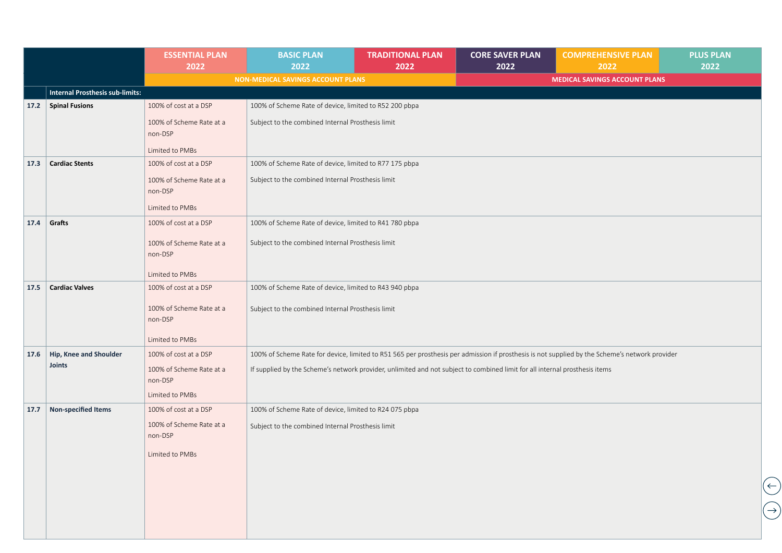|      |                                        | <b>ESSENTIAL PLAN</b><br>2022       | <b>BASIC PLAN</b><br>2022                                                                                                   | <b>TRADITIONAL PLAN</b><br>2022 | <b>CORE SAVER PLAN</b><br>2022 | <b>COMPREHENSIVE PLAN</b><br>2022                                                                                                              | <b>PLUS PLAN</b><br>2022 |
|------|----------------------------------------|-------------------------------------|-----------------------------------------------------------------------------------------------------------------------------|---------------------------------|--------------------------------|------------------------------------------------------------------------------------------------------------------------------------------------|--------------------------|
|      |                                        |                                     | NON-MEDICAL SAVINGS ACCOUNT PLANS                                                                                           |                                 |                                | <b>MEDICAL SAVINGS ACCOUNT PLANS</b>                                                                                                           |                          |
|      | <b>Internal Prosthesis sub-limits:</b> |                                     |                                                                                                                             |                                 |                                |                                                                                                                                                |                          |
| 17.2 | <b>Spinal Fusions</b>                  | 100% of cost at a DSP               | 100% of Scheme Rate of device, limited to R52 200 pbpa                                                                      |                                 |                                |                                                                                                                                                |                          |
|      |                                        | 100% of Scheme Rate at a<br>non-DSP | Subject to the combined Internal Prosthesis limit                                                                           |                                 |                                |                                                                                                                                                |                          |
|      |                                        | Limited to PMBs                     |                                                                                                                             |                                 |                                |                                                                                                                                                |                          |
| 17.3 | <b>Cardiac Stents</b>                  | 100% of cost at a DSP               | 100% of Scheme Rate of device, limited to R77 175 pbpa                                                                      |                                 |                                |                                                                                                                                                |                          |
|      |                                        | 100% of Scheme Rate at a<br>non-DSP | Subject to the combined Internal Prosthesis limit                                                                           |                                 |                                |                                                                                                                                                |                          |
|      |                                        | Limited to PMBs                     |                                                                                                                             |                                 |                                |                                                                                                                                                |                          |
| 17.4 | Grafts                                 | 100% of cost at a DSP               | 100% of Scheme Rate of device, limited to R41 780 pbpa                                                                      |                                 |                                |                                                                                                                                                |                          |
|      |                                        | 100% of Scheme Rate at a<br>non-DSP | Subject to the combined Internal Prosthesis limit                                                                           |                                 |                                |                                                                                                                                                |                          |
|      |                                        | Limited to PMBs                     |                                                                                                                             |                                 |                                |                                                                                                                                                |                          |
| 17.5 | <b>Cardiac Valves</b>                  | 100% of cost at a DSP               | 100% of Scheme Rate of device, limited to R43 940 pbpa                                                                      |                                 |                                |                                                                                                                                                |                          |
|      |                                        | 100% of Scheme Rate at a<br>non-DSP | Subject to the combined Internal Prosthesis limit                                                                           |                                 |                                |                                                                                                                                                |                          |
|      |                                        | Limited to PMBs                     |                                                                                                                             |                                 |                                |                                                                                                                                                |                          |
| 17.6 | Hip, Knee and Shoulder                 | 100% of cost at a DSP               |                                                                                                                             |                                 |                                | 100% of Scheme Rate for device, limited to R51 565 per prosthesis per admission if prosthesis is not supplied by the Scheme's network provider |                          |
|      | <b>Joints</b>                          | 100% of Scheme Rate at a<br>non-DSP | If supplied by the Scheme's network provider, unlimited and not subject to combined limit for all internal prosthesis items |                                 |                                |                                                                                                                                                |                          |
|      |                                        | Limited to PMBs                     |                                                                                                                             |                                 |                                |                                                                                                                                                |                          |
| 17.7 | <b>Non-specified Items</b>             | 100% of cost at a DSP               | 100% of Scheme Rate of device, limited to R24 075 pbpa                                                                      |                                 |                                |                                                                                                                                                |                          |
|      |                                        | 100% of Scheme Rate at a<br>non-DSP | Subject to the combined Internal Prosthesis limit                                                                           |                                 |                                |                                                                                                                                                |                          |
|      |                                        | Limited to PMBs                     |                                                                                                                             |                                 |                                |                                                                                                                                                |                          |
|      |                                        |                                     |                                                                                                                             |                                 |                                |                                                                                                                                                |                          |
|      |                                        |                                     |                                                                                                                             |                                 |                                |                                                                                                                                                |                          |
|      |                                        |                                     |                                                                                                                             |                                 |                                |                                                                                                                                                |                          |
|      |                                        |                                     |                                                                                                                             |                                 |                                |                                                                                                                                                |                          |
|      |                                        |                                     |                                                                                                                             |                                 |                                |                                                                                                                                                |                          |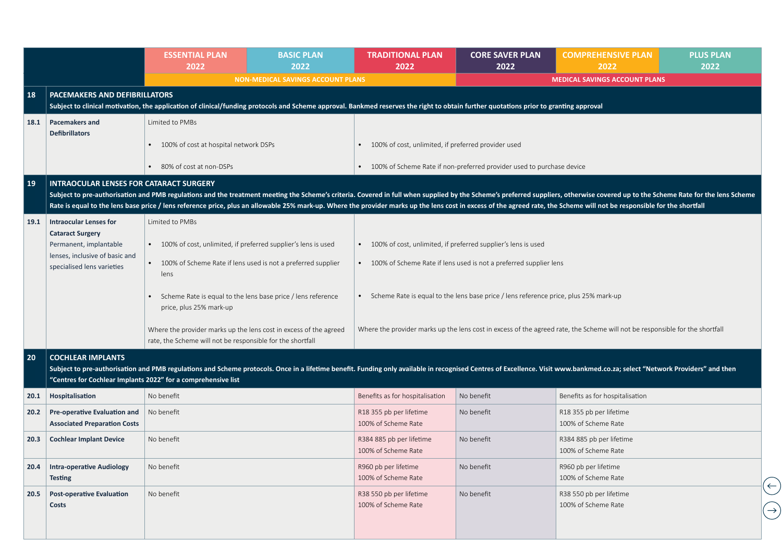|      |                                                                                        | <b>ESSENTIAL PLAN</b><br>2022                                                                                                                                                         | <b>BASIC PLAN</b><br>2022                                       | <b>TRADITIONAL PLAN</b><br>2022                                                                                                                                                                                                                                                                                                                                                                                                                            | <b>CORE SAVER PLAN</b><br>2022                                          | <b>COMPREHENSIVE PLAN</b><br>2022                                                                                                                                                                                           | <b>PLUS PLAN</b><br>2022 |  |  |  |
|------|----------------------------------------------------------------------------------------|---------------------------------------------------------------------------------------------------------------------------------------------------------------------------------------|-----------------------------------------------------------------|------------------------------------------------------------------------------------------------------------------------------------------------------------------------------------------------------------------------------------------------------------------------------------------------------------------------------------------------------------------------------------------------------------------------------------------------------------|-------------------------------------------------------------------------|-----------------------------------------------------------------------------------------------------------------------------------------------------------------------------------------------------------------------------|--------------------------|--|--|--|
|      |                                                                                        |                                                                                                                                                                                       | <b>NON-MEDICAL SAVINGS ACCOUNT PLANS</b>                        |                                                                                                                                                                                                                                                                                                                                                                                                                                                            |                                                                         | <b>MEDICAL SAVINGS ACCOUNT PLANS</b>                                                                                                                                                                                        |                          |  |  |  |
| 18   | <b>PACEMAKERS AND DEFIBRILLATORS</b>                                                   | Subject to clinical motivation, the application of clinical/funding protocols and Scheme approval. Bankmed reserves the right to obtain further quotations prior to granting approval |                                                                 |                                                                                                                                                                                                                                                                                                                                                                                                                                                            |                                                                         |                                                                                                                                                                                                                             |                          |  |  |  |
| 18.1 | <b>Pacemakers and</b>                                                                  | Limited to PMBs                                                                                                                                                                       |                                                                 |                                                                                                                                                                                                                                                                                                                                                                                                                                                            |                                                                         |                                                                                                                                                                                                                             |                          |  |  |  |
|      | <b>Defibrillators</b>                                                                  | • 100% of cost at hospital network DSPs                                                                                                                                               |                                                                 | • 100% of cost, unlimited, if preferred provider used                                                                                                                                                                                                                                                                                                                                                                                                      |                                                                         |                                                                                                                                                                                                                             |                          |  |  |  |
|      |                                                                                        | • 80% of cost at non-DSPs                                                                                                                                                             |                                                                 |                                                                                                                                                                                                                                                                                                                                                                                                                                                            | • 100% of Scheme Rate if non-preferred provider used to purchase device |                                                                                                                                                                                                                             |                          |  |  |  |
| 19   | <b>INTRAOCULAR LENSES FOR CATARACT SURGERY</b>                                         |                                                                                                                                                                                       |                                                                 | Subject to pre-authorisation and PMB regulations and the treatment meeting the Scheme's criteria. Covered in full when supplied by the Scheme's preferred suppliers, otherwise covered up to the Scheme Rate for the lens Sche<br>Rate is equal to the lens base price / lens reference price, plus an allowable 25% mark-up. Where the provider marks up the lens cost in excess of the agreed rate, the Scheme will not be responsible for the shortfall |                                                                         |                                                                                                                                                                                                                             |                          |  |  |  |
| 19.1 | <b>Intraocular Lenses for</b><br><b>Cataract Surgery</b>                               | Limited to PMBs<br>• 100% of cost, unlimited, if preferred supplier's lens is used                                                                                                    | • 100% of cost, unlimited, if preferred supplier's lens is used |                                                                                                                                                                                                                                                                                                                                                                                                                                                            |                                                                         |                                                                                                                                                                                                                             |                          |  |  |  |
|      | Permanent, implantable<br>lenses, inclusive of basic and<br>specialised lens varieties | lens                                                                                                                                                                                  | 100% of Scheme Rate if lens used is not a preferred supplier    | • 100% of Scheme Rate if lens used is not a preferred supplier lens                                                                                                                                                                                                                                                                                                                                                                                        |                                                                         |                                                                                                                                                                                                                             |                          |  |  |  |
|      |                                                                                        | Scheme Rate is equal to the lens base price / lens reference price, plus 25% mark-up<br>Scheme Rate is equal to the lens base price / lens reference<br>price, plus 25% mark-up       |                                                                 |                                                                                                                                                                                                                                                                                                                                                                                                                                                            |                                                                         |                                                                                                                                                                                                                             |                          |  |  |  |
|      |                                                                                        | Where the provider marks up the lens cost in excess of the agreed<br>rate, the Scheme will not be responsible for the shortfall                                                       |                                                                 |                                                                                                                                                                                                                                                                                                                                                                                                                                                            |                                                                         | Where the provider marks up the lens cost in excess of the agreed rate, the Scheme will not be responsible for the shortfall                                                                                                |                          |  |  |  |
| 20   | <b>COCHLEAR IMPLANTS</b>                                                               | "Centres for Cochlear Implants 2022" for a comprehensive list                                                                                                                         |                                                                 |                                                                                                                                                                                                                                                                                                                                                                                                                                                            |                                                                         | Subject to pre-authorisation and PMB regulations and Scheme protocols. Once in a lifetime benefit. Funding only available in recognised Centres of Excellence. Visit www.bankmed.co.za; select "Network Providers" and then |                          |  |  |  |
| 20.1 | Hospitalisation                                                                        | No benefit                                                                                                                                                                            |                                                                 | Benefits as for hospitalisation                                                                                                                                                                                                                                                                                                                                                                                                                            | No benefit                                                              | Benefits as for hospitalisation                                                                                                                                                                                             |                          |  |  |  |
| 20.2 | Pre-operative Evaluation and<br><b>Associated Preparation Costs</b>                    | No benefit                                                                                                                                                                            |                                                                 | R18 355 pb per lifetime<br>100% of Scheme Rate                                                                                                                                                                                                                                                                                                                                                                                                             | No benefit                                                              | R18 355 pb per lifetime<br>100% of Scheme Rate                                                                                                                                                                              |                          |  |  |  |
| 20.3 | <b>Cochlear Implant Device</b>                                                         | No benefit                                                                                                                                                                            |                                                                 | R384 885 pb per lifetime<br>100% of Scheme Rate                                                                                                                                                                                                                                                                                                                                                                                                            | No benefit                                                              | R384 885 pb per lifetime<br>100% of Scheme Rate                                                                                                                                                                             |                          |  |  |  |
| 20.4 | Intra-operative Audiology<br><b>Testing</b>                                            | No benefit                                                                                                                                                                            |                                                                 | R960 pb per lifetime<br>100% of Scheme Rate                                                                                                                                                                                                                                                                                                                                                                                                                | No benefit                                                              | R960 pb per lifetime<br>100% of Scheme Rate                                                                                                                                                                                 |                          |  |  |  |
| 20.5 | <b>Post-operative Evaluation</b><br>Costs                                              | No benefit                                                                                                                                                                            |                                                                 | R38 550 pb per lifetime<br>100% of Scheme Rate                                                                                                                                                                                                                                                                                                                                                                                                             | No benefit                                                              | R38 550 pb per lifetime<br>100% of Scheme Rate                                                                                                                                                                              |                          |  |  |  |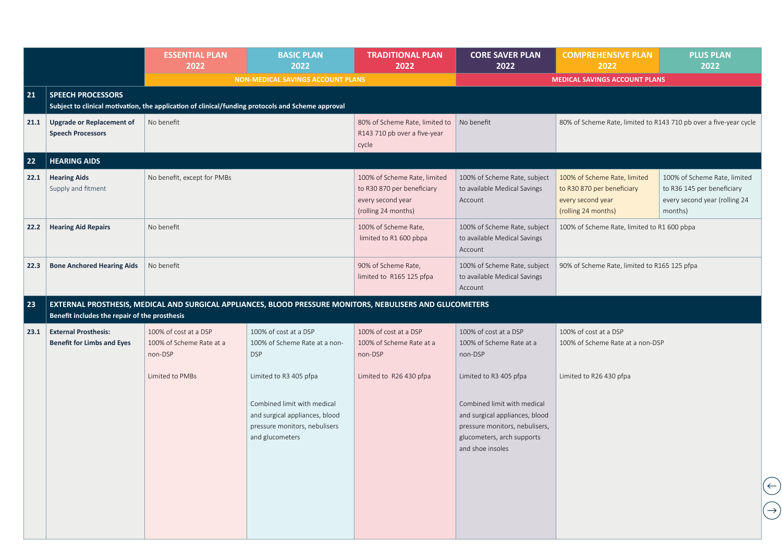|      |                                                                  | <b>ESSENTIAL PLAN</b><br>2022                                | <b>BASIC PLAN</b><br>2022                                                                                                                   | <b>TRADITIONAL PLAN</b><br>2022                                                                        | <b>CORE SAVER PLAN</b><br>2022                                                                                                                          | <b>COMPREHENSIVE PLAN</b><br>2022                                                                      | <b>PLUS PLAN</b><br>2022                                                                               |
|------|------------------------------------------------------------------|--------------------------------------------------------------|---------------------------------------------------------------------------------------------------------------------------------------------|--------------------------------------------------------------------------------------------------------|---------------------------------------------------------------------------------------------------------------------------------------------------------|--------------------------------------------------------------------------------------------------------|--------------------------------------------------------------------------------------------------------|
|      |                                                                  |                                                              | <b>NON-MEDICAL SAVINGS ACCOUNT PLANS</b>                                                                                                    |                                                                                                        |                                                                                                                                                         | <b>MEDICAL SAVINGS ACCOUNT PLANS</b>                                                                   |                                                                                                        |
| 21   | <b>SPEECH PROCESSORS</b>                                         |                                                              | Subject to clinical motivation, the application of clinical/funding protocols and Scheme approval                                           |                                                                                                        |                                                                                                                                                         |                                                                                                        |                                                                                                        |
| 21.1 | Upgrade or Replacement of<br><b>Speech Processors</b>            | No benefit                                                   |                                                                                                                                             | 80% of Scheme Rate, limited to<br>R143 710 pb over a five-year<br>cycle                                | No benefit                                                                                                                                              |                                                                                                        | 80% of Scheme Rate, limited to R143 710 pb over a five-year cycle                                      |
| 22   | <b>HEARING AIDS</b>                                              |                                                              |                                                                                                                                             |                                                                                                        |                                                                                                                                                         |                                                                                                        |                                                                                                        |
| 22.1 | <b>Hearing Aids</b><br>Supply and fitment                        | No benefit, except for PMBs                                  |                                                                                                                                             | 100% of Scheme Rate, limited<br>to R30 870 per beneficiary<br>every second year<br>(rolling 24 months) | 100% of Scheme Rate, subject<br>to available Medical Savings<br>Account                                                                                 | 100% of Scheme Rate, limited<br>to R30 870 per beneficiary<br>every second year<br>(rolling 24 months) | 100% of Scheme Rate, limited<br>to R36 145 per beneficiary<br>every second year (rolling 24<br>months) |
| 22.2 | <b>Hearing Aid Repairs</b>                                       | No benefit                                                   |                                                                                                                                             | 100% of Scheme Rate,<br>limited to R1 600 pbpa                                                         | 100% of Scheme Rate, subject<br>to available Medical Savings<br>Account                                                                                 | 100% of Scheme Rate, limited to R1 600 pbpa                                                            |                                                                                                        |
| 22.3 | <b>Bone Anchored Hearing Aids</b>                                | No benefit                                                   |                                                                                                                                             | 90% of Scheme Rate,<br>limited to R165 125 pfpa                                                        | 100% of Scheme Rate, subject<br>to available Medical Savings<br>Account                                                                                 | 90% of Scheme Rate, limited to R165 125 pfpa                                                           |                                                                                                        |
| 23   | Benefit includes the repair of the prosthesis                    |                                                              | EXTERNAL PROSTHESIS, MEDICAL AND SURGICAL APPLIANCES, BLOOD PRESSURE MONITORS, NEBULISERS AND GLUCOMETERS                                   |                                                                                                        |                                                                                                                                                         |                                                                                                        |                                                                                                        |
| 23.1 | <b>External Prosthesis:</b><br><b>Benefit for Limbs and Eyes</b> | 100% of cost at a DSP<br>100% of Scheme Rate at a<br>non-DSP | 100% of cost at a DSP<br>100% of Scheme Rate at a non-<br><b>DSP</b>                                                                        | 100% of cost at a DSP<br>100% of Scheme Rate at a<br>non-DSP                                           | 100% of cost at a DSP<br>100% of Scheme Rate at a<br>non-DSP                                                                                            | 100% of cost at a DSP<br>100% of Scheme Rate at a non-DSP                                              |                                                                                                        |
|      |                                                                  | Limited to PMBs                                              | Limited to R3 405 pfpa<br>Combined limit with medical<br>and surgical appliances, blood<br>pressure monitors, nebulisers<br>and glucometers | Limited to R26 430 pfpa                                                                                | Limited to R3 405 pfpa<br>Combined limit with medical<br>and surgical appliances, blood<br>pressure monitors, nebulisers,<br>glucometers, arch supports | Limited to R26 430 pfpa                                                                                |                                                                                                        |
|      |                                                                  |                                                              |                                                                                                                                             |                                                                                                        | and shoe insoles                                                                                                                                        |                                                                                                        | $(\leftarrow)$<br>$\rightarrow$                                                                        |
|      |                                                                  |                                                              |                                                                                                                                             |                                                                                                        |                                                                                                                                                         |                                                                                                        |                                                                                                        |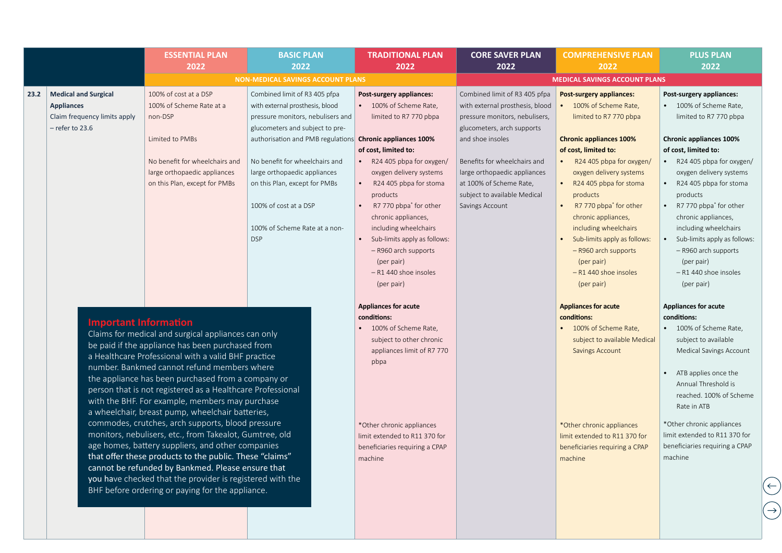|      |                                                                                                       | <b>ESSENTIAL PLAN</b><br>2022                                                                                                                                                                                                                                                                                                                                                                                                                                                                                                                                                                                                                                                                                                                                                                                                                  | <b>BASIC PLAN</b><br>2022                                                                                                                                                                                                                                                                                                                                                        | <b>TRADITIONAL PLAN</b><br>2022                                                                                                                                                                                                                                                                                                                                                                    | <b>CORE SAVER PLAN</b><br>2022                                                                                                                                                                                                                                                                     | <b>COMPREHENSIVE PLAN</b><br>2022                                                                                                                                                                                                                                                                                                                                                                                                             | <b>PLUS PLAN</b><br>2022                                                                                                                                                                                                                                                                                                                                                                                                             |
|------|-------------------------------------------------------------------------------------------------------|------------------------------------------------------------------------------------------------------------------------------------------------------------------------------------------------------------------------------------------------------------------------------------------------------------------------------------------------------------------------------------------------------------------------------------------------------------------------------------------------------------------------------------------------------------------------------------------------------------------------------------------------------------------------------------------------------------------------------------------------------------------------------------------------------------------------------------------------|----------------------------------------------------------------------------------------------------------------------------------------------------------------------------------------------------------------------------------------------------------------------------------------------------------------------------------------------------------------------------------|----------------------------------------------------------------------------------------------------------------------------------------------------------------------------------------------------------------------------------------------------------------------------------------------------------------------------------------------------------------------------------------------------|----------------------------------------------------------------------------------------------------------------------------------------------------------------------------------------------------------------------------------------------------------------------------------------------------|-----------------------------------------------------------------------------------------------------------------------------------------------------------------------------------------------------------------------------------------------------------------------------------------------------------------------------------------------------------------------------------------------------------------------------------------------|--------------------------------------------------------------------------------------------------------------------------------------------------------------------------------------------------------------------------------------------------------------------------------------------------------------------------------------------------------------------------------------------------------------------------------------|
|      |                                                                                                       |                                                                                                                                                                                                                                                                                                                                                                                                                                                                                                                                                                                                                                                                                                                                                                                                                                                | <b>NON-MEDICAL SAVINGS ACCOUNT PLANS</b>                                                                                                                                                                                                                                                                                                                                         |                                                                                                                                                                                                                                                                                                                                                                                                    |                                                                                                                                                                                                                                                                                                    | <b>MEDICAL SAVINGS ACCOUNT PLANS</b>                                                                                                                                                                                                                                                                                                                                                                                                          |                                                                                                                                                                                                                                                                                                                                                                                                                                      |
| 23.2 | <b>Medical and Surgical</b><br><b>Appliances</b><br>Claim frequency limits apply<br>$-$ refer to 23.6 | 100% of cost at a DSP<br>100% of Scheme Rate at a<br>non-DSP<br>Limited to PMBs<br>No benefit for wheelchairs and<br>large orthopaedic appliances<br>on this Plan, except for PMBs                                                                                                                                                                                                                                                                                                                                                                                                                                                                                                                                                                                                                                                             | Combined limit of R3 405 pfpa<br>with external prosthesis, blood<br>pressure monitors, nebulisers and<br>glucometers and subject to pre-<br>authorisation and PMB regulations Chronic appliances 100%<br>No benefit for wheelchairs and<br>large orthopaedic appliances<br>on this Plan, except for PMBs<br>100% of cost at a DSP<br>100% of Scheme Rate at a non-<br><b>DSP</b> | Post-surgery appliances:<br>100% of Scheme Rate,<br>limited to R7 770 pbpa<br>of cost, limited to:<br>R24 405 pbpa for oxygen/<br>oxygen delivery systems<br>R24 405 pbpa for stoma<br>products<br>R7 770 pbpa <sup>*</sup> for other<br>chronic appliances,<br>including wheelchairs<br>Sub-limits apply as follows:<br>- R960 arch supports<br>(per pair)<br>- R1 440 shoe insoles<br>(per pair) | Combined limit of R3 405 pfpa<br>with external prosthesis, blood<br>pressure monitors, nebulisers,<br>glucometers, arch supports<br>and shoe insoles<br>Benefits for wheelchairs and<br>large orthopaedic appliances<br>at 100% of Scheme Rate,<br>subject to available Medical<br>Savings Account | <b>Post-surgery appliances:</b><br>100% of Scheme Rate,<br>limited to R7 770 pbpa<br><b>Chronic appliances 100%</b><br>of cost, limited to:<br>R24 405 pbpa for oxygen/<br>oxygen delivery systems<br>• R24 405 pbpa for stoma<br>products<br>R7 770 pbpa <sup>*</sup> for other<br>chronic appliances,<br>including wheelchairs<br>Sub-limits apply as follows:<br>- R960 arch supports<br>(per pair)<br>- R1 440 shoe insoles<br>(per pair) | Post-surgery appliances:<br>100% of Scheme Rate,<br>limited to R7 770 pbpa<br><b>Chronic appliances 100%</b><br>of cost, limited to:<br>R24 405 pbpa for oxygen/<br>oxygen delivery systems<br>R24 405 pbpa for stoma<br>products<br>R7 770 pbpa <sup>*</sup> for other<br>chronic appliances,<br>including wheelchairs<br>Sub-limits apply as follows:<br>- R960 arch supports<br>(per pair)<br>- R1 440 shoe insoles<br>(per pair) |
|      | <b>Important Information</b>                                                                          | Claims for medical and surgical appliances can only<br>be paid if the appliance has been purchased from<br>a Healthcare Professional with a valid BHF practice<br>number. Bankmed cannot refund members where<br>the appliance has been purchased from a company or<br>person that is not registered as a Healthcare Professional<br>with the BHF. For example, members may purchase<br>a wheelchair, breast pump, wheelchair batteries,<br>commodes, crutches, arch supports, blood pressure<br>monitors, nebulisers, etc., from Takealot, Gumtree, old<br>age homes, battery suppliers, and other companies<br>that offer these products to the public. These "claims"<br>cannot be refunded by Bankmed. Please ensure that<br>you have checked that the provider is registered with the<br>BHF before ordering or paying for the appliance. |                                                                                                                                                                                                                                                                                                                                                                                  | <b>Appliances for acute</b><br>conditions:<br>100% of Scheme Rate,<br>subject to other chronic<br>appliances limit of R7 770<br>pbpa<br>*Other chronic appliances<br>limit extended to R11 370 for<br>beneficiaries requiring a CPAP<br>machine                                                                                                                                                    |                                                                                                                                                                                                                                                                                                    | <b>Appliances for acute</b><br>conditions:<br>• 100% of Scheme Rate,<br>subject to available Medical<br><b>Savings Account</b><br>*Other chronic appliances<br>limit extended to R11 370 for<br>beneficiaries requiring a CPAP<br>machine                                                                                                                                                                                                     | <b>Appliances for acute</b><br>conditions:<br>100% of Scheme Rate,<br>subject to available<br>Medical Savings Account<br>ATB applies once the<br>Annual Threshold is<br>reached. 100% of Scheme<br>Rate in ATB<br>*Other chronic appliances<br>limit extended to R11 370 for<br>beneficiaries requiring a CPAP<br>machine                                                                                                            |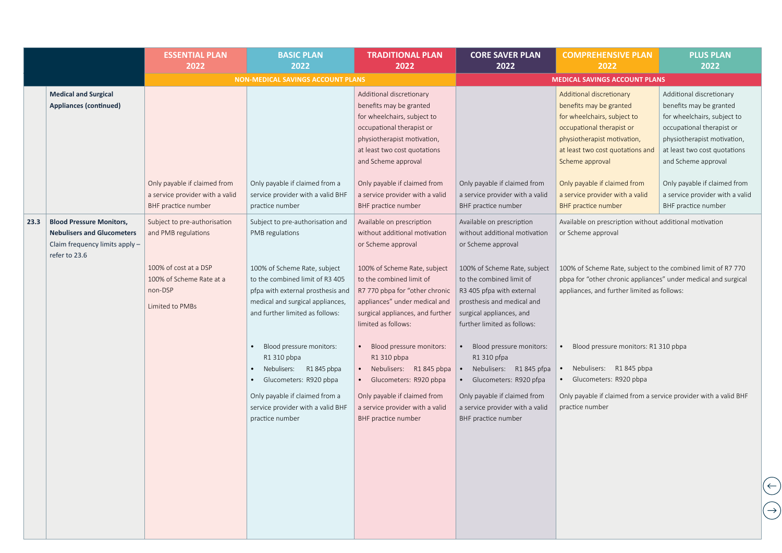|      |                                                                                                                         | <b>ESSENTIAL PLAN</b><br>2022                                                          | <b>BASIC PLAN</b><br>2022                                                                                                                                                   | <b>TRADITIONAL PLAN</b><br>2022                                                                                                                                                                       | <b>CORE SAVER PLAN</b><br>2022                                                                                                                                                 | <b>COMPREHENSIVE PLAN</b><br>2022                                                                                                                                                                     | <b>PLUS PLAN</b><br>2022                                                                                                                                                                              |
|------|-------------------------------------------------------------------------------------------------------------------------|----------------------------------------------------------------------------------------|-----------------------------------------------------------------------------------------------------------------------------------------------------------------------------|-------------------------------------------------------------------------------------------------------------------------------------------------------------------------------------------------------|--------------------------------------------------------------------------------------------------------------------------------------------------------------------------------|-------------------------------------------------------------------------------------------------------------------------------------------------------------------------------------------------------|-------------------------------------------------------------------------------------------------------------------------------------------------------------------------------------------------------|
|      |                                                                                                                         |                                                                                        | <b>NON-MEDICAL SAVINGS ACCOUNT PLANS</b>                                                                                                                                    |                                                                                                                                                                                                       |                                                                                                                                                                                | <b>MEDICAL SAVINGS ACCOUNT PLANS</b>                                                                                                                                                                  |                                                                                                                                                                                                       |
|      | <b>Medical and Surgical</b><br><b>Appliances (continued)</b>                                                            |                                                                                        |                                                                                                                                                                             | Additional discretionary<br>benefits may be granted<br>for wheelchairs, subject to<br>occupational therapist or<br>physiotherapist motivation,<br>at least two cost quotations<br>and Scheme approval |                                                                                                                                                                                | Additional discretionary<br>benefits may be granted<br>for wheelchairs, subject to<br>occupational therapist or<br>physiotherapist motivation,<br>at least two cost quotations and<br>Scheme approval | Additional discretionary<br>benefits may be granted<br>for wheelchairs, subject to<br>occupational therapist or<br>physiotherapist motivation,<br>at least two cost quotations<br>and Scheme approval |
|      |                                                                                                                         | Only payable if claimed from<br>a service provider with a valid<br>BHF practice number | Only payable if claimed from a<br>service provider with a valid BHF<br>practice number                                                                                      | Only payable if claimed from<br>a service provider with a valid<br>BHF practice number                                                                                                                | Only payable if claimed from<br>a service provider with a valid<br>BHF practice number                                                                                         | Only payable if claimed from<br>a service provider with a valid<br><b>BHF</b> practice number                                                                                                         | Only payable if claimed from<br>a service provider with a valid<br>BHF practice number                                                                                                                |
| 23.3 | <b>Blood Pressure Monitors,</b><br><b>Nebulisers and Glucometers</b><br>Claim frequency limits apply -<br>refer to 23.6 | Subject to pre-authorisation<br>and PMB regulations                                    | Subject to pre-authorisation and<br>PMB regulations                                                                                                                         | Available on prescription<br>without additional motivation<br>or Scheme approval                                                                                                                      | Available on prescription<br>without additional motivation<br>or Scheme approval                                                                                               | Available on prescription without additional motivation<br>or Scheme approval                                                                                                                         |                                                                                                                                                                                                       |
|      |                                                                                                                         | 100% of cost at a DSP<br>100% of Scheme Rate at a<br>non-DSP<br>Limited to PMBs        | 100% of Scheme Rate, subject<br>to the combined limit of R3 405<br>pfpa with external prosthesis and<br>medical and surgical appliances,<br>and further limited as follows: | 100% of Scheme Rate, subject<br>to the combined limit of<br>R7 770 pbpa for "other chronic<br>appliances" under medical and<br>surgical appliances, and further<br>limited as follows:                | 100% of Scheme Rate, subject<br>to the combined limit of<br>R3 405 pfpa with external<br>prosthesis and medical and<br>surgical appliances, and<br>further limited as follows: | 100% of Scheme Rate, subject to the combined limit of R7 770<br>pbpa for "other chronic appliances" under medical and surgical<br>appliances, and further limited as follows:                         |                                                                                                                                                                                                       |
|      |                                                                                                                         |                                                                                        | Blood pressure monitors:<br>R1 310 pbpa<br>Nebulisers: R1 845 pbpa<br>Glucometers: R920 pbpa                                                                                | Blood pressure monitors:<br>R1 310 pbpa<br>Nebulisers: R1 845 pbpa<br>• Glucometers: R920 pbpa                                                                                                        | Blood pressure monitors:<br>R1 310 pfpa<br>Nebulisers: R1 845 pfpa<br>Glucometers: R920 pfpa                                                                                   | Blood pressure monitors: R1 310 pbpa<br>Nebulisers: R1 845 pbpa<br>Glucometers: R920 pbpa                                                                                                             |                                                                                                                                                                                                       |
|      |                                                                                                                         |                                                                                        | Only payable if claimed from a<br>service provider with a valid BHF<br>practice number                                                                                      | Only payable if claimed from<br>a service provider with a valid<br>BHF practice number                                                                                                                | Only payable if claimed from<br>a service provider with a valid<br>BHF practice number                                                                                         | Only payable if claimed from a service provider with a valid BHF<br>practice number                                                                                                                   |                                                                                                                                                                                                       |
|      |                                                                                                                         |                                                                                        |                                                                                                                                                                             |                                                                                                                                                                                                       |                                                                                                                                                                                |                                                                                                                                                                                                       |                                                                                                                                                                                                       |

 $\bigodot$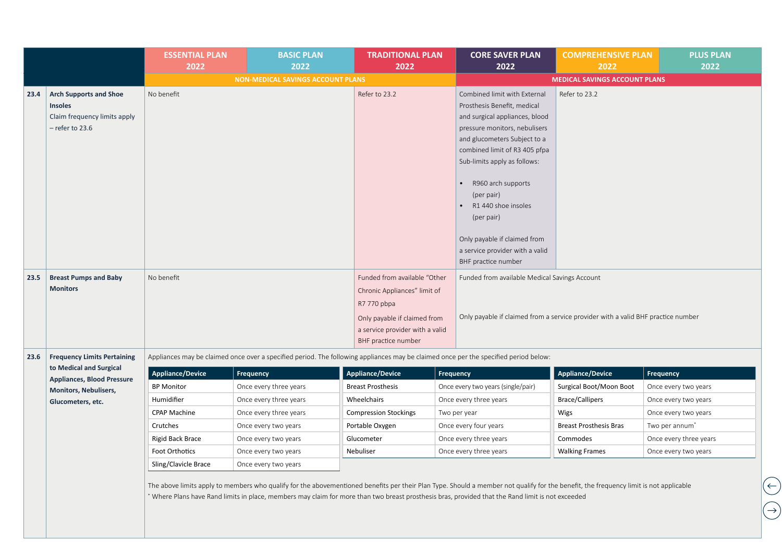|      |                                                                                                      | <b>ESSENTIAL PLAN</b><br>2022 | <b>BASIC PLAN</b><br>2022                                                                                                                                                                                                                                                                                                                  | <b>TRADITIONAL PLAN</b><br>2022                                                                                                                                       |           | <b>CORE SAVER PLAN</b><br>2022                                                                                                                                                                                                                                                                                                                                                                     | <b>COMPREHENSIVE PLAN</b><br>2022    | <b>PLUS PLAN</b><br>2022 |
|------|------------------------------------------------------------------------------------------------------|-------------------------------|--------------------------------------------------------------------------------------------------------------------------------------------------------------------------------------------------------------------------------------------------------------------------------------------------------------------------------------------|-----------------------------------------------------------------------------------------------------------------------------------------------------------------------|-----------|----------------------------------------------------------------------------------------------------------------------------------------------------------------------------------------------------------------------------------------------------------------------------------------------------------------------------------------------------------------------------------------------------|--------------------------------------|--------------------------|
|      |                                                                                                      |                               | <b>NON-MEDICAL SAVINGS ACCOUNT PLANS</b>                                                                                                                                                                                                                                                                                                   |                                                                                                                                                                       |           |                                                                                                                                                                                                                                                                                                                                                                                                    | <b>MEDICAL SAVINGS ACCOUNT PLANS</b> |                          |
| 23.4 | <b>Arch Supports and Shoe</b><br><b>Insoles</b><br>Claim frequency limits apply<br>$-$ refer to 23.6 | No benefit                    |                                                                                                                                                                                                                                                                                                                                            | Refer to 23.2                                                                                                                                                         |           | Combined limit with External<br>Prosthesis Benefit, medical<br>and surgical appliances, blood<br>pressure monitors, nebulisers<br>and glucometers Subject to a<br>combined limit of R3 405 pfpa<br>Sub-limits apply as follows:<br>R960 arch supports<br>(per pair)<br>R1 440 shoe insoles<br>(per pair)<br>Only payable if claimed from<br>a service provider with a valid<br>BHF practice number | Refer to 23.2                        |                          |
| 23.5 | <b>Breast Pumps and Baby</b><br><b>Monitors</b>                                                      | No benefit                    |                                                                                                                                                                                                                                                                                                                                            | Funded from available "Other<br>Chronic Appliances" limit of<br>R7 770 pbpa<br>Only payable if claimed from<br>a service provider with a valid<br>BHF practice number |           | Funded from available Medical Savings Account<br>Only payable if claimed from a service provider with a valid BHF practice number                                                                                                                                                                                                                                                                  |                                      |                          |
| 23.6 | <b>Frequency Limits Pertaining</b>                                                                   |                               | Appliances may be claimed once over a specified period. The following appliances may be claimed once per the specified period below:                                                                                                                                                                                                       |                                                                                                                                                                       |           |                                                                                                                                                                                                                                                                                                                                                                                                    |                                      |                          |
|      | to Medical and Surgical                                                                              | Appliance/Device              | <b>Frequency</b>                                                                                                                                                                                                                                                                                                                           | <b>Appliance/Device</b>                                                                                                                                               | Frequency |                                                                                                                                                                                                                                                                                                                                                                                                    | <b>Appliance/Device</b>              | Frequency                |
|      | <b>Appliances, Blood Pressure</b>                                                                    | <b>BP Monitor</b>             | Once every three years                                                                                                                                                                                                                                                                                                                     | <b>Breast Prosthesis</b>                                                                                                                                              |           | Once every two years (single/pair)                                                                                                                                                                                                                                                                                                                                                                 | Surgical Boot/Moon Boot              | Once every two years     |
|      | Monitors, Nebulisers,<br>Glucometers, etc.                                                           | Humidifier                    | Once every three years                                                                                                                                                                                                                                                                                                                     | Wheelchairs                                                                                                                                                           |           | Once every three years                                                                                                                                                                                                                                                                                                                                                                             | <b>Brace/Callipers</b>               | Once every two years     |
|      |                                                                                                      | <b>CPAP Machine</b>           | Once every three years                                                                                                                                                                                                                                                                                                                     | <b>Compression Stockings</b>                                                                                                                                          |           | Two per year                                                                                                                                                                                                                                                                                                                                                                                       | Wigs                                 | Once every two years     |
|      |                                                                                                      | Crutches                      | Once every two years                                                                                                                                                                                                                                                                                                                       | Portable Oxygen                                                                                                                                                       |           | Once every four years                                                                                                                                                                                                                                                                                                                                                                              | <b>Breast Prosthesis Bras</b>        | Two per annum*           |
|      |                                                                                                      | Rigid Back Brace              | Once every two years                                                                                                                                                                                                                                                                                                                       | Glucometer                                                                                                                                                            |           | Once every three years                                                                                                                                                                                                                                                                                                                                                                             | Commodes                             | Once every three years   |
|      |                                                                                                      | Foot Orthotics                | Once every two years                                                                                                                                                                                                                                                                                                                       | Nebuliser                                                                                                                                                             |           | Once every three years                                                                                                                                                                                                                                                                                                                                                                             | <b>Walking Frames</b>                | Once every two years     |
|      |                                                                                                      | Sling/Clavicle Brace          | Once every two years                                                                                                                                                                                                                                                                                                                       |                                                                                                                                                                       |           |                                                                                                                                                                                                                                                                                                                                                                                                    |                                      |                          |
|      |                                                                                                      |                               | The above limits apply to members who qualify for the abovementioned benefits per their Plan Type. Should a member not qualify for the benefit, the frequency limit is not applicable<br>* Where Plans have Rand limits in place, members may claim for more than two breast prosthesis bras, provided that the Rand limit is not exceeded |                                                                                                                                                                       |           |                                                                                                                                                                                                                                                                                                                                                                                                    |                                      |                          |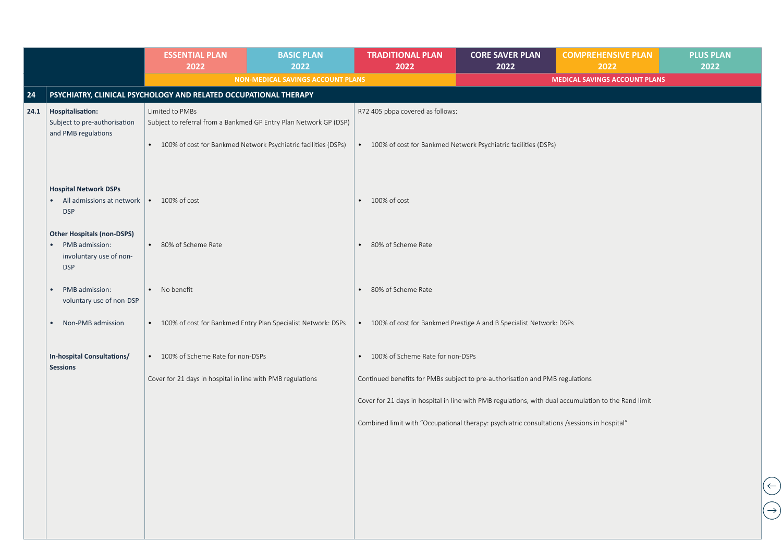|      |                                                                                              | <b>ESSENTIAL PLAN</b><br>2022                                                        | <b>BASIC PLAN</b><br>2022         | <b>TRADITIONAL PLAN</b><br>2022               | <b>CORE SAVER PLAN</b><br>2022                                                                       | <b>COMPREHENSIVE PLAN</b><br>2022    | <b>PLUS PLAN</b><br>2022 |
|------|----------------------------------------------------------------------------------------------|--------------------------------------------------------------------------------------|-----------------------------------|-----------------------------------------------|------------------------------------------------------------------------------------------------------|--------------------------------------|--------------------------|
|      |                                                                                              |                                                                                      | NON-MEDICAL SAVINGS ACCOUNT PLANS |                                               |                                                                                                      | <b>MEDICAL SAVINGS ACCOUNT PLANS</b> |                          |
| 24   |                                                                                              | PSYCHIATRY, CLINICAL PSYCHOLOGY AND RELATED OCCUPATIONAL THERAPY                     |                                   |                                               |                                                                                                      |                                      |                          |
| 24.1 | Hospitalisation:<br>Subject to pre-authorisation<br>and PMB regulations                      | Limited to PMBs<br>Subject to referral from a Bankmed GP Entry Plan Network GP (DSP) |                                   | R72 405 pbpa covered as follows:              |                                                                                                      |                                      |                          |
|      |                                                                                              | • 100% of cost for Bankmed Network Psychiatric facilities (DSPs)                     |                                   |                                               | • 100% of cost for Bankmed Network Psychiatric facilities (DSPs)                                     |                                      |                          |
|      | <b>Hospital Network DSPs</b><br>All admissions at network   • 100% of cost<br><b>DSP</b>     |                                                                                      |                                   | $\bullet$ 100% of cost                        |                                                                                                      |                                      |                          |
|      | <b>Other Hospitals (non-DSPS)</b><br>PMB admission:<br>involuntary use of non-<br><b>DSP</b> | • 80% of Scheme Rate                                                                 |                                   | 80% of Scheme Rate<br>$\bullet$               |                                                                                                      |                                      |                          |
|      | PMB admission:<br>voluntary use of non-DSP                                                   | • No benefit                                                                         |                                   | 80% of Scheme Rate<br>$\bullet$               |                                                                                                      |                                      |                          |
|      | Non-PMB admission<br>$\bullet$                                                               | • 100% of cost for Bankmed Entry Plan Specialist Network: DSPs                       |                                   | $\bullet$                                     | 100% of cost for Bankmed Prestige A and B Specialist Network: DSPs                                   |                                      |                          |
|      | In-hospital Consultations/<br><b>Sessions</b>                                                | • 100% of Scheme Rate for non-DSPs                                                   |                                   | 100% of Scheme Rate for non-DSPs<br>$\bullet$ |                                                                                                      |                                      |                          |
|      |                                                                                              | Cover for 21 days in hospital in line with PMB regulations                           |                                   |                                               | Continued benefits for PMBs subject to pre-authorisation and PMB regulations                         |                                      |                          |
|      |                                                                                              |                                                                                      |                                   |                                               | Cover for 21 days in hospital in line with PMB regulations, with dual accumulation to the Rand limit |                                      |                          |
|      |                                                                                              |                                                                                      |                                   |                                               | Combined limit with "Occupational therapy: psychiatric consultations /sessions in hospital"          |                                      |                          |
|      |                                                                                              |                                                                                      |                                   |                                               |                                                                                                      |                                      |                          |
|      |                                                                                              |                                                                                      |                                   |                                               |                                                                                                      |                                      |                          |
|      |                                                                                              |                                                                                      |                                   |                                               |                                                                                                      |                                      |                          |
|      |                                                                                              |                                                                                      |                                   |                                               |                                                                                                      |                                      |                          |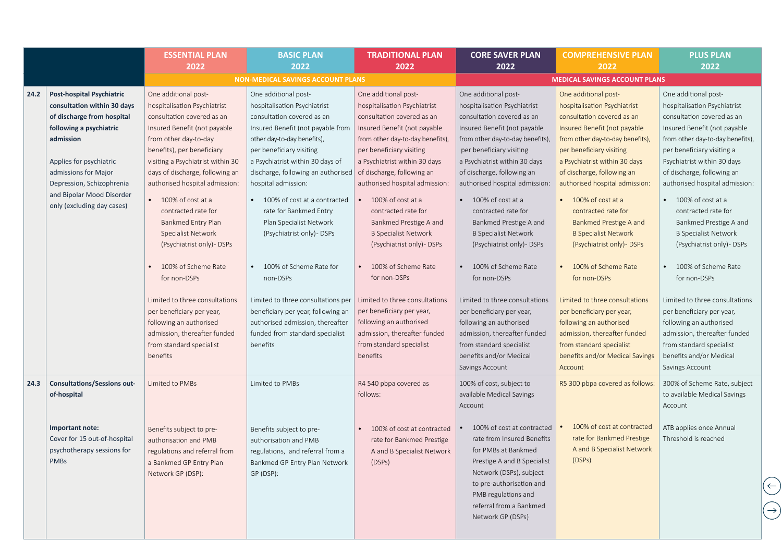|      |                                                                                                                                                                                                                                                                                  | <b>ESSENTIAL PLAN</b><br>2022                                                                                                                                                                                                                                                                                                                                                                                                                                                                              | <b>BASIC PLAN</b><br>2022                                                                                                                                                                                                                                                                                                                                                                                                                                                             | <b>TRADITIONAL PLAN</b><br>2022                                                                                                                                                                                                                                                                                                                                                                                                                                                                 | <b>CORE SAVER PLAN</b><br>2022                                                                                                                                                                                                                                                                                                                                                                                                                                                                  | <b>COMPREHENSIVE PLAN</b><br>2022                                                                                                                                                                                                                                                                                                                                                                                                                                                                        | <b>PLUS PLAN</b><br>2022                                                                                                                                                                                                                                                                                                                                                                                                                                                                        |
|------|----------------------------------------------------------------------------------------------------------------------------------------------------------------------------------------------------------------------------------------------------------------------------------|------------------------------------------------------------------------------------------------------------------------------------------------------------------------------------------------------------------------------------------------------------------------------------------------------------------------------------------------------------------------------------------------------------------------------------------------------------------------------------------------------------|---------------------------------------------------------------------------------------------------------------------------------------------------------------------------------------------------------------------------------------------------------------------------------------------------------------------------------------------------------------------------------------------------------------------------------------------------------------------------------------|-------------------------------------------------------------------------------------------------------------------------------------------------------------------------------------------------------------------------------------------------------------------------------------------------------------------------------------------------------------------------------------------------------------------------------------------------------------------------------------------------|-------------------------------------------------------------------------------------------------------------------------------------------------------------------------------------------------------------------------------------------------------------------------------------------------------------------------------------------------------------------------------------------------------------------------------------------------------------------------------------------------|----------------------------------------------------------------------------------------------------------------------------------------------------------------------------------------------------------------------------------------------------------------------------------------------------------------------------------------------------------------------------------------------------------------------------------------------------------------------------------------------------------|-------------------------------------------------------------------------------------------------------------------------------------------------------------------------------------------------------------------------------------------------------------------------------------------------------------------------------------------------------------------------------------------------------------------------------------------------------------------------------------------------|
|      |                                                                                                                                                                                                                                                                                  |                                                                                                                                                                                                                                                                                                                                                                                                                                                                                                            | <b>NON-MEDICAL SAVINGS ACCOUNT PLANS</b>                                                                                                                                                                                                                                                                                                                                                                                                                                              |                                                                                                                                                                                                                                                                                                                                                                                                                                                                                                 |                                                                                                                                                                                                                                                                                                                                                                                                                                                                                                 | <b>MEDICAL SAVINGS ACCOUNT PLANS</b>                                                                                                                                                                                                                                                                                                                                                                                                                                                                     |                                                                                                                                                                                                                                                                                                                                                                                                                                                                                                 |
| 24.2 | <b>Post-hospital Psychiatric</b><br>consultation within 30 days<br>of discharge from hospital<br>following a psychiatric<br>admission<br>Applies for psychiatric<br>admissions for Major<br>Depression, Schizophrenia<br>and Bipolar Mood Disorder<br>only (excluding day cases) | One additional post-<br>hospitalisation Psychiatrist<br>consultation covered as an<br>Insured Benefit (not payable<br>from other day-to-day<br>benefits), per beneficiary<br>visiting a Psychiatrist within 30<br>days of discharge, following an<br>authorised hospital admission:<br>$\bullet$ 100% of cost at a<br>contracted rate for<br><b>Bankmed Entry Plan</b><br><b>Specialist Network</b><br>(Psychiatrist only) - DSPs<br>100% of Scheme Rate<br>for non-DSPs<br>Limited to three consultations | One additional post-<br>hospitalisation Psychiatrist<br>consultation covered as an<br>Insured Benefit (not payable from<br>other day-to-day benefits),<br>per beneficiary visiting<br>a Psychiatrist within 30 days of<br>discharge, following an authorised<br>hospital admission:<br>• 100% of cost at a contracted<br>rate for Bankmed Entry<br>Plan Specialist Network<br>(Psychiatrist only) - DSPs<br>100% of Scheme Rate for<br>non-DSPs<br>Limited to three consultations per | One additional post-<br>hospitalisation Psychiatrist<br>consultation covered as an<br>Insured Benefit (not payable<br>from other day-to-day benefits),<br>per beneficiary visiting<br>a Psychiatrist within 30 days<br>of discharge, following an<br>authorised hospital admission:<br>100% of cost at a<br>contracted rate for<br>Bankmed Prestige A and<br><b>B Specialist Network</b><br>(Psychiatrist only) - DSPs<br>100% of Scheme Rate<br>for non-DSPs<br>Limited to three consultations | One additional post-<br>hospitalisation Psychiatrist<br>consultation covered as an<br>Insured Benefit (not payable<br>from other day-to-day benefits),<br>per beneficiary visiting<br>a Psychiatrist within 30 days<br>of discharge, following an<br>authorised hospital admission:<br>100% of cost at a<br>contracted rate for<br>Bankmed Prestige A and<br><b>B Specialist Network</b><br>(Psychiatrist only) - DSPs<br>100% of Scheme Rate<br>for non-DSPs<br>Limited to three consultations | One additional post-<br>hospitalisation Psychiatrist<br>consultation covered as an<br>Insured Benefit (not payable<br>from other day-to-day benefits)<br>per beneficiary visiting<br>a Psychiatrist within 30 days<br>of discharge, following an<br>authorised hospital admission:<br>$\bullet$ 100% of cost at a<br>contracted rate for<br>Bankmed Prestige A and<br><b>B Specialist Network</b><br>(Psychiatrist only) - DSPs<br>100% of Scheme Rate<br>for non-DSPs<br>Limited to three consultations | One additional post-<br>hospitalisation Psychiatrist<br>consultation covered as an<br>Insured Benefit (not payable<br>from other day-to-day benefits),<br>per beneficiary visiting a<br>Psychiatrist within 30 days<br>of discharge, following an<br>authorised hospital admission:<br>100% of cost at a<br>contracted rate for<br>Bankmed Prestige A and<br><b>B Specialist Network</b><br>(Psychiatrist only) - DSPs<br>100% of Scheme Rate<br>for non-DSPs<br>Limited to three consultations |
|      |                                                                                                                                                                                                                                                                                  | per beneficiary per year,<br>following an authorised<br>admission, thereafter funded<br>from standard specialist<br>benefits                                                                                                                                                                                                                                                                                                                                                                               | beneficiary per year, following an<br>authorised admission, thereafter<br>funded from standard specialist<br>benefits                                                                                                                                                                                                                                                                                                                                                                 | per beneficiary per year,<br>following an authorised<br>admission, thereafter funded<br>from standard specialist<br>benefits                                                                                                                                                                                                                                                                                                                                                                    | per beneficiary per year,<br>following an authorised<br>admission, thereafter funded<br>from standard specialist<br>benefits and/or Medical<br>Savings Account                                                                                                                                                                                                                                                                                                                                  | per beneficiary per year,<br>following an authorised<br>admission, thereafter funded<br>from standard specialist<br>benefits and/or Medical Savings<br>Account                                                                                                                                                                                                                                                                                                                                           | per beneficiary per year,<br>following an authorised<br>admission, thereafter funded<br>from standard specialist<br>benefits and/or Medical<br>Savings Account                                                                                                                                                                                                                                                                                                                                  |
| 24.3 | <b>Consultations/Sessions out-</b><br>of-hospital                                                                                                                                                                                                                                | Limited to PMBs                                                                                                                                                                                                                                                                                                                                                                                                                                                                                            | Limited to PMBs                                                                                                                                                                                                                                                                                                                                                                                                                                                                       | R4 540 pbpa covered as<br>follows:                                                                                                                                                                                                                                                                                                                                                                                                                                                              | 100% of cost, subject to<br>available Medical Savings<br>Account                                                                                                                                                                                                                                                                                                                                                                                                                                | R5 300 pbpa covered as follows:                                                                                                                                                                                                                                                                                                                                                                                                                                                                          | 300% of Scheme Rate, subject<br>to available Medical Savings<br>Account                                                                                                                                                                                                                                                                                                                                                                                                                         |
|      | Important note:<br>Cover for 15 out-of-hospital<br>psychotherapy sessions for<br><b>PMBs</b>                                                                                                                                                                                     | Benefits subject to pre-<br>authorisation and PMB<br>regulations and referral from<br>a Bankmed GP Entry Plan<br>Network GP (DSP):                                                                                                                                                                                                                                                                                                                                                                         | Benefits subject to pre-<br>authorisation and PMB<br>regulations, and referral from a<br>Bankmed GP Entry Plan Network<br>GP (DSP):                                                                                                                                                                                                                                                                                                                                                   | 100% of cost at contracted<br>rate for Bankmed Prestige<br>A and B Specialist Network<br>(DSPs)                                                                                                                                                                                                                                                                                                                                                                                                 | 100% of cost at contracted<br>rate from Insured Benefits<br>for PMBs at Bankmed<br>Prestige A and B Specialist<br>Network (DSPs), subject<br>to pre-authorisation and<br>PMB regulations and<br>referral from a Bankmed<br>Network GP (DSPs)                                                                                                                                                                                                                                                    | 100% of cost at contracted<br>rate for Bankmed Prestige<br>A and B Specialist Network<br>(DSPs)                                                                                                                                                                                                                                                                                                                                                                                                          | ATB applies once Annual<br>Threshold is reached                                                                                                                                                                                                                                                                                                                                                                                                                                                 |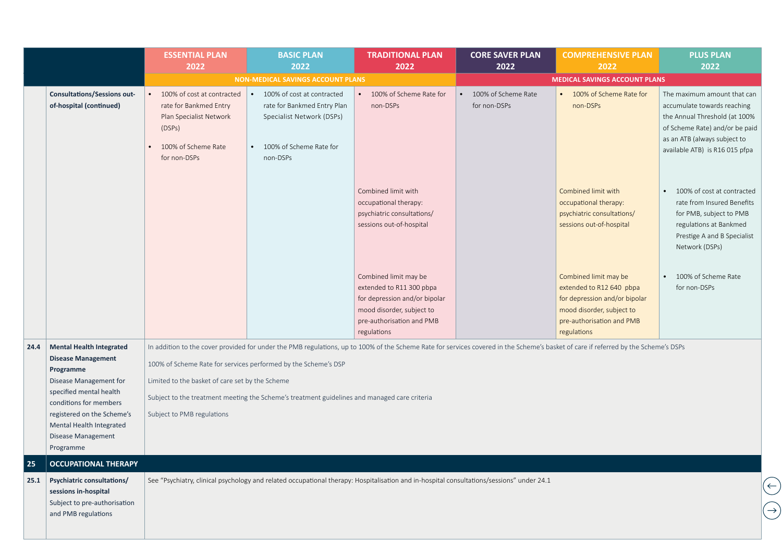|      |                                                                                                                                                                                                                                                       | <b>ESSENTIAL PLAN</b><br>2022                                                                                                    | <b>BASIC PLAN</b><br>2022                                                                                                                                                                                                                                                                                                                                                                                | <b>TRADITIONAL PLAN</b><br>2022                                                                                                                             | <b>CORE SAVER PLAN</b><br>2022      | <b>COMPREHENSIVE PLAN</b><br>2022                                                                                                                           | <b>PLUS PLAN</b><br>2022                                                                                                                                                                        |  |
|------|-------------------------------------------------------------------------------------------------------------------------------------------------------------------------------------------------------------------------------------------------------|----------------------------------------------------------------------------------------------------------------------------------|----------------------------------------------------------------------------------------------------------------------------------------------------------------------------------------------------------------------------------------------------------------------------------------------------------------------------------------------------------------------------------------------------------|-------------------------------------------------------------------------------------------------------------------------------------------------------------|-------------------------------------|-------------------------------------------------------------------------------------------------------------------------------------------------------------|-------------------------------------------------------------------------------------------------------------------------------------------------------------------------------------------------|--|
|      |                                                                                                                                                                                                                                                       |                                                                                                                                  | <b>NON-MEDICAL SAVINGS ACCOUNT PLANS</b>                                                                                                                                                                                                                                                                                                                                                                 |                                                                                                                                                             |                                     | <b>MEDICAL SAVINGS ACCOUNT PLANS</b>                                                                                                                        |                                                                                                                                                                                                 |  |
|      | <b>Consultations/Sessions out-</b><br>of-hospital (continued)                                                                                                                                                                                         | 100% of cost at contracted<br>rate for Bankmed Entry<br>Plan Specialist Network<br>(DSPs)<br>100% of Scheme Rate<br>for non-DSPs | 100% of cost at contracted<br>rate for Bankmed Entry Plan<br>Specialist Network (DSPs)<br>100% of Scheme Rate for<br>non-DSPs                                                                                                                                                                                                                                                                            | 100% of Scheme Rate for<br>non-DSPs                                                                                                                         | 100% of Scheme Rate<br>for non-DSPs | 100% of Scheme Rate for<br>$\bullet$<br>non-DSPs                                                                                                            | The maximum amount that can<br>accumulate towards reaching<br>the Annual Threshold (at 100%<br>of Scheme Rate) and/or be paid<br>as an ATB (always subject to<br>available ATB) is R16 015 pfpa |  |
|      |                                                                                                                                                                                                                                                       |                                                                                                                                  |                                                                                                                                                                                                                                                                                                                                                                                                          | Combined limit with<br>occupational therapy:<br>psychiatric consultations/<br>sessions out-of-hospital                                                      |                                     | Combined limit with<br>occupational therapy:<br>psychiatric consultations/<br>sessions out-of-hospital                                                      | 100% of cost at contracted<br>rate from Insured Benefits<br>for PMB, subject to PMB<br>regulations at Bankmed<br>Prestige A and B Specialist<br>Network (DSPs)                                  |  |
|      |                                                                                                                                                                                                                                                       |                                                                                                                                  |                                                                                                                                                                                                                                                                                                                                                                                                          | Combined limit may be<br>extended to R11 300 pbpa<br>for depression and/or bipolar<br>mood disorder, subject to<br>pre-authorisation and PMB<br>regulations |                                     | Combined limit may be<br>extended to R12 640 pbpa<br>for depression and/or bipolar<br>mood disorder, subject to<br>pre-authorisation and PMB<br>regulations | 100% of Scheme Rate<br>for non-DSPs                                                                                                                                                             |  |
| 24.4 | <b>Mental Health Integrated</b><br><b>Disease Management</b><br>Programme<br>Disease Management for<br>specified mental health<br>conditions for members<br>registered on the Scheme's<br>Mental Health Integrated<br>Disease Management<br>Programme | Subject to PMB regulations                                                                                                       | In addition to the cover provided for under the PMB regulations, up to 100% of the Scheme Rate for services covered in the Scheme's basket of care if referred by the Scheme's DSPs<br>100% of Scheme Rate for services performed by the Scheme's DSP<br>Limited to the basket of care set by the Scheme<br>Subject to the treatment meeting the Scheme's treatment guidelines and managed care criteria |                                                                                                                                                             |                                     |                                                                                                                                                             |                                                                                                                                                                                                 |  |
| 25   | <b>OCCUPATIONAL THERAPY</b>                                                                                                                                                                                                                           |                                                                                                                                  |                                                                                                                                                                                                                                                                                                                                                                                                          |                                                                                                                                                             |                                     |                                                                                                                                                             |                                                                                                                                                                                                 |  |
| 25.1 | Psychiatric consultations/<br>sessions in-hospital<br>Subject to pre-authorisation<br>and PMB regulations                                                                                                                                             |                                                                                                                                  | See "Psychiatry, clinical psychology and related occupational therapy: Hospitalisation and in-hospital consultations/sessions" under 24.1                                                                                                                                                                                                                                                                |                                                                                                                                                             |                                     |                                                                                                                                                             | $\bigoplus$<br>$\bigodot$                                                                                                                                                                       |  |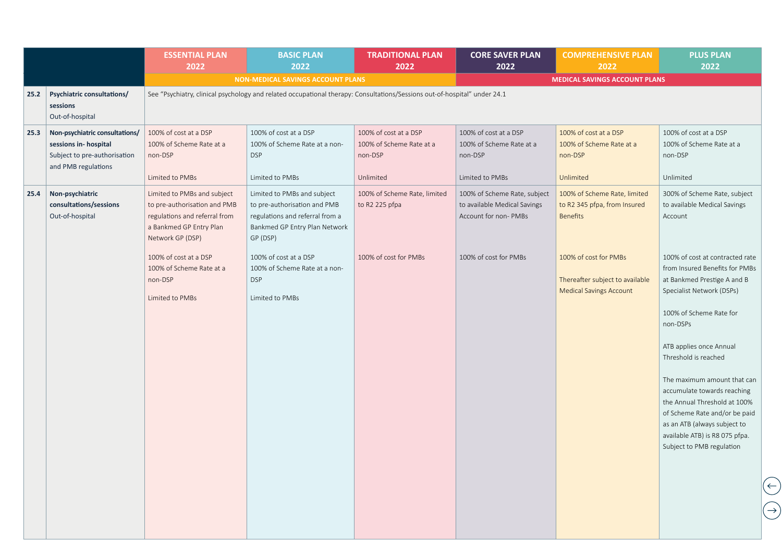|      |                                                                                                               | <b>ESSENTIAL PLAN</b><br>2022                                                                                                               | <b>BASIC PLAN</b><br>2022                                                                                                                   | <b>TRADITIONAL PLAN</b><br>2022                                           | <b>CORE SAVER PLAN</b><br>2022                                                       | <b>COMPREHENSIVE PLAN</b><br>2022                                                          | <b>PLUS PLAN</b><br>2022                                                                                                                                                                                                                                                                                                                                                                                                                              |                                            |
|------|---------------------------------------------------------------------------------------------------------------|---------------------------------------------------------------------------------------------------------------------------------------------|---------------------------------------------------------------------------------------------------------------------------------------------|---------------------------------------------------------------------------|--------------------------------------------------------------------------------------|--------------------------------------------------------------------------------------------|-------------------------------------------------------------------------------------------------------------------------------------------------------------------------------------------------------------------------------------------------------------------------------------------------------------------------------------------------------------------------------------------------------------------------------------------------------|--------------------------------------------|
|      |                                                                                                               |                                                                                                                                             | NON-MEDICAL SAVINGS ACCOUNT PLANS                                                                                                           |                                                                           |                                                                                      | <b>MEDICAL SAVINGS ACCOUNT PLANS</b>                                                       |                                                                                                                                                                                                                                                                                                                                                                                                                                                       |                                            |
| 25.2 | <b>Psychiatric consultations/</b><br>sessions<br>Out-of-hospital                                              |                                                                                                                                             | See "Psychiatry, clinical psychology and related occupational therapy: Consultations/Sessions out-of-hospital" under 24.1                   |                                                                           |                                                                                      |                                                                                            |                                                                                                                                                                                                                                                                                                                                                                                                                                                       |                                            |
| 25.3 | Non-psychiatric consultations/<br>sessions in-hospital<br>Subject to pre-authorisation<br>and PMB regulations | 100% of cost at a DSP<br>100% of Scheme Rate at a<br>non-DSP<br>Limited to PMBs                                                             | 100% of cost at a DSP<br>100% of Scheme Rate at a non-<br><b>DSP</b><br>Limited to PMBs                                                     | 100% of cost at a DSP<br>100% of Scheme Rate at a<br>non-DSP<br>Unlimited | 100% of cost at a DSP<br>100% of Scheme Rate at a<br>non-DSP<br>Limited to PMBs      | 100% of cost at a DSP<br>100% of Scheme Rate at a<br>non-DSP<br>Unlimited                  | 100% of cost at a DSP<br>100% of Scheme Rate at a<br>non-DSP<br>Unlimited                                                                                                                                                                                                                                                                                                                                                                             |                                            |
| 25.4 | Non-psychiatric<br>consultations/sessions<br>Out-of-hospital                                                  | Limited to PMBs and subject<br>to pre-authorisation and PMB<br>regulations and referral from<br>a Bankmed GP Entry Plan<br>Network GP (DSP) | Limited to PMBs and subject<br>to pre-authorisation and PMB<br>regulations and referral from a<br>Bankmed GP Entry Plan Network<br>GP (DSP) | 100% of Scheme Rate, limited<br>to R2 225 pfpa                            | 100% of Scheme Rate, subject<br>to available Medical Savings<br>Account for non-PMBs | 100% of Scheme Rate, limited<br>to R2 345 pfpa, from Insured<br><b>Benefits</b>            | 300% of Scheme Rate, subject<br>to available Medical Savings<br>Account                                                                                                                                                                                                                                                                                                                                                                               |                                            |
|      |                                                                                                               | 100% of cost at a DSP<br>100% of Scheme Rate at a<br>non-DSP<br>Limited to PMBs                                                             | 100% of cost at a DSP<br>100% of Scheme Rate at a non-<br><b>DSP</b><br>Limited to PMBs                                                     | 100% of cost for PMBs                                                     | 100% of cost for PMBs                                                                | 100% of cost for PMBs<br>Thereafter subject to available<br><b>Medical Savings Account</b> | 100% of cost at contracted rate<br>from Insured Benefits for PMBs<br>at Bankmed Prestige A and B<br>Specialist Network (DSPs)<br>100% of Scheme Rate for<br>non-DSPs<br>ATB applies once Annual<br>Threshold is reached<br>The maximum amount that can<br>accumulate towards reaching<br>the Annual Threshold at 100%<br>of Scheme Rate and/or be paid<br>as an ATB (always subject to<br>available ATB) is R8 075 pfpa.<br>Subject to PMB regulation |                                            |
|      |                                                                                                               |                                                                                                                                             |                                                                                                                                             |                                                                           |                                                                                      |                                                                                            |                                                                                                                                                                                                                                                                                                                                                                                                                                                       | $\left(\leftarrow\right)$<br>$\rightarrow$ |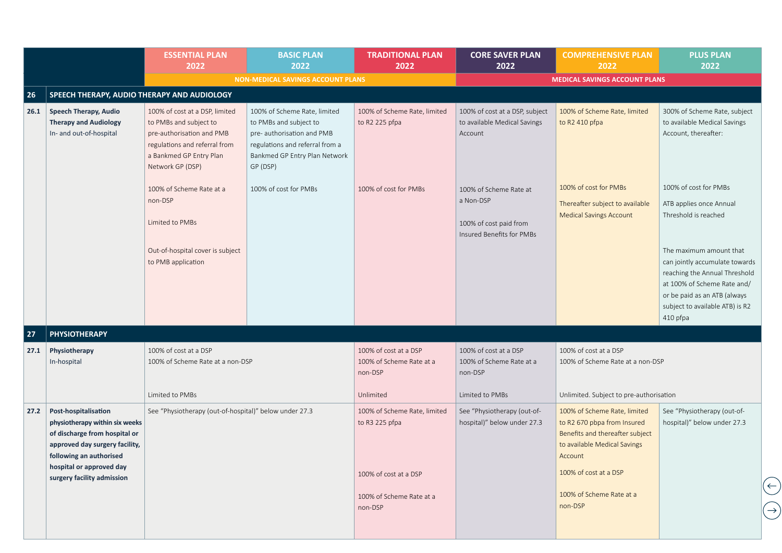|      |                                                                                                                                                                                  | <b>ESSENTIAL PLAN</b><br>2022                                                                                                                                         | <b>BASIC PLAN</b><br>2022                                                                                                                                            | <b>TRADITIONAL PLAN</b><br>2022                              | <b>CORE SAVER PLAN</b><br>2022                                                             | <b>COMPREHENSIVE PLAN</b><br>2022                                                                                                         | <b>PLUS PLAN</b><br>2022                                                                                                                                                                                                                                                             |
|------|----------------------------------------------------------------------------------------------------------------------------------------------------------------------------------|-----------------------------------------------------------------------------------------------------------------------------------------------------------------------|----------------------------------------------------------------------------------------------------------------------------------------------------------------------|--------------------------------------------------------------|--------------------------------------------------------------------------------------------|-------------------------------------------------------------------------------------------------------------------------------------------|--------------------------------------------------------------------------------------------------------------------------------------------------------------------------------------------------------------------------------------------------------------------------------------|
|      |                                                                                                                                                                                  | <b>NON-MEDICAL SAVINGS ACCOUNT PLANS</b><br><b>MEDICAL SAVINGS ACCOUNT PLANS</b>                                                                                      |                                                                                                                                                                      |                                                              |                                                                                            |                                                                                                                                           |                                                                                                                                                                                                                                                                                      |
| 26   | SPEECH THERAPY, AUDIO THERAPY AND AUDIOLOGY                                                                                                                                      |                                                                                                                                                                       |                                                                                                                                                                      |                                                              |                                                                                            |                                                                                                                                           |                                                                                                                                                                                                                                                                                      |
| 26.1 | <b>Speech Therapy, Audio</b><br><b>Therapy and Audiology</b><br>In- and out-of-hospital                                                                                          | 100% of cost at a DSP, limited<br>to PMBs and subject to<br>pre-authorisation and PMB<br>regulations and referral from<br>a Bankmed GP Entry Plan<br>Network GP (DSP) | 100% of Scheme Rate, limited<br>to PMBs and subject to<br>pre- authorisation and PMB<br>regulations and referral from a<br>Bankmed GP Entry Plan Network<br>GP (DSP) | 100% of Scheme Rate, limited<br>to R2 225 pfpa               | 100% of cost at a DSP, subject<br>to available Medical Savings<br>Account                  | 100% of Scheme Rate, limited<br>to R2 410 pfpa                                                                                            | 300% of Scheme Rate, subject<br>to available Medical Savings<br>Account, thereafter:                                                                                                                                                                                                 |
|      |                                                                                                                                                                                  | 100% of Scheme Rate at a<br>non-DSP<br>Limited to PMBs<br>Out-of-hospital cover is subject<br>to PMB application                                                      | 100% of cost for PMBs                                                                                                                                                | 100% of cost for PMBs                                        | 100% of Scheme Rate at<br>a Non-DSP<br>100% of cost paid from<br>Insured Benefits for PMBs | 100% of cost for PMBs<br>Thereafter subject to available<br><b>Medical Savings Account</b>                                                | 100% of cost for PMBs<br>ATB applies once Annual<br>Threshold is reached<br>The maximum amount that<br>can jointly accumulate towards<br>reaching the Annual Threshold<br>at 100% of Scheme Rate and/<br>or be paid as an ATB (always<br>subject to available ATB) is R2<br>410 pfpa |
| 27   | <b>PHYSIOTHERAPY</b>                                                                                                                                                             |                                                                                                                                                                       |                                                                                                                                                                      |                                                              |                                                                                            |                                                                                                                                           |                                                                                                                                                                                                                                                                                      |
| 27.1 | Physiotherapy<br>In-hospital                                                                                                                                                     | 100% of cost at a DSP<br>100% of Scheme Rate at a non-DSP                                                                                                             |                                                                                                                                                                      | 100% of cost at a DSP<br>100% of Scheme Rate at a<br>non-DSP | 100% of cost at a DSP<br>100% of Scheme Rate at a<br>non-DSP                               | 100% of cost at a DSP<br>100% of Scheme Rate at a non-DSP                                                                                 |                                                                                                                                                                                                                                                                                      |
|      |                                                                                                                                                                                  | Limited to PMBs                                                                                                                                                       |                                                                                                                                                                      | Unlimited                                                    | Limited to PMBs                                                                            | Unlimited. Subject to pre-authorisation                                                                                                   |                                                                                                                                                                                                                                                                                      |
| 27.2 | Post-hospitalisation<br>physiotherapy within six weeks<br>of discharge from hospital or<br>approved day surgery facility,<br>following an authorised<br>hospital or approved day | See "Physiotherapy (out-of-hospital)" below under 27.3                                                                                                                |                                                                                                                                                                      | 100% of Scheme Rate, limited<br>to R3 225 pfpa               | See "Physiotherapy (out-of-<br>hospital)" below under 27.3                                 | 100% of Scheme Rate, limited<br>to R2 670 pbpa from Insured<br>Benefits and thereafter subject<br>to available Medical Savings<br>Account | See "Physiotherapy (out-of-<br>hospital)" below under 27.3                                                                                                                                                                                                                           |
|      | surgery facility admission                                                                                                                                                       |                                                                                                                                                                       |                                                                                                                                                                      | 100% of cost at a DSP<br>100% of Scheme Rate at a<br>non-DSP |                                                                                            | 100% of cost at a DSP<br>100% of Scheme Rate at a<br>non-DSP                                                                              |                                                                                                                                                                                                                                                                                      |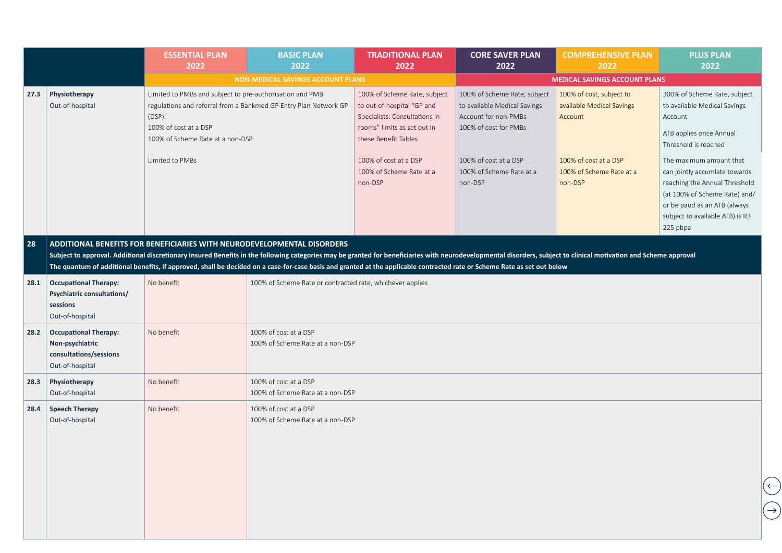|      |                                                                                              | <b>ESSENTIAL PLAN</b><br>2022                                                                                                                      | <b>BASIC PLAN</b><br>2022                                                                                                                                                                                                                                                                                                                                                                                                                                                | <b>TRADITIONAL PLAN</b><br>2022                                                                                                                                                                                    | <b>CORE SAVER PLAN</b><br>2022                                                                                                                                                | <b>COMPREHENSIVE PLAN</b><br>2022                                                                                                | <b>PLUS PLAN</b><br>2022                                                                                                                                                                                                                                                                                                                |
|------|----------------------------------------------------------------------------------------------|----------------------------------------------------------------------------------------------------------------------------------------------------|--------------------------------------------------------------------------------------------------------------------------------------------------------------------------------------------------------------------------------------------------------------------------------------------------------------------------------------------------------------------------------------------------------------------------------------------------------------------------|--------------------------------------------------------------------------------------------------------------------------------------------------------------------------------------------------------------------|-------------------------------------------------------------------------------------------------------------------------------------------------------------------------------|----------------------------------------------------------------------------------------------------------------------------------|-----------------------------------------------------------------------------------------------------------------------------------------------------------------------------------------------------------------------------------------------------------------------------------------------------------------------------------------|
|      |                                                                                              |                                                                                                                                                    | <b>NON-MEDICAL SAVINGS ACCOUNT PLANS</b>                                                                                                                                                                                                                                                                                                                                                                                                                                 |                                                                                                                                                                                                                    |                                                                                                                                                                               | <b>MEDICAL SAVINGS ACCOUNT PLANS</b>                                                                                             |                                                                                                                                                                                                                                                                                                                                         |
| 27.3 | Physiotherapy<br>Out-of-hospital                                                             | Limited to PMBs and subject to pre-authorisation and PMB<br>(DSP):<br>100% of cost at a DSP<br>100% of Scheme Rate at a non-DSP<br>Limited to PMBs | regulations and referral from a Bankmed GP Entry Plan Network GP                                                                                                                                                                                                                                                                                                                                                                                                         | 100% of Scheme Rate, subject<br>to out-of-hospital "GP and<br>Specialists: Consultations in<br>rooms" limits as set out in<br>these Benefit Tables<br>100% of cost at a DSP<br>100% of Scheme Rate at a<br>non-DSP | 100% of Scheme Rate, subject<br>to available Medical Savings<br>Account for non-PMBs<br>100% of cost for PMBs<br>100% of cost at a DSP<br>100% of Scheme Rate at a<br>non-DSP | 100% of cost, subject to<br>available Medical Savings<br>Account<br>100% of cost at a DSP<br>100% of Scheme Rate at a<br>non-DSP | 300% of Scheme Rate, subject<br>to available Medical Savings<br>Account<br>ATB applies once Annual<br>Threshold is reached<br>The maximum amount that<br>can jointly accumlate towards<br>reaching the Annual Threshold<br>(at 100% of Scheme Rate) and/<br>or be paud as an ATB (always<br>subject to available ATB) is R3<br>225 pbpa |
| 28   |                                                                                              |                                                                                                                                                    | ADDITIONAL BENEFITS FOR BENEFICIARIES WITH NEURODEVELOPMENTAL DISORDERS<br>Subject to approval. Additional discretionary Insured Benefits in the following categories may be granted for beneficiaries with neurodevelopmental disorders, subject to clinical motivation and Scheme approval<br>The quantum of additional benefits, if approved, shall be decided on a case-for-case basis and granted at the applicable contracted rate or Scheme Rate as set out below |                                                                                                                                                                                                                    |                                                                                                                                                                               |                                                                                                                                  |                                                                                                                                                                                                                                                                                                                                         |
| 28.1 | <b>Occupational Therapy:</b><br>Psychiatric consultations/<br>sessions<br>Out-of-hospital    | No benefit                                                                                                                                         | 100% of Scheme Rate or contracted rate, whichever applies                                                                                                                                                                                                                                                                                                                                                                                                                |                                                                                                                                                                                                                    |                                                                                                                                                                               |                                                                                                                                  |                                                                                                                                                                                                                                                                                                                                         |
| 28.2 | <b>Occupational Therapy:</b><br>Non-psychiatric<br>consultations/sessions<br>Out-of-hospital | No benefit                                                                                                                                         | 100% of cost at a DSP<br>100% of Scheme Rate at a non-DSP                                                                                                                                                                                                                                                                                                                                                                                                                |                                                                                                                                                                                                                    |                                                                                                                                                                               |                                                                                                                                  |                                                                                                                                                                                                                                                                                                                                         |
| 28.3 | Physiotherapy<br>Out-of-hospital                                                             | No benefit                                                                                                                                         | 100% of cost at a DSP<br>100% of Scheme Rate at a non-DSP                                                                                                                                                                                                                                                                                                                                                                                                                |                                                                                                                                                                                                                    |                                                                                                                                                                               |                                                                                                                                  |                                                                                                                                                                                                                                                                                                                                         |
| 28.4 | <b>Speech Therapy</b><br>Out-of-hospital                                                     | No benefit                                                                                                                                         | 100% of cost at a DSP<br>100% of Scheme Rate at a non-DSP                                                                                                                                                                                                                                                                                                                                                                                                                |                                                                                                                                                                                                                    |                                                                                                                                                                               |                                                                                                                                  |                                                                                                                                                                                                                                                                                                                                         |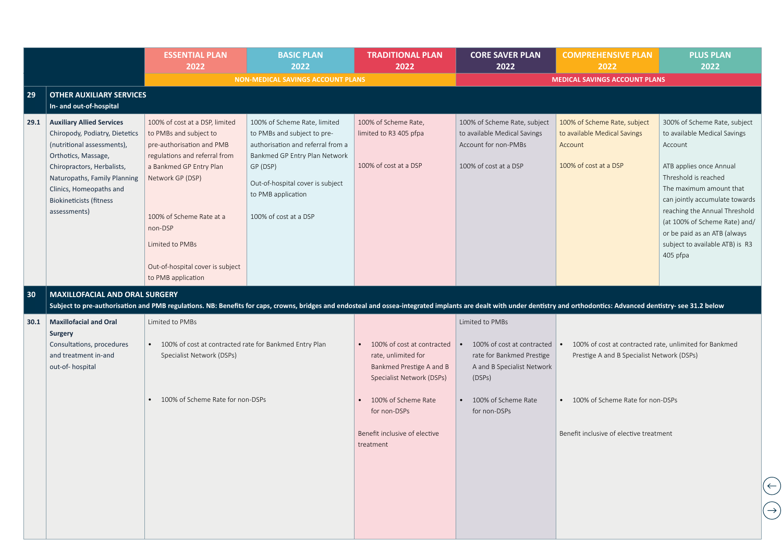|      |                                                                                                                                                                                                                                                                    | <b>ESSENTIAL PLAN</b><br>2022                                                                                                                                                                                                                                                             | <b>BASIC PLAN</b><br>2022                                                                                                                                                                                                        | <b>TRADITIONAL PLAN</b><br>2022                                                                                                                                                                 | <b>CORE SAVER PLAN</b><br>2022                                                                                                                                         | <b>COMPREHENSIVE PLAN</b><br>2022                                                                                                                                                                | <b>PLUS PLAN</b><br>2022                                                                                                                                                                                                                                                                                                                 |
|------|--------------------------------------------------------------------------------------------------------------------------------------------------------------------------------------------------------------------------------------------------------------------|-------------------------------------------------------------------------------------------------------------------------------------------------------------------------------------------------------------------------------------------------------------------------------------------|----------------------------------------------------------------------------------------------------------------------------------------------------------------------------------------------------------------------------------|-------------------------------------------------------------------------------------------------------------------------------------------------------------------------------------------------|------------------------------------------------------------------------------------------------------------------------------------------------------------------------|--------------------------------------------------------------------------------------------------------------------------------------------------------------------------------------------------|------------------------------------------------------------------------------------------------------------------------------------------------------------------------------------------------------------------------------------------------------------------------------------------------------------------------------------------|
|      |                                                                                                                                                                                                                                                                    |                                                                                                                                                                                                                                                                                           | <b>NON-MEDICAL SAVINGS ACCOUNT PLANS</b>                                                                                                                                                                                         |                                                                                                                                                                                                 |                                                                                                                                                                        | <b>MEDICAL SAVINGS ACCOUNT PLANS</b>                                                                                                                                                             |                                                                                                                                                                                                                                                                                                                                          |
| 29   | <b>OTHER AUXILIARY SERVICES</b><br>In- and out-of-hospital                                                                                                                                                                                                         |                                                                                                                                                                                                                                                                                           |                                                                                                                                                                                                                                  |                                                                                                                                                                                                 |                                                                                                                                                                        |                                                                                                                                                                                                  |                                                                                                                                                                                                                                                                                                                                          |
| 29.1 | <b>Auxiliary Allied Services</b><br>Chiropody, Podiatry, Dietetics<br>(nutritional assessments),<br>Orthotics, Massage,<br>Chiropractors, Herbalists,<br>Naturopaths, Family Planning<br>Clinics, Homeopaths and<br><b>Biokineticists (fitness</b><br>assessments) | 100% of cost at a DSP, limited<br>to PMBs and subject to<br>pre-authorisation and PMB<br>regulations and referral from<br>a Bankmed GP Entry Plan<br>Network GP (DSP)<br>100% of Scheme Rate at a<br>non-DSP<br>Limited to PMBs<br>Out-of-hospital cover is subject<br>to PMB application | 100% of Scheme Rate, limited<br>to PMBs and subject to pre-<br>authorisation and referral from a<br>Bankmed GP Entry Plan Network<br>GP (DSP)<br>Out-of-hospital cover is subject<br>to PMB application<br>100% of cost at a DSP | 100% of Scheme Rate,<br>limited to R3 405 pfpa<br>100% of cost at a DSP                                                                                                                         | 100% of Scheme Rate, subject<br>to available Medical Savings<br>Account for non-PMBs<br>100% of cost at a DSP                                                          | 100% of Scheme Rate, subject<br>to available Medical Savings<br>Account<br>100% of cost at a DSP                                                                                                 | 300% of Scheme Rate, subject<br>to available Medical Savings<br>Account<br>ATB applies once Annual<br>Threshold is reached<br>The maximum amount that<br>can jointly accumulate towards<br>reaching the Annual Threshold<br>(at 100% of Scheme Rate) and/<br>or be paid as an ATB (always<br>subject to available ATB) is R3<br>405 pfpa |
| 30   | <b>MAXILLOFACIAL AND ORAL SURGERY</b>                                                                                                                                                                                                                              |                                                                                                                                                                                                                                                                                           | Subject to pre-authorisation and PMB regulations. NB: Benefits for caps, crowns, bridges and endosteal and ossea-integrated implants are dealt with under dentistry and orthodontics: Advanced dentistry- see 31.2 below         |                                                                                                                                                                                                 |                                                                                                                                                                        |                                                                                                                                                                                                  |                                                                                                                                                                                                                                                                                                                                          |
| 30.1 | <b>Maxillofacial and Oral</b><br><b>Surgery</b><br>Consultations, procedures<br>and treatment in-and<br>out-of-hospital                                                                                                                                            | Limited to PMBs<br>• 100% of cost at contracted rate for Bankmed Entry Plan<br>Specialist Network (DSPs)<br>100% of Scheme Rate for non-DSPs                                                                                                                                              |                                                                                                                                                                                                                                  | 100% of cost at contracted<br>rate, unlimited for<br>Bankmed Prestige A and B<br>Specialist Network (DSPs)<br>100% of Scheme Rate<br>for non-DSPs<br>Benefit inclusive of elective<br>treatment | Limited to PMBs<br>100% of cost at contracted<br>$\bullet$<br>rate for Bankmed Prestige<br>A and B Specialist Network<br>(DSPs)<br>100% of Scheme Rate<br>for non-DSPs | 100% of cost at contracted rate, unlimited for Bankmed<br>$\bullet$<br>Prestige A and B Specialist Network (DSPs)<br>100% of Scheme Rate for non-DSPs<br>Benefit inclusive of elective treatment |                                                                                                                                                                                                                                                                                                                                          |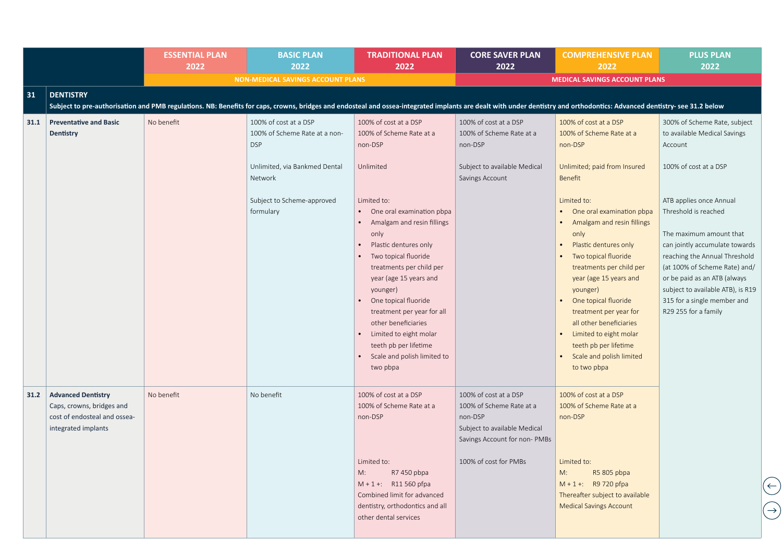|      |                                                                                                               | <b>ESSENTIAL PLAN</b><br>2022 | <b>BASIC PLAN</b><br>2022                                                                                                                                                                                                | <b>TRADITIONAL PLAN</b><br>2022                                                                                                                                                                                                                                                                                                                                                                                                                                        | <b>CORE SAVER PLAN</b><br>2022                                                                                                                        | <b>COMPREHENSIVE PLAN</b><br>2022                                                                                                                                                                                                                                                                                                                                                                                                                                                       | <b>PLUS PLAN</b><br>2022                                                                                                                                                                                                                                                                                                                                                                                       |
|------|---------------------------------------------------------------------------------------------------------------|-------------------------------|--------------------------------------------------------------------------------------------------------------------------------------------------------------------------------------------------------------------------|------------------------------------------------------------------------------------------------------------------------------------------------------------------------------------------------------------------------------------------------------------------------------------------------------------------------------------------------------------------------------------------------------------------------------------------------------------------------|-------------------------------------------------------------------------------------------------------------------------------------------------------|-----------------------------------------------------------------------------------------------------------------------------------------------------------------------------------------------------------------------------------------------------------------------------------------------------------------------------------------------------------------------------------------------------------------------------------------------------------------------------------------|----------------------------------------------------------------------------------------------------------------------------------------------------------------------------------------------------------------------------------------------------------------------------------------------------------------------------------------------------------------------------------------------------------------|
|      |                                                                                                               |                               | <b>NON-MEDICAL SAVINGS ACCOUNT PLANS</b>                                                                                                                                                                                 |                                                                                                                                                                                                                                                                                                                                                                                                                                                                        |                                                                                                                                                       | <b>MEDICAL SAVINGS ACCOUNT PLANS</b>                                                                                                                                                                                                                                                                                                                                                                                                                                                    |                                                                                                                                                                                                                                                                                                                                                                                                                |
| 31   | <b>DENTISTRY</b>                                                                                              |                               |                                                                                                                                                                                                                          |                                                                                                                                                                                                                                                                                                                                                                                                                                                                        |                                                                                                                                                       |                                                                                                                                                                                                                                                                                                                                                                                                                                                                                         |                                                                                                                                                                                                                                                                                                                                                                                                                |
|      |                                                                                                               |                               | Subject to pre-authorisation and PMB regulations. NB: Benefits for caps, crowns, bridges and endosteal and ossea-integrated implants are dealt with under dentistry and orthodontics: Advanced dentistry- see 31.2 below |                                                                                                                                                                                                                                                                                                                                                                                                                                                                        |                                                                                                                                                       |                                                                                                                                                                                                                                                                                                                                                                                                                                                                                         |                                                                                                                                                                                                                                                                                                                                                                                                                |
| 31.1 | <b>Preventative and Basic</b><br>Dentistry                                                                    | No benefit                    | 100% of cost at a DSP<br>100% of Scheme Rate at a non-<br><b>DSP</b><br>Unlimited, via Bankmed Dental<br>Network<br>Subject to Scheme-approved<br>formulary                                                              | 100% of cost at a DSP<br>100% of Scheme Rate at a<br>non-DSP<br>Unlimited<br>Limited to:<br>One oral examination pbpa<br>$\bullet$<br>Amalgam and resin fillings<br>only<br>Plastic dentures only<br>Two topical fluoride<br>treatments per child per<br>year (age 15 years and<br>younger)<br>One topical fluoride<br>treatment per year for all<br>other beneficiaries<br>Limited to eight molar<br>teeth pb per lifetime<br>Scale and polish limited to<br>two pbpa | 100% of cost at a DSP<br>100% of Scheme Rate at a<br>non-DSP<br>Subject to available Medical<br>Savings Account                                       | 100% of cost at a DSP<br>100% of Scheme Rate at a<br>non-DSP<br>Unlimited; paid from Insured<br>Benefit<br>Limited to:<br>One oral examination pbpa<br>Amalgam and resin fillings<br>only<br>Plastic dentures only<br>Two topical fluoride<br>treatments per child per<br>year (age 15 years and<br>younger)<br>One topical fluoride<br>treatment per year for<br>all other beneficiaries<br>Limited to eight molar<br>teeth pb per lifetime<br>Scale and polish limited<br>to two pbpa | 300% of Scheme Rate, subject<br>to available Medical Savings<br>Account<br>100% of cost at a DSP<br>ATB applies once Annual<br>Threshold is reached<br>The maximum amount that<br>can jointly accumulate towards<br>reaching the Annual Threshold<br>(at 100% of Scheme Rate) and/<br>or be paid as an ATB (always<br>subject to available ATB), is R19<br>315 for a single member and<br>R29 255 for a family |
| 31.2 | <b>Advanced Dentistry</b><br>Caps, crowns, bridges and<br>cost of endosteal and ossea-<br>integrated implants | No benefit                    | No benefit                                                                                                                                                                                                               | 100% of cost at a DSP<br>100% of Scheme Rate at a<br>non-DSP<br>Limited to:<br>M:<br>R7 450 pbpa<br>$M + 1 +$ : R11 560 pfpa<br>Combined limit for advanced<br>dentistry, orthodontics and all<br>other dental services                                                                                                                                                                                                                                                | 100% of cost at a DSP<br>100% of Scheme Rate at a<br>non-DSP<br>Subject to available Medical<br>Savings Account for non-PMBs<br>100% of cost for PMBs | 100% of cost at a DSP<br>100% of Scheme Rate at a<br>non-DSP<br>Limited to:<br>R5 805 pbpa<br>M:<br>$M + 1 +$ : R9 720 pfpa<br>Thereafter subject to available<br><b>Medical Savings Account</b>                                                                                                                                                                                                                                                                                        |                                                                                                                                                                                                                                                                                                                                                                                                                |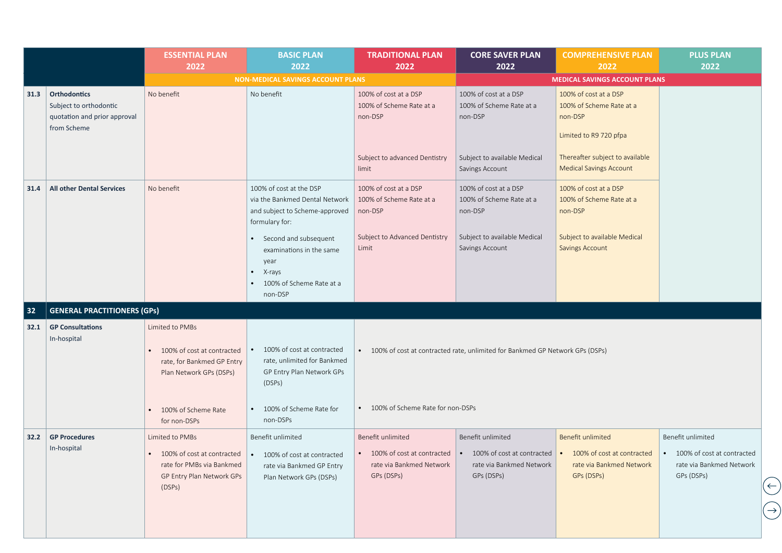|      |                                                                                              | <b>ESSENTIAL PLAN</b><br>2022                                                                          | <b>BASIC PLAN</b><br>2022                                                                                     | <b>TRADITIONAL PLAN</b><br>2022                              | <b>CORE SAVER PLAN</b><br>2022                                                                                                   | <b>COMPREHENSIVE PLAN</b><br>2022                                                      | <b>PLUS PLAN</b><br>2022                                                                                    |
|------|----------------------------------------------------------------------------------------------|--------------------------------------------------------------------------------------------------------|---------------------------------------------------------------------------------------------------------------|--------------------------------------------------------------|----------------------------------------------------------------------------------------------------------------------------------|----------------------------------------------------------------------------------------|-------------------------------------------------------------------------------------------------------------|
|      |                                                                                              |                                                                                                        | <b>NON-MEDICAL SAVINGS ACCOUNT PLANS</b>                                                                      |                                                              |                                                                                                                                  | <b>MEDICAL SAVINGS ACCOUNT PLANS</b>                                                   |                                                                                                             |
| 31.3 | <b>Orthodontics</b><br>Subject to orthodontic<br>quotation and prior approval<br>from Scheme | No benefit                                                                                             | No benefit                                                                                                    | 100% of cost at a DSP<br>100% of Scheme Rate at a<br>non-DSP | 100% of cost at a DSP<br>100% of Scheme Rate at a<br>non-DSP                                                                     | 100% of cost at a DSP<br>100% of Scheme Rate at a<br>non-DSP<br>Limited to R9 720 pfpa |                                                                                                             |
|      |                                                                                              |                                                                                                        |                                                                                                               | Subject to advanced Dentistry<br>limit                       | Subject to available Medical<br>Savings Account                                                                                  | Thereafter subject to available<br><b>Medical Savings Account</b>                      |                                                                                                             |
| 31.4 | <b>All other Dental Services</b>                                                             | No benefit                                                                                             | 100% of cost at the DSP<br>via the Bankmed Dental Network<br>and subject to Scheme-approved<br>formulary for: | 100% of cost at a DSP<br>100% of Scheme Rate at a<br>non-DSP | 100% of cost at a DSP<br>100% of Scheme Rate at a<br>non-DSP                                                                     | 100% of cost at a DSP<br>100% of Scheme Rate at a<br>non-DSP                           |                                                                                                             |
|      |                                                                                              |                                                                                                        | Second and subsequent<br>examinations in the same<br>year<br>X-rays<br>100% of Scheme Rate at a<br>non-DSP    | Subject to Advanced Dentistry<br>Limit                       | Subject to available Medical<br>Savings Account                                                                                  | Subject to available Medical<br><b>Savings Account</b>                                 |                                                                                                             |
| 32   | <b>GENERAL PRACTITIONERS (GPs)</b>                                                           |                                                                                                        |                                                                                                               |                                                              |                                                                                                                                  |                                                                                        |                                                                                                             |
| 32.1 | <b>GP Consultations</b><br>In-hospital                                                       | Limited to PMBs<br>100% of cost at contracted<br>rate, for Bankmed GP Entry<br>Plan Network GPs (DSPs) | 100% of cost at contracted<br>rate, unlimited for Bankmed<br>GP Entry Plan Network GPs<br>(DSPs)              |                                                              | • 100% of cost at contracted rate, unlimited for Bankmed GP Network GPs (DSPs)                                                   |                                                                                        |                                                                                                             |
|      |                                                                                              | 100% of Scheme Rate<br>for non-DSPs                                                                    | 100% of Scheme Rate for<br>non-DSPs                                                                           | • 100% of Scheme Rate for non-DSPs                           |                                                                                                                                  |                                                                                        |                                                                                                             |
| 32.2 | <b>GP Procedures</b>                                                                         | Limited to PMBs                                                                                        | Benefit unlimited                                                                                             | Benefit unlimited                                            | Benefit unlimited                                                                                                                | <b>Benefit unlimited</b>                                                               | Benefit unlimited                                                                                           |
|      | In-hospital                                                                                  | • 100% of cost at contracted<br>rate for PMBs via Bankmed<br>GP Entry Plan Network GPs<br>(DSPs)       | • 100% of cost at contracted<br>rate via Bankmed GP Entry<br>Plan Network GPs (DSPs)                          | rate via Bankmed Network<br>GPs (DSPs)                       | • 100% of cost at contracted • 100% of cost at contracted • 100% of cost at contracted<br>rate via Bankmed Network<br>GPs (DSPs) | rate via Bankmed Network<br>GPs (DSPs)                                                 | • 100% of cost at contracted<br>rate via Bankmed Network<br>GPs (DSPs)<br>$(\leftarrow)$<br>$(\rightarrow)$ |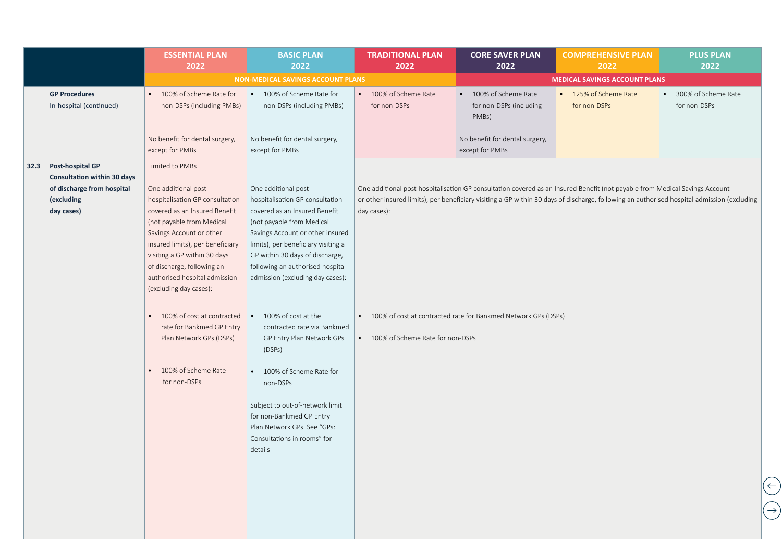|      |                                                                                                                  | <b>ESSENTIAL PLAN</b><br>2022                                                                                                                                                                                                                                                                                                     | <b>BASIC PLAN</b><br>2022                                                                                                                                                                                                                                                                                                                                                                                                                                                                                                                                                                               | <b>TRADITIONAL PLAN</b><br>2022       | <b>CORE SAVER PLAN</b><br>2022                                   | <b>COMPREHENSIVE PLAN</b><br>2022     | <b>PLUS PLAN</b><br>2022                         |  |
|------|------------------------------------------------------------------------------------------------------------------|-----------------------------------------------------------------------------------------------------------------------------------------------------------------------------------------------------------------------------------------------------------------------------------------------------------------------------------|---------------------------------------------------------------------------------------------------------------------------------------------------------------------------------------------------------------------------------------------------------------------------------------------------------------------------------------------------------------------------------------------------------------------------------------------------------------------------------------------------------------------------------------------------------------------------------------------------------|---------------------------------------|------------------------------------------------------------------|---------------------------------------|--------------------------------------------------|--|
|      |                                                                                                                  |                                                                                                                                                                                                                                                                                                                                   | NON-MEDICAL SAVINGS ACCOUNT PLANS                                                                                                                                                                                                                                                                                                                                                                                                                                                                                                                                                                       |                                       |                                                                  | <b>MEDICAL SAVINGS ACCOUNT PLANS</b>  |                                                  |  |
|      | <b>GP Procedures</b><br>In-hospital (continued)                                                                  | • 100% of Scheme Rate for<br>non-DSPs (including PMBs)                                                                                                                                                                                                                                                                            | 100% of Scheme Rate for<br>non-DSPs (including PMBs)                                                                                                                                                                                                                                                                                                                                                                                                                                                                                                                                                    | • 100% of Scheme Rate<br>for non-DSPs | • 100% of Scheme Rate<br>for non-DSPs (including<br>PMBs)        | • 125% of Scheme Rate<br>for non-DSPs | 300% of Scheme Rate<br>$\bullet$<br>for non-DSPs |  |
|      |                                                                                                                  | No benefit for dental surgery,<br>except for PMBs                                                                                                                                                                                                                                                                                 | No benefit for dental surgery,<br>except for PMBs                                                                                                                                                                                                                                                                                                                                                                                                                                                                                                                                                       |                                       | No benefit for dental surgery,<br>except for PMBs                |                                       |                                                  |  |
| 32.3 | Post-hospital GP<br><b>Consultation within 30 days</b><br>of discharge from hospital<br>(excluding<br>day cases) | Limited to PMBs<br>One additional post-<br>hospitalisation GP consultation<br>covered as an Insured Benefit<br>(not payable from Medical<br>Savings Account or other<br>insured limits), per beneficiary<br>visiting a GP within 30 days<br>of discharge, following an<br>authorised hospital admission<br>(excluding day cases): | One additional post-<br>One additional post-hospitalisation GP consultation covered as an Insured Benefit (not payable from Medical Savings Account<br>hospitalisation GP consultation<br>or other insured limits), per beneficiary visiting a GP within 30 days of discharge, following an authorised hospital admission (excluding<br>covered as an Insured Benefit<br>day cases):<br>(not payable from Medical<br>Savings Account or other insured<br>limits), per beneficiary visiting a<br>GP within 30 days of discharge,<br>following an authorised hospital<br>admission (excluding day cases): |                                       |                                                                  |                                       |                                                  |  |
|      |                                                                                                                  | 100% of cost at contracted<br>rate for Bankmed GP Entry<br>Plan Network GPs (DSPs)<br>100% of Scheme Rate                                                                                                                                                                                                                         | 100% of cost at the<br>contracted rate via Bankmed<br>GP Entry Plan Network GPs<br>(DSPs)<br>• 100% of Scheme Rate for                                                                                                                                                                                                                                                                                                                                                                                                                                                                                  | • 100% of Scheme Rate for non-DSPs    | • 100% of cost at contracted rate for Bankmed Network GPs (DSPs) |                                       |                                                  |  |
|      |                                                                                                                  | for non-DSPs                                                                                                                                                                                                                                                                                                                      | non-DSPs<br>Subject to out-of-network limit<br>for non-Bankmed GP Entry<br>Plan Network GPs. See "GPs:<br>Consultations in rooms" for<br>details                                                                                                                                                                                                                                                                                                                                                                                                                                                        |                                       |                                                                  |                                       | $\left(\leftarrow\right)$                        |  |
|      |                                                                                                                  |                                                                                                                                                                                                                                                                                                                                   |                                                                                                                                                                                                                                                                                                                                                                                                                                                                                                                                                                                                         |                                       |                                                                  |                                       |                                                  |  |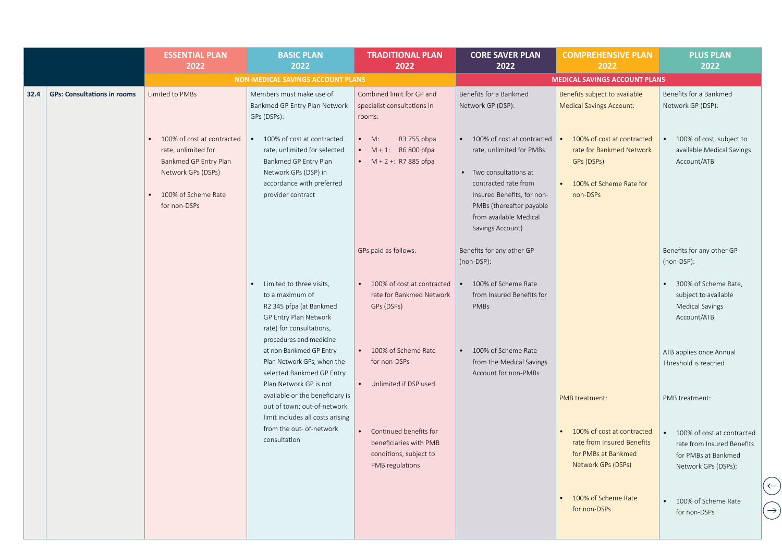|                                            | <b>ESSENTIAL PLAN</b><br>2022                                                                                                           | <b>BASIC PLAN</b><br>2022                                                                                                                                       | <b>TRADITIONAL PLAN</b><br>2022                                                               | <b>CORE SAVER PLAN</b><br>2022                                                                                                                                                                                 | <b>COMPREHENSIVE PLAN</b><br>2022                                                                                        | <b>PLUS PLAN</b><br>2022                                                                               |
|--------------------------------------------|-----------------------------------------------------------------------------------------------------------------------------------------|-----------------------------------------------------------------------------------------------------------------------------------------------------------------|-----------------------------------------------------------------------------------------------|----------------------------------------------------------------------------------------------------------------------------------------------------------------------------------------------------------------|--------------------------------------------------------------------------------------------------------------------------|--------------------------------------------------------------------------------------------------------|
|                                            |                                                                                                                                         | <b>NON-MEDICAL SAVINGS ACCOUNT PLANS</b>                                                                                                                        |                                                                                               |                                                                                                                                                                                                                | <b>MEDICAL SAVINGS ACCOUNT PLANS</b>                                                                                     |                                                                                                        |
| <b>GPs: Consultations in rooms</b><br>32.4 | Limited to PMBs                                                                                                                         | Members must make use of<br>Bankmed GP Entry Plan Network<br>GPs (DSPs):                                                                                        | Combined limit for GP and<br>specialist consultations in<br>rooms:                            | Benefits for a Bankmed<br>Network GP (DSP):                                                                                                                                                                    | Benefits subject to available<br><b>Medical Savings Account:</b>                                                         | Benefits for a Bankmed<br>Network GP (DSP):                                                            |
|                                            | 100% of cost at contracted<br>rate, unlimited for<br>Bankmed GP Entry Plan<br>Network GPs (DSPs)<br>100% of Scheme Rate<br>for non-DSPs | • 100% of cost at contracted<br>rate, unlimited for selected<br>Bankmed GP Entry Plan<br>Network GPs (DSP) in<br>accordance with preferred<br>provider contract | $\bullet$ M:<br>R3 755 pbpa<br>• $M + 1$ : R6 800 pfpa<br>• $M + 2 + 1$ : R7 885 pfpa         | 100% of cost at contracted<br>rate, unlimited for PMBs<br>Two consultations at<br>contracted rate from<br>Insured Benefits, for non-<br>PMBs (thereafter payable<br>from available Medical<br>Savings Account) | 100% of cost at contracted<br>rate for Bankmed Network<br>GPs (DSPs)<br>100% of Scheme Rate for<br>$\bullet$<br>non-DSPs | 100% of cost, subject to<br>available Medical Savings<br>Account/ATB                                   |
|                                            |                                                                                                                                         |                                                                                                                                                                 | GPs paid as follows:                                                                          | Benefits for any other GP<br>(non-DSP):                                                                                                                                                                        |                                                                                                                          | Benefits for any other GP<br>(non-DSP):                                                                |
|                                            |                                                                                                                                         | Limited to three visits,<br>to a maximum of<br>R2 345 pfpa (at Bankmed<br>GP Entry Plan Network<br>rate) for consultations,<br>procedures and medicine          | 100% of cost at contracted<br>rate for Bankmed Network<br>GPs (DSPs)                          | 100% of Scheme Rate<br>from Insured Benefits for<br>PMBs                                                                                                                                                       |                                                                                                                          | 300% of Scheme Rate,<br>subject to available<br><b>Medical Savings</b><br>Account/ATB                  |
|                                            |                                                                                                                                         | at non Bankmed GP Entry<br>Plan Network GPs, when the<br>selected Bankmed GP Entry<br>Plan Network GP is not                                                    | 100% of Scheme Rate<br>for non-DSPs<br>• Unlimited if DSP used                                | 100% of Scheme Rate<br>$\bullet$<br>from the Medical Savings<br>Account for non-PMBs                                                                                                                           |                                                                                                                          | ATB applies once Annual<br>Threshold is reached                                                        |
|                                            |                                                                                                                                         | available or the beneficiary is<br>out of town; out-of-network<br>limit includes all costs arising                                                              |                                                                                               |                                                                                                                                                                                                                | PMB treatment:                                                                                                           | PMB treatment:                                                                                         |
|                                            |                                                                                                                                         | from the out- of-network<br>consultation                                                                                                                        | Continued benefits for<br>beneficiaries with PMB<br>conditions, subject to<br>PMB regulations |                                                                                                                                                                                                                | 100% of cost at contracted<br>rate from Insured Benefits<br>for PMBs at Bankmed<br>Network GPs (DSPs)                    | 100% of cost at contracted<br>rate from Insured Benefits<br>for PMBs at Bankmed<br>Network GPs (DSPs); |
|                                            |                                                                                                                                         |                                                                                                                                                                 |                                                                                               |                                                                                                                                                                                                                | • 100% of Scheme Rate<br>for non-DSPs                                                                                    | • 100% of Scheme Rate<br>for non-DSPs                                                                  |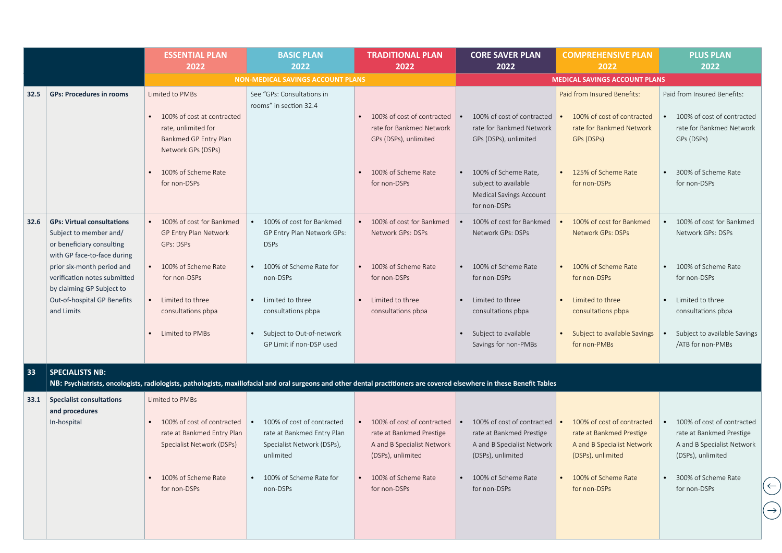|      |                                                                                                                         | <b>ESSENTIAL PLAN</b><br>2022                                                                                       | <b>BASIC PLAN</b><br>2022                                                                                                                                                | <b>TRADITIONAL PLAN</b><br>2022                                                                           | <b>CORE SAVER PLAN</b><br>2022                                                                            | <b>COMPREHENSIVE PLAN</b><br>2022                                                                         | <b>PLUS PLAN</b><br>2022                                                                                  |
|------|-------------------------------------------------------------------------------------------------------------------------|---------------------------------------------------------------------------------------------------------------------|--------------------------------------------------------------------------------------------------------------------------------------------------------------------------|-----------------------------------------------------------------------------------------------------------|-----------------------------------------------------------------------------------------------------------|-----------------------------------------------------------------------------------------------------------|-----------------------------------------------------------------------------------------------------------|
|      |                                                                                                                         |                                                                                                                     | <b>NON-MEDICAL SAVINGS ACCOUNT PLANS</b>                                                                                                                                 |                                                                                                           |                                                                                                           | <b>MEDICAL SAVINGS ACCOUNT PLANS</b>                                                                      |                                                                                                           |
| 32.5 | <b>GPs: Procedures in rooms</b>                                                                                         | Limited to PMBs<br>100% of cost at contracted<br>rate, unlimited for<br>Bankmed GP Entry Plan<br>Network GPs (DSPs) | See "GPs: Consultations in<br>rooms" in section 32.4                                                                                                                     | 100% of cost of contracted<br>rate for Bankmed Network<br>GPs (DSPs), unlimited                           | 100% of cost of contracted<br>rate for Bankmed Network<br>GPs (DSPs), unlimited                           | Paid from Insured Benefits:<br>100% of cost of contracted<br>rate for Bankmed Network<br>GPs (DSPs)       | Paid from Insured Benefits:<br>100% of cost of contracted<br>rate for Bankmed Network<br>GPs (DSPs)       |
|      |                                                                                                                         | 100% of Scheme Rate<br>for non-DSPs                                                                                 |                                                                                                                                                                          | 100% of Scheme Rate<br>for non-DSPs                                                                       | 100% of Scheme Rate,<br>subject to available<br><b>Medical Savings Account</b><br>for non-DSPs            | 125% of Scheme Rate<br>for non-DSPs                                                                       | 300% of Scheme Rate<br>for non-DSPs                                                                       |
| 32.6 | <b>GPs: Virtual consultations</b><br>Subject to member and/<br>or beneficiary consulting<br>with GP face-to-face during | 100% of cost for Bankmed<br>GP Entry Plan Network<br>GPs: DSPs                                                      | 100% of cost for Bankmed<br>$\bullet$<br>GP Entry Plan Network GPs:<br><b>DSPs</b>                                                                                       | 100% of cost for Bankmed<br>Network GPs: DSPs                                                             | 100% of cost for Bankmed<br>Network GPs: DSPs                                                             | 100% of cost for Bankmed<br><b>Network GPs: DSPs</b>                                                      | 100% of cost for Bankmed<br>Network GPs: DSPs                                                             |
|      | prior six-month period and<br>verification notes submitted<br>by claiming GP Subject to                                 | 100% of Scheme Rate<br>for non-DSPs                                                                                 | • 100% of Scheme Rate for<br>non-DSPs                                                                                                                                    | 100% of Scheme Rate<br>for non-DSPs                                                                       | 100% of Scheme Rate<br>for non-DSPs                                                                       | 100% of Scheme Rate<br>for non-DSPs                                                                       | 100% of Scheme Rate<br>for non-DSPs                                                                       |
|      | Out-of-hospital GP Benefits<br>and Limits                                                                               | Limited to three<br>consultations pbpa                                                                              | Limited to three<br>consultations pbpa                                                                                                                                   | Limited to three<br>consultations pbpa                                                                    | Limited to three<br>consultations pbpa                                                                    | Limited to three<br>consultations pbpa                                                                    | Limited to three<br>consultations pbpa                                                                    |
|      |                                                                                                                         | Limited to PMBs                                                                                                     | Subject to Out-of-network<br>GP Limit if non-DSP used                                                                                                                    |                                                                                                           | Subject to available<br>Savings for non-PMBs                                                              | Subject to available Savings<br>for non-PMBs                                                              | Subject to available Savings<br>/ATB for non-PMBs                                                         |
| 33   | <b>SPECIALISTS NB:</b>                                                                                                  |                                                                                                                     | NB: Psychiatrists, oncologists, radiologists, pathologists, maxillofacial and oral surgeons and other dental practitioners are covered elsewhere in these Benefit Tables |                                                                                                           |                                                                                                           |                                                                                                           |                                                                                                           |
| 33.1 | <b>Specialist consultations</b><br>and procedures                                                                       | Limited to PMBs                                                                                                     |                                                                                                                                                                          |                                                                                                           |                                                                                                           |                                                                                                           |                                                                                                           |
|      | In-hospital                                                                                                             | 100% of cost of contracted<br>rate at Bankmed Entry Plan<br>Specialist Network (DSPs)                               | 100% of cost of contracted<br>rate at Bankmed Entry Plan<br>Specialist Network (DSPs),<br>unlimited                                                                      | 100% of cost of contracted<br>rate at Bankmed Prestige<br>A and B Specialist Network<br>(DSPs), unlimited | 100% of cost of contracted<br>rate at Bankmed Prestige<br>A and B Specialist Network<br>(DSPs), unlimited | 100% of cost of contracted<br>rate at Bankmed Prestige<br>A and B Specialist Network<br>(DSPs), unlimited | 100% of cost of contracted<br>rate at Bankmed Prestige<br>A and B Specialist Network<br>(DSPs), unlimited |
|      |                                                                                                                         | 100% of Scheme Rate<br>for non-DSPs                                                                                 | • 100% of Scheme Rate for<br>non-DSPs                                                                                                                                    | • 100% of Scheme Rate<br>for non-DSPs                                                                     | • 100% of Scheme Rate<br>for non-DSPs                                                                     | • 100% of Scheme Rate<br>for non-DSPs                                                                     | • 300% of Scheme Rate<br>for non-DSPs                                                                     |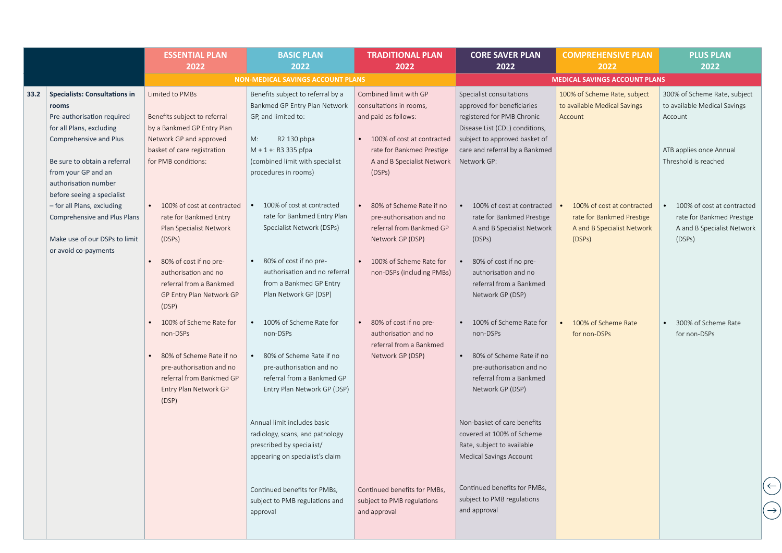|      |                                                                                                                                                                                          | <b>ESSENTIAL PLAN</b><br>2022                                                                                                                                  | <b>BASIC PLAN</b><br>2022                                                                                                                                                                            | <b>TRADITIONAL PLAN</b><br>2022                                                                                                                                              | <b>CORE SAVER PLAN</b><br>2022                                                                                                                                                                           | <b>COMPREHENSIVE PLAN</b><br>2022                                                               | <b>PLUS PLAN</b><br>2022                                                                                                   |
|------|------------------------------------------------------------------------------------------------------------------------------------------------------------------------------------------|----------------------------------------------------------------------------------------------------------------------------------------------------------------|------------------------------------------------------------------------------------------------------------------------------------------------------------------------------------------------------|------------------------------------------------------------------------------------------------------------------------------------------------------------------------------|----------------------------------------------------------------------------------------------------------------------------------------------------------------------------------------------------------|-------------------------------------------------------------------------------------------------|----------------------------------------------------------------------------------------------------------------------------|
|      |                                                                                                                                                                                          |                                                                                                                                                                | <b>NON-MEDICAL SAVINGS ACCOUNT PLANS</b>                                                                                                                                                             |                                                                                                                                                                              |                                                                                                                                                                                                          | <b>MEDICAL SAVINGS ACCOUNT PLANS</b>                                                            |                                                                                                                            |
| 33.2 | <b>Specialists: Consultations in</b><br>rooms<br>Pre-authorisation required<br>for all Plans, excluding<br>Comprehensive and Plus<br>Be sure to obtain a referral<br>from your GP and an | Limited to PMBs<br>Benefits subject to referral<br>by a Bankmed GP Entry Plan<br>Network GP and approved<br>basket of care registration<br>for PMB conditions: | Benefits subject to referral by a<br>Bankmed GP Entry Plan Network<br>GP, and limited to:<br>M:<br>R2 130 pbpa<br>$M + 1 +$ : R3 335 pfpa<br>(combined limit with specialist<br>procedures in rooms) | Combined limit with GP<br>consultations in rooms,<br>and paid as follows:<br>100% of cost at contracted<br>rate for Bankmed Prestige<br>A and B Specialist Network<br>(DSPs) | Specialist consultations<br>approved for beneficiaries<br>registered for PMB Chronic<br>Disease List (CDL) conditions,<br>subject to approved basket of<br>care and referral by a Bankmed<br>Network GP: | 100% of Scheme Rate, subject<br>to available Medical Savings<br>Account                         | 300% of Scheme Rate, subject<br>to available Medical Savings<br>Account<br>ATB applies once Annual<br>Threshold is reached |
|      | authorisation number<br>before seeing a specialist<br>- for all Plans, excluding<br>Comprehensive and Plus Plans<br>Make use of our DSPs to limit<br>or avoid co-payments                | • 100% of cost at contracted<br>rate for Bankmed Entry<br>Plan Specialist Network<br>(DSPs)                                                                    | 100% of cost at contracted<br>rate for Bankmed Entry Plan<br>Specialist Network (DSPs)                                                                                                               | 80% of Scheme Rate if no<br>pre-authorisation and no<br>referral from Bankmed GP<br>Network GP (DSP)                                                                         | 100% of cost at contracted<br>rate for Bankmed Prestige<br>A and B Specialist Network<br>(DSPs)                                                                                                          | 100% of cost at contracted<br>rate for Bankmed Prestige<br>A and B Specialist Network<br>(DSPs) | 100% of cost at contracted<br>rate for Bankmed Prestige<br>A and B Specialist Network<br>(DSPs)                            |
|      |                                                                                                                                                                                          | 80% of cost if no pre-<br>authorisation and no<br>referral from a Bankmed<br>GP Entry Plan Network GP<br>(DSP)                                                 | 80% of cost if no pre-<br>authorisation and no referral<br>from a Bankmed GP Entry<br>Plan Network GP (DSP)                                                                                          | 100% of Scheme Rate for<br>non-DSPs (including PMBs)                                                                                                                         | 80% of cost if no pre-<br>authorisation and no<br>referral from a Bankmed<br>Network GP (DSP)                                                                                                            |                                                                                                 |                                                                                                                            |
|      |                                                                                                                                                                                          | 100% of Scheme Rate for<br>non-DSPs<br>80% of Scheme Rate if no<br>pre-authorisation and no<br>referral from Bankmed GP<br>Entry Plan Network GP<br>(DSP)      | • 100% of Scheme Rate for<br>non-DSPs<br>80% of Scheme Rate if no<br>pre-authorisation and no<br>referral from a Bankmed GP<br>Entry Plan Network GP (DSP)                                           | 80% of cost if no pre-<br>authorisation and no<br>referral from a Bankmed<br>Network GP (DSP)                                                                                | 100% of Scheme Rate for<br>non-DSPs<br>80% of Scheme Rate if no<br>pre-authorisation and no<br>referral from a Bankmed<br>Network GP (DSP)                                                               | 100% of Scheme Rate<br>for non-DSPs                                                             | 300% of Scheme Rate<br>for non-DSPs                                                                                        |
|      |                                                                                                                                                                                          |                                                                                                                                                                | Annual limit includes basic<br>radiology, scans, and pathology<br>prescribed by specialist/<br>appearing on specialist's claim                                                                       |                                                                                                                                                                              | Non-basket of care benefits<br>covered at 100% of Scheme<br>Rate, subject to available<br>Medical Savings Account                                                                                        |                                                                                                 |                                                                                                                            |
|      |                                                                                                                                                                                          |                                                                                                                                                                | Continued benefits for PMBs,<br>subject to PMB regulations and<br>approval                                                                                                                           | Continued benefits for PMBs,<br>subject to PMB regulations<br>and approval                                                                                                   | Continued benefits for PMBs,<br>subject to PMB regulations<br>and approval                                                                                                                               |                                                                                                 |                                                                                                                            |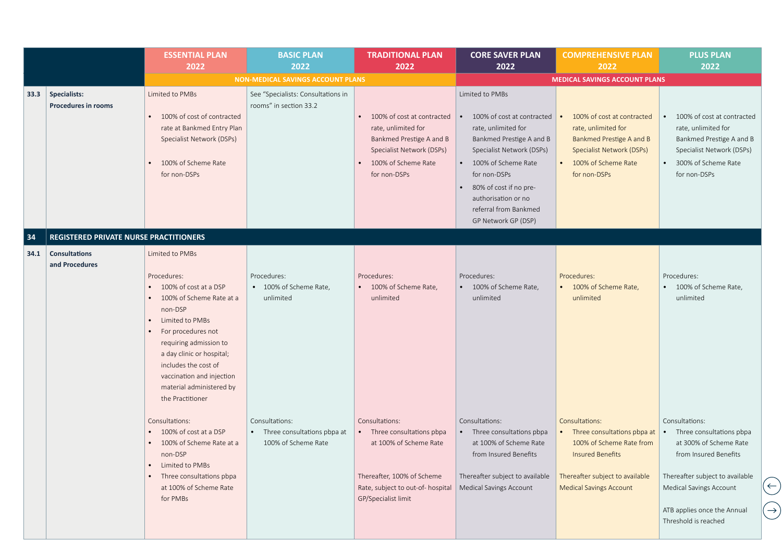|      |                                                   | <b>ESSENTIAL PLAN</b><br>2022                                                                                                                                                                                                                                                                       | <b>BASIC PLAN</b><br>2022                                              | <b>TRADITIONAL PLAN</b><br>2022                                                                                                                                 | <b>CORE SAVER PLAN</b><br>2022                                                                                                                                                                                                                                          | <b>COMPREHENSIVE PLAN</b><br>2022                                                                                                                                           | <b>PLUS PLAN</b><br>2022                                                                                                                                                                                                                                |
|------|---------------------------------------------------|-----------------------------------------------------------------------------------------------------------------------------------------------------------------------------------------------------------------------------------------------------------------------------------------------------|------------------------------------------------------------------------|-----------------------------------------------------------------------------------------------------------------------------------------------------------------|-------------------------------------------------------------------------------------------------------------------------------------------------------------------------------------------------------------------------------------------------------------------------|-----------------------------------------------------------------------------------------------------------------------------------------------------------------------------|---------------------------------------------------------------------------------------------------------------------------------------------------------------------------------------------------------------------------------------------------------|
|      |                                                   |                                                                                                                                                                                                                                                                                                     | <b>NON-MEDICAL SAVINGS ACCOUNT PLANS</b>                               |                                                                                                                                                                 |                                                                                                                                                                                                                                                                         | <b>MEDICAL SAVINGS ACCOUNT PLANS</b>                                                                                                                                        |                                                                                                                                                                                                                                                         |
| 33.3 | <b>Specialists:</b><br><b>Procedures in rooms</b> | Limited to PMBs<br>100% of cost of contracted<br>rate at Bankmed Entry Plan<br>Specialist Network (DSPs)<br>100% of Scheme Rate<br>for non-DSPs                                                                                                                                                     | See "Specialists: Consultations in<br>rooms" in section 33.2           | 100% of cost at contracted<br>rate, unlimited for<br>Bankmed Prestige A and B<br>Specialist Network (DSPs)<br>100% of Scheme Rate<br>for non-DSPs               | Limited to PMBs<br>100% of cost at contracted<br>rate, unlimited for<br>Bankmed Prestige A and B<br>Specialist Network (DSPs)<br>• 100% of Scheme Rate<br>for non-DSPs<br>80% of cost if no pre-<br>authorisation or no<br>referral from Bankmed<br>GP Network GP (DSP) | 100% of cost at contracted<br>rate, unlimited for<br>Bankmed Prestige A and B<br>Specialist Network (DSPs)<br>100% of Scheme Rate<br>for non-DSPs                           | 100% of cost at contracted<br>rate, unlimited for<br>Bankmed Prestige A and B<br>Specialist Network (DSPs)<br>300% of Scheme Rate<br>for non-DSPs                                                                                                       |
| 34   | REGISTERED PRIVATE NURSE PRACTITIONERS            |                                                                                                                                                                                                                                                                                                     |                                                                        |                                                                                                                                                                 |                                                                                                                                                                                                                                                                         |                                                                                                                                                                             |                                                                                                                                                                                                                                                         |
| 34.1 | <b>Consultations</b><br>and Procedures            | Limited to PMBs<br>Procedures:<br>100% of cost at a DSP<br>100% of Scheme Rate at a<br>non-DSP<br>Limited to PMBs<br>For procedures not<br>requiring admission to<br>a day clinic or hospital;<br>includes the cost of<br>vaccination and injection<br>material administered by<br>the Practitioner | Procedures:<br>• 100% of Scheme Rate,<br>unlimited                     | Procedures:<br>• 100% of Scheme Rate,<br>unlimited                                                                                                              | Procedures:<br>• 100% of Scheme Rate,<br>unlimited                                                                                                                                                                                                                      | Procedures:<br>• 100% of Scheme Rate,<br>unlimited                                                                                                                          | Procedures:<br>• 100% of Scheme Rate,<br>unlimited                                                                                                                                                                                                      |
|      |                                                   | Consultations:<br>100% of cost at a DSP<br>100% of Scheme Rate at a<br>non-DSP<br>Limited to PMBs<br>Three consultations pbpa<br>at 100% of Scheme Rate<br>for PMBs                                                                                                                                 | Consultations:<br>• Three consultations pbpa at<br>100% of Scheme Rate | Consultations:<br>• Three consultations pbpa<br>at 100% of Scheme Rate<br>Thereafter, 100% of Scheme<br>Rate, subject to out-of-hospital<br>GP/Specialist limit | Consultations:<br>• Three consultations pbpa<br>at 100% of Scheme Rate<br>from Insured Benefits<br>Thereafter subject to available<br>Medical Savings Account                                                                                                           | Consultations:<br>• Three consultations pbpa at<br>100% of Scheme Rate from<br><b>Insured Benefits</b><br>Thereafter subject to available<br><b>Medical Savings Account</b> | Consultations:<br>Three consultations pbpa<br>at 300% of Scheme Rate<br>from Insured Benefits<br>Thereafter subject to available<br>$(\leftarrow)$<br>Medical Savings Account<br>$(\rightarrow)$<br>ATB applies once the Annual<br>Threshold is reached |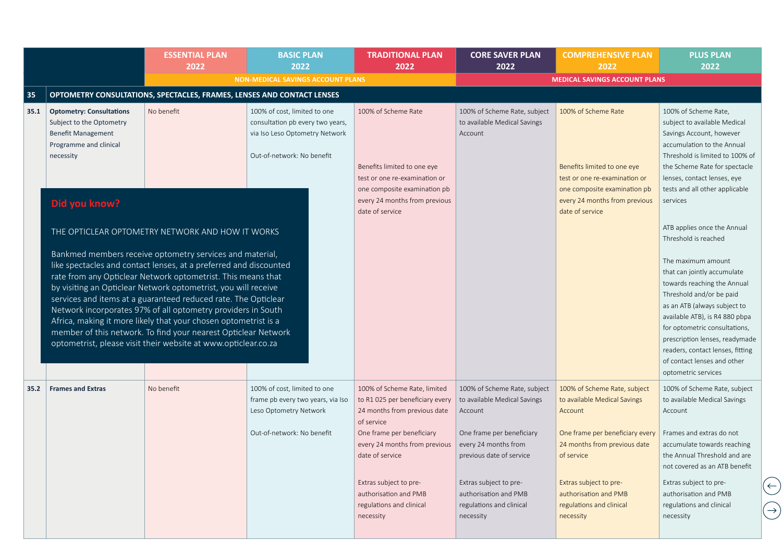|      |                                                                                                                                 | <b>ESSENTIAL PLAN</b><br>2022                                                                                                                                                                                                                                                                                                                                                                                                                                                                                                                                                                                          | <b>BASIC PLAN</b><br>2022                                                                                                        | <b>TRADITIONAL PLAN</b><br>2022                                                              | <b>CORE SAVER PLAN</b><br>2022                                                           | <b>COMPREHENSIVE PLAN</b><br>2022                                                            | <b>PLUS PLAN</b><br>2022                                                                                                                                                                                                                                                                                                                                                    |
|------|---------------------------------------------------------------------------------------------------------------------------------|------------------------------------------------------------------------------------------------------------------------------------------------------------------------------------------------------------------------------------------------------------------------------------------------------------------------------------------------------------------------------------------------------------------------------------------------------------------------------------------------------------------------------------------------------------------------------------------------------------------------|----------------------------------------------------------------------------------------------------------------------------------|----------------------------------------------------------------------------------------------|------------------------------------------------------------------------------------------|----------------------------------------------------------------------------------------------|-----------------------------------------------------------------------------------------------------------------------------------------------------------------------------------------------------------------------------------------------------------------------------------------------------------------------------------------------------------------------------|
|      |                                                                                                                                 |                                                                                                                                                                                                                                                                                                                                                                                                                                                                                                                                                                                                                        | <b>NON-MEDICAL SAVINGS ACCOUNT PLANS</b>                                                                                         |                                                                                              |                                                                                          | <b>MEDICAL SAVINGS ACCOUNT PLANS</b>                                                         |                                                                                                                                                                                                                                                                                                                                                                             |
| 35   |                                                                                                                                 | OPTOMETRY CONSULTATIONS, SPECTACLES, FRAMES, LENSES AND CONTACT LENSES                                                                                                                                                                                                                                                                                                                                                                                                                                                                                                                                                 |                                                                                                                                  |                                                                                              |                                                                                          |                                                                                              |                                                                                                                                                                                                                                                                                                                                                                             |
| 35.1 | <b>Optometry: Consultations</b><br>Subject to the Optometry<br><b>Benefit Management</b><br>Programme and clinical<br>necessity | No benefit                                                                                                                                                                                                                                                                                                                                                                                                                                                                                                                                                                                                             | 100% of cost, limited to one<br>consultation pb every two years,<br>via Iso Leso Optometry Network<br>Out-of-network: No benefit | 100% of Scheme Rate                                                                          | 100% of Scheme Rate, subject<br>to available Medical Savings<br>Account                  | 100% of Scheme Rate                                                                          | 100% of Scheme Rate,<br>subject to available Medical<br>Savings Account, however<br>accumulation to the Annual<br>Threshold is limited to 100% of                                                                                                                                                                                                                           |
|      |                                                                                                                                 |                                                                                                                                                                                                                                                                                                                                                                                                                                                                                                                                                                                                                        |                                                                                                                                  | Benefits limited to one eye<br>test or one re-examination or<br>one composite examination pb |                                                                                          | Benefits limited to one eye<br>test or one re-examination or<br>one composite examination pb | the Scheme Rate for spectacle<br>lenses, contact lenses, eye<br>tests and all other applicable                                                                                                                                                                                                                                                                              |
|      | Did you know?                                                                                                                   |                                                                                                                                                                                                                                                                                                                                                                                                                                                                                                                                                                                                                        |                                                                                                                                  | every 24 months from previous<br>date of service                                             |                                                                                          | every 24 months from previous<br>date of service                                             | services                                                                                                                                                                                                                                                                                                                                                                    |
|      |                                                                                                                                 | THE OPTICLEAR OPTOMETRY NETWORK AND HOW IT WORKS                                                                                                                                                                                                                                                                                                                                                                                                                                                                                                                                                                       |                                                                                                                                  |                                                                                              |                                                                                          |                                                                                              | ATB applies once the Annual<br>Threshold is reached                                                                                                                                                                                                                                                                                                                         |
| 35.2 | <b>Frames and Extras</b>                                                                                                        | Bankmed members receive optometry services and material,<br>like spectacles and contact lenses, at a preferred and discounted<br>rate from any Opticlear Network optometrist. This means that<br>by visiting an Opticlear Network optometrist, you will receive<br>services and items at a guaranteed reduced rate. The Opticlear<br>Network incorporates 97% of all optometry providers in South<br>Africa, making it more likely that your chosen optometrist is a<br>member of this network. To find your nearest Opticlear Network<br>optometrist, please visit their website at www.opticlear.co.za<br>No benefit | 100% of cost, limited to one                                                                                                     | 100% of Scheme Rate, limited                                                                 | 100% of Scheme Rate, subject                                                             | 100% of Scheme Rate, subject                                                                 | The maximum amount<br>that can jointly accumulate<br>towards reaching the Annual<br>Threshold and/or be paid<br>as an ATB (always subject to<br>available ATB), is R4 880 pbpa<br>for optometric consultations,<br>prescription lenses, readymade<br>readers, contact lenses, fitting<br>of contact lenses and other<br>optometric services<br>100% of Scheme Rate, subject |
|      |                                                                                                                                 |                                                                                                                                                                                                                                                                                                                                                                                                                                                                                                                                                                                                                        | frame pb every two years, via Iso<br>Leso Optometry Network                                                                      | to R1 025 per beneficiary every<br>24 months from previous date<br>of service                | to available Medical Savings<br>Account                                                  | to available Medical Savings<br>Account                                                      | to available Medical Savings<br>Account                                                                                                                                                                                                                                                                                                                                     |
|      |                                                                                                                                 |                                                                                                                                                                                                                                                                                                                                                                                                                                                                                                                                                                                                                        | Out-of-network: No benefit                                                                                                       | One frame per beneficiary<br>every 24 months from previous<br>date of service                | One frame per beneficiary<br>every 24 months from<br>previous date of service            | One frame per beneficiary every<br>24 months from previous date<br>of service                | Frames and extras do not<br>accumulate towards reaching<br>the Annual Threshold and are<br>not covered as an ATB benefit                                                                                                                                                                                                                                                    |
|      |                                                                                                                                 |                                                                                                                                                                                                                                                                                                                                                                                                                                                                                                                                                                                                                        |                                                                                                                                  | Extras subject to pre-<br>authorisation and PMB<br>regulations and clinical<br>necessity     | Extras subject to pre-<br>authorisation and PMB<br>regulations and clinical<br>necessity | Extras subject to pre-<br>authorisation and PMB<br>regulations and clinical<br>necessity     | Extras subject to pre-<br>authorisation and PMB<br>regulations and clinical<br>necessity                                                                                                                                                                                                                                                                                    |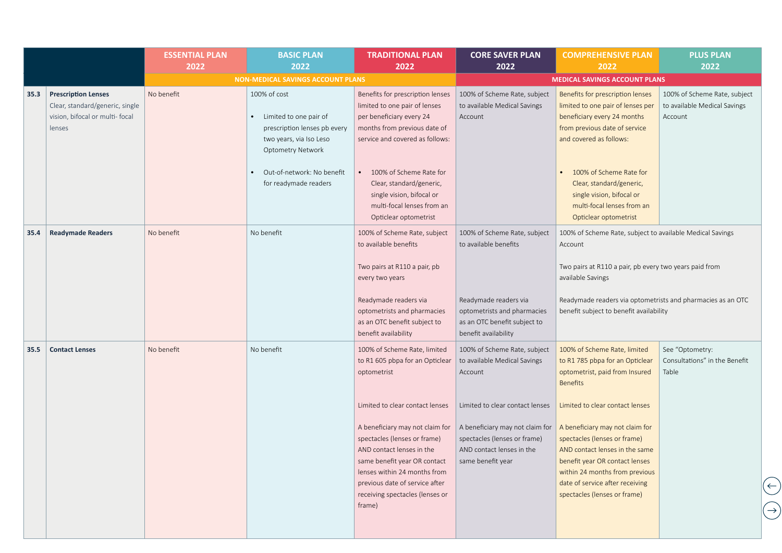|      |                                                                                                            | <b>ESSENTIAL PLAN</b><br>2022 | <b>BASIC PLAN</b><br>2022                                                                                                     | <b>TRADITIONAL PLAN</b><br>2022                                                                                                                                                                                                                                                | <b>CORE SAVER PLAN</b><br>2022                                                                                                                       | <b>COMPREHENSIVE PLAN</b><br>2022                                                                                                                                                                                                                                           | <b>PLUS PLAN</b><br>2022                                                |
|------|------------------------------------------------------------------------------------------------------------|-------------------------------|-------------------------------------------------------------------------------------------------------------------------------|--------------------------------------------------------------------------------------------------------------------------------------------------------------------------------------------------------------------------------------------------------------------------------|------------------------------------------------------------------------------------------------------------------------------------------------------|-----------------------------------------------------------------------------------------------------------------------------------------------------------------------------------------------------------------------------------------------------------------------------|-------------------------------------------------------------------------|
|      |                                                                                                            |                               | <b>NON-MEDICAL SAVINGS ACCOUNT PLANS</b>                                                                                      |                                                                                                                                                                                                                                                                                |                                                                                                                                                      | <b>MEDICAL SAVINGS ACCOUNT PLANS</b>                                                                                                                                                                                                                                        |                                                                         |
| 35.3 | <b>Prescription Lenses</b><br>Clear, standard/generic, single<br>vision, bifocal or multi- focal<br>lenses | No benefit                    | 100% of cost<br>Limited to one pair of<br>prescription lenses pb every<br>two years, via Iso Leso<br><b>Optometry Network</b> | Benefits for prescription lenses<br>limited to one pair of lenses<br>per beneficiary every 24<br>months from previous date of<br>service and covered as follows:                                                                                                               | 100% of Scheme Rate, subject<br>to available Medical Savings<br>Account                                                                              | Benefits for prescription lenses<br>limited to one pair of lenses per<br>beneficiary every 24 months<br>from previous date of service<br>and covered as follows:                                                                                                            | 100% of Scheme Rate, subject<br>to available Medical Savings<br>Account |
|      |                                                                                                            |                               | Out-of-network: No benefit<br>for readymade readers                                                                           | 100% of Scheme Rate for<br>Clear, standard/generic,<br>single vision, bifocal or<br>multi-focal lenses from an<br>Opticlear optometrist                                                                                                                                        |                                                                                                                                                      | 100% of Scheme Rate for<br>Clear, standard/generic,<br>single vision, bifocal or<br>multi-focal lenses from an<br>Opticlear optometrist                                                                                                                                     |                                                                         |
| 35.4 | <b>Readymade Readers</b>                                                                                   | No benefit                    | No benefit                                                                                                                    | 100% of Scheme Rate, subject<br>to available benefits<br>Two pairs at R110 a pair, pb<br>every two years                                                                                                                                                                       | 100% of Scheme Rate, subject<br>to available benefits                                                                                                | 100% of Scheme Rate, subject to available Medical Savings<br>Account<br>Two pairs at R110 a pair, pb every two years paid from<br>available Savings                                                                                                                         |                                                                         |
|      |                                                                                                            |                               |                                                                                                                               | Readymade readers via<br>optometrists and pharmacies<br>as an OTC benefit subject to<br>benefit availability                                                                                                                                                                   | Readymade readers via<br>optometrists and pharmacies<br>as an OTC benefit subject to<br>benefit availability                                         | Readymade readers via optometrists and pharmacies as an OTC<br>benefit subject to benefit availability                                                                                                                                                                      |                                                                         |
| 35.5 | <b>Contact Lenses</b>                                                                                      | No benefit                    | No benefit                                                                                                                    | 100% of Scheme Rate, limited<br>to R1 605 pbpa for an Opticlear<br>optometrist                                                                                                                                                                                                 | 100% of Scheme Rate, subject<br>to available Medical Savings<br>Account                                                                              | 100% of Scheme Rate, limited<br>to R1 785 pbpa for an Opticlear<br>optometrist, paid from Insured<br><b>Benefits</b>                                                                                                                                                        | See "Optometry:<br>Consultations" in the Benefit<br>Table               |
|      |                                                                                                            |                               |                                                                                                                               | Limited to clear contact lenses<br>A beneficiary may not claim for<br>spectacles (lenses or frame)<br>AND contact lenses in the<br>same benefit year OR contact<br>lenses within 24 months from<br>previous date of service after<br>receiving spectacles (lenses or<br>frame) | Limited to clear contact lenses<br>A beneficiary may not claim for<br>spectacles (lenses or frame)<br>AND contact lenses in the<br>same benefit year | Limited to clear contact lenses<br>A beneficiary may not claim for<br>spectacles (lenses or frame)<br>AND contact lenses in the same<br>benefit year OR contact lenses<br>within 24 months from previous<br>date of service after receiving<br>spectacles (lenses or frame) |                                                                         |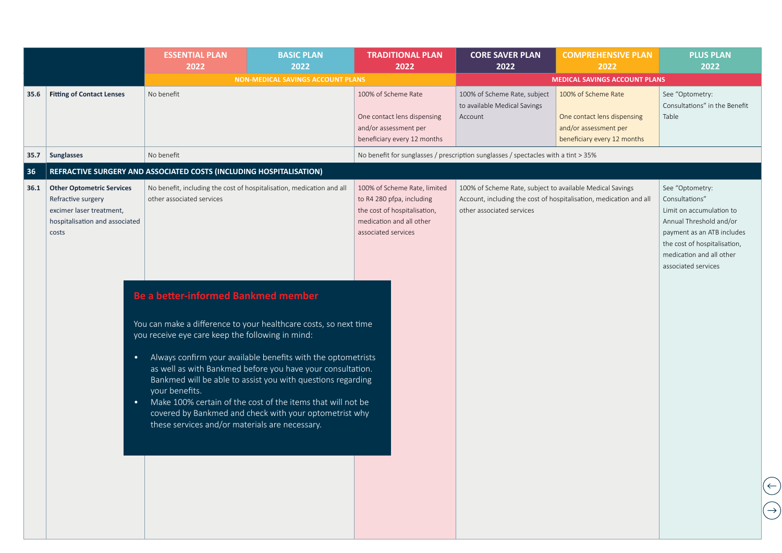|      |                                                                                                                               | <b>ESSENTIAL PLAN</b><br>2022                                                                                                                                                                                                          | <b>BASIC PLAN</b><br>2022                                                                                                                                                                                                                                                                                          | <b>TRADITIONAL PLAN</b><br>2022                                                                                                              | <b>CORE SAVER PLAN</b><br>2022                                                         | <b>COMPREHENSIVE PLAN</b><br>2022                                                                          | <b>PLUS PLAN</b><br>2022                                                                                                                                                                                  |
|------|-------------------------------------------------------------------------------------------------------------------------------|----------------------------------------------------------------------------------------------------------------------------------------------------------------------------------------------------------------------------------------|--------------------------------------------------------------------------------------------------------------------------------------------------------------------------------------------------------------------------------------------------------------------------------------------------------------------|----------------------------------------------------------------------------------------------------------------------------------------------|----------------------------------------------------------------------------------------|------------------------------------------------------------------------------------------------------------|-----------------------------------------------------------------------------------------------------------------------------------------------------------------------------------------------------------|
|      |                                                                                                                               |                                                                                                                                                                                                                                        | <b>NON-MEDICAL SAVINGS ACCOUNT PLANS</b>                                                                                                                                                                                                                                                                           |                                                                                                                                              |                                                                                        | <b>MEDICAL SAVINGS ACCOUNT PLANS</b>                                                                       |                                                                                                                                                                                                           |
| 35.6 | <b>Fitting of Contact Lenses</b>                                                                                              | No benefit                                                                                                                                                                                                                             |                                                                                                                                                                                                                                                                                                                    | 100% of Scheme Rate<br>One contact lens dispensing<br>and/or assessment per<br>beneficiary every 12 months                                   | 100% of Scheme Rate, subject<br>to available Medical Savings<br>Account                | 100% of Scheme Rate<br>One contact lens dispensing<br>and/or assessment per<br>beneficiary every 12 months | See "Optometry:<br>Consultations" in the Benefit<br>Table                                                                                                                                                 |
| 35.7 | <b>Sunglasses</b>                                                                                                             | No benefit                                                                                                                                                                                                                             |                                                                                                                                                                                                                                                                                                                    |                                                                                                                                              | No benefit for sunglasses / prescription sunglasses / spectacles with a tint > 35%     |                                                                                                            |                                                                                                                                                                                                           |
| 36   |                                                                                                                               | REFRACTIVE SURGERY AND ASSOCIATED COSTS (INCLUDING HOSPITALISATION)                                                                                                                                                                    |                                                                                                                                                                                                                                                                                                                    |                                                                                                                                              |                                                                                        |                                                                                                            |                                                                                                                                                                                                           |
| 36.1 | <b>Other Optometric Services</b><br>Refractive surgery<br>excimer laser treatment,<br>hospitalisation and associated<br>costs | No benefit, including the cost of hospitalisation, medication and all<br>other associated services                                                                                                                                     |                                                                                                                                                                                                                                                                                                                    | 100% of Scheme Rate, limited<br>to R4 280 pfpa, including<br>the cost of hospitalisation,<br>medication and all other<br>associated services | 100% of Scheme Rate, subject to available Medical Savings<br>other associated services | Account, including the cost of hospitalisation, medication and all                                         | See "Optometry:<br>Consultations"<br>Limit on accumulation to<br>Annual Threshold and/or<br>payment as an ATB includes<br>the cost of hospitalisation,<br>medication and all other<br>associated services |
|      | $\bullet$<br>$\bullet$                                                                                                        | <b>Be a better-informed Bankmed member</b><br>You can make a difference to your healthcare costs, so next time<br>you receive eye care keep the following in mind:<br>your benefits.<br>these services and/or materials are necessary. | Always confirm your available benefits with the optometrists<br>as well as with Bankmed before you have your consultation.<br>Bankmed will be able to assist you with questions regarding<br>Make 100% certain of the cost of the items that will not be<br>covered by Bankmed and check with your optometrist why |                                                                                                                                              |                                                                                        |                                                                                                            |                                                                                                                                                                                                           |
|      |                                                                                                                               |                                                                                                                                                                                                                                        |                                                                                                                                                                                                                                                                                                                    |                                                                                                                                              |                                                                                        |                                                                                                            |                                                                                                                                                                                                           |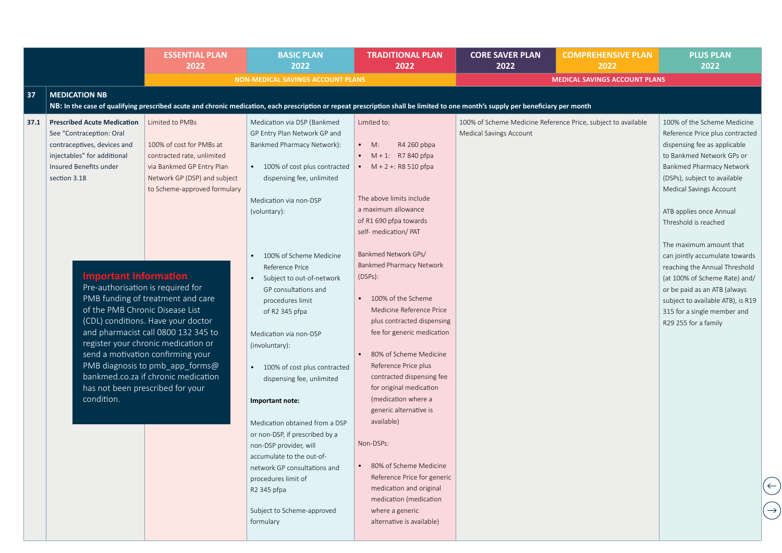|      |                                                                                                                                                        | <b>ESSENTIAL PLAN</b><br>2022                                                                                                                                                                                                                                        | <b>BASIC PLAN</b><br>2022                                                                                                                                                                                                                                                                                                                                       | <b>TRADITIONAL PLAN</b><br>2022                                                                                                                                                                                                                                                                                                                                        | <b>CORE SAVER PLAN</b><br>2022                                                           | <b>COMPREHENSIVE PLAN</b><br>2022    | <b>PLUS PLAN</b><br>2022                                                                                                                                                                                                     |
|------|--------------------------------------------------------------------------------------------------------------------------------------------------------|----------------------------------------------------------------------------------------------------------------------------------------------------------------------------------------------------------------------------------------------------------------------|-----------------------------------------------------------------------------------------------------------------------------------------------------------------------------------------------------------------------------------------------------------------------------------------------------------------------------------------------------------------|------------------------------------------------------------------------------------------------------------------------------------------------------------------------------------------------------------------------------------------------------------------------------------------------------------------------------------------------------------------------|------------------------------------------------------------------------------------------|--------------------------------------|------------------------------------------------------------------------------------------------------------------------------------------------------------------------------------------------------------------------------|
|      |                                                                                                                                                        |                                                                                                                                                                                                                                                                      | <b>NON-MEDICAL SAVINGS ACCOUNT PLANS</b>                                                                                                                                                                                                                                                                                                                        |                                                                                                                                                                                                                                                                                                                                                                        |                                                                                          | <b>MEDICAL SAVINGS ACCOUNT PLANS</b> |                                                                                                                                                                                                                              |
| 37   | <b>MEDICATION NB</b>                                                                                                                                   |                                                                                                                                                                                                                                                                      |                                                                                                                                                                                                                                                                                                                                                                 |                                                                                                                                                                                                                                                                                                                                                                        |                                                                                          |                                      |                                                                                                                                                                                                                              |
|      |                                                                                                                                                        |                                                                                                                                                                                                                                                                      | NB: In the case of qualifying prescribed acute and chronic medication, each prescription or repeat prescription shall be limited to one month's supply per beneficiary per month                                                                                                                                                                                |                                                                                                                                                                                                                                                                                                                                                                        |                                                                                          |                                      |                                                                                                                                                                                                                              |
| 37.1 | <b>Prescribed Acute Medication</b><br>See "Contraception: Oral<br>contraceptives, devices and<br>injectables" for additional<br>Insured Benefits under | Limited to PMBs<br>100% of cost for PMBs at<br>contracted rate, unlimited<br>via Bankmed GP Entry Plan                                                                                                                                                               | Medication via DSP (Bankmed<br>GP Entry Plan Network GP and<br>Bankmed Pharmacy Network):<br>• 100% of cost plus contracted                                                                                                                                                                                                                                     | Limited to:<br>R4 260 pbpa<br>$\bullet$ M:<br>• $M + 1$ : R7 840 pfpa<br>$M + 2 + 1$ : R8 510 pfpa                                                                                                                                                                                                                                                                     | 100% of Scheme Medicine Reference Price, subject to available<br>Medical Savings Account |                                      | 100% of the Scheme Medicine<br>Reference Price plus contracted<br>dispensing fee as applicable<br>to Bankmed Network GPs or<br>Bankmed Pharmacy Network                                                                      |
|      | section 3.18                                                                                                                                           | Network GP (DSP) and subject<br>to Scheme-approved formulary                                                                                                                                                                                                         | dispensing fee, unlimited<br>Medication via non-DSP<br>(voluntary):                                                                                                                                                                                                                                                                                             | The above limits include<br>a maximum allowance<br>of R1 690 pfpa towards<br>self- medication/ PAT                                                                                                                                                                                                                                                                     |                                                                                          |                                      | (DSPs), subject to available<br>Medical Savings Account<br>ATB applies once Annual<br>Threshold is reached<br>The maximum amount that                                                                                        |
|      | <b>Important Information</b><br>Pre-authorisation is required for<br>of the PMB Chronic Disease List<br>has not been prescribed for your<br>condition. | PMB funding of treatment and care<br>(CDL) conditions. Have your doctor<br>and pharmacist call 0800 132 345 to<br>register your chronic medication or<br>send a motivation confirming your<br>PMB diagnosis to pmb_app_forms@<br>bankmed.co.za if chronic medication | 100% of Scheme Medicine<br>Reference Price<br>Subject to out-of-network<br>GP consultations and<br>procedures limit<br>of R2 345 pfpa<br>Medication via non-DSP<br>(involuntary):<br>100% of cost plus contracted<br>dispensing fee, unlimited<br>Important note:<br>Medication obtained from a DSP<br>or non-DSP, if prescribed by a<br>non-DSP provider, will | Bankmed Network GPs/<br><b>Bankmed Pharmacy Network</b><br>(DSPs):<br>100% of the Scheme<br>Medicine Reference Price<br>plus contracted dispensing<br>fee for generic medication<br>80% of Scheme Medicine<br>Reference Price plus<br>contracted dispensing fee<br>for original medication<br>(medication where a<br>generic alternative is<br>available)<br>Non-DSPs: |                                                                                          |                                      | can jointly accumulate towards<br>reaching the Annual Threshold<br>(at 100% of Scheme Rate) and/<br>or be paid as an ATB (always<br>subject to available ATB), is R19<br>315 for a single member and<br>R29 255 for a family |
|      |                                                                                                                                                        |                                                                                                                                                                                                                                                                      | accumulate to the out-of-<br>network GP consultations and<br>procedures limit of<br>R2 345 pfpa<br>Subject to Scheme-approved<br>formulary                                                                                                                                                                                                                      | 80% of Scheme Medicine<br>Reference Price for generic<br>medication and original<br>medication (medication<br>where a generic<br>alternative is available)                                                                                                                                                                                                             |                                                                                          |                                      |                                                                                                                                                                                                                              |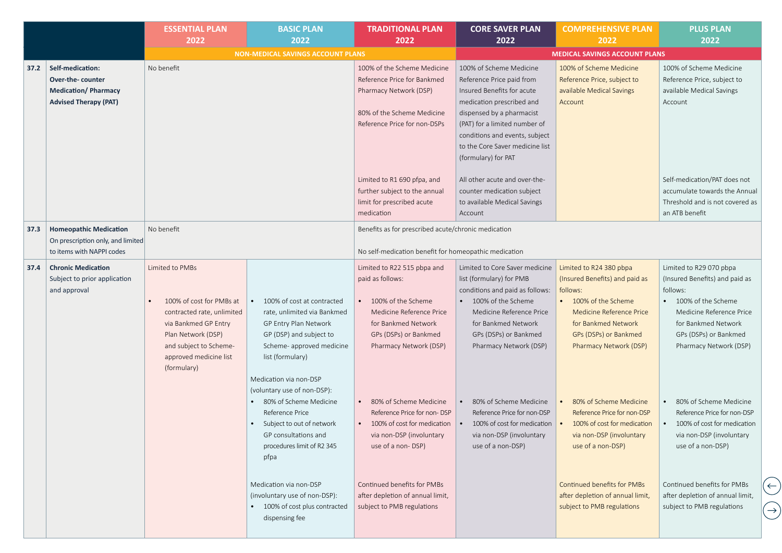|      |                                                                                                    | <b>ESSENTIAL PLAN</b><br>2022                                                                                                                                                              | <b>BASIC PLAN</b><br>2022                                                                                                                                                                                                                                                                                                                                         | <b>TRADITIONAL PLAN</b><br>2022                                                                                                                                                                                                                                                                                      | <b>CORE SAVER PLAN</b><br>2022                                                                                                                                                                                                                                                                                                                                     | <b>COMPREHENSIVE PLAN</b><br>2022                                                                                                                                                                                                                                                                                                          | <b>PLUS PLAN</b><br>2022                                                                                                                                                                                                                                                                                                                   |
|------|----------------------------------------------------------------------------------------------------|--------------------------------------------------------------------------------------------------------------------------------------------------------------------------------------------|-------------------------------------------------------------------------------------------------------------------------------------------------------------------------------------------------------------------------------------------------------------------------------------------------------------------------------------------------------------------|----------------------------------------------------------------------------------------------------------------------------------------------------------------------------------------------------------------------------------------------------------------------------------------------------------------------|--------------------------------------------------------------------------------------------------------------------------------------------------------------------------------------------------------------------------------------------------------------------------------------------------------------------------------------------------------------------|--------------------------------------------------------------------------------------------------------------------------------------------------------------------------------------------------------------------------------------------------------------------------------------------------------------------------------------------|--------------------------------------------------------------------------------------------------------------------------------------------------------------------------------------------------------------------------------------------------------------------------------------------------------------------------------------------|
|      |                                                                                                    |                                                                                                                                                                                            | <b>NON-MEDICAL SAVINGS ACCOUNT PLANS</b>                                                                                                                                                                                                                                                                                                                          |                                                                                                                                                                                                                                                                                                                      |                                                                                                                                                                                                                                                                                                                                                                    | <b>MEDICAL SAVINGS ACCOUNT PLANS</b>                                                                                                                                                                                                                                                                                                       |                                                                                                                                                                                                                                                                                                                                            |
| 37.2 | Self-medication:<br>Over-the-counter<br><b>Medication/Pharmacy</b><br><b>Advised Therapy (PAT)</b> | No benefit                                                                                                                                                                                 |                                                                                                                                                                                                                                                                                                                                                                   | 100% of the Scheme Medicine<br>Reference Price for Bankmed<br>Pharmacy Network (DSP)<br>80% of the Scheme Medicine<br>Reference Price for non-DSPs                                                                                                                                                                   | 100% of Scheme Medicine<br>Reference Price paid from<br>Insured Benefits for acute<br>medication prescribed and<br>dispensed by a pharmacist<br>(PAT) for a limited number of<br>conditions and events, subject<br>to the Core Saver medicine list<br>(formulary) for PAT                                                                                          | 100% of Scheme Medicine<br>Reference Price, subject to<br>available Medical Savings<br>Account                                                                                                                                                                                                                                             | 100% of Scheme Medicine<br>Reference Price, subject to<br>available Medical Savings<br>Account                                                                                                                                                                                                                                             |
|      |                                                                                                    |                                                                                                                                                                                            |                                                                                                                                                                                                                                                                                                                                                                   | Limited to R1 690 pfpa, and<br>further subject to the annual<br>limit for prescribed acute<br>medication                                                                                                                                                                                                             | All other acute and over-the-<br>counter medication subject<br>to available Medical Savings<br>Account                                                                                                                                                                                                                                                             |                                                                                                                                                                                                                                                                                                                                            | Self-medication/PAT does not<br>accumulate towards the Annual<br>Threshold and is not covered as<br>an ATB benefit                                                                                                                                                                                                                         |
| 37.3 | <b>Homeopathic Medication</b><br>On prescription only, and limited<br>to items with NAPPI codes    | No benefit                                                                                                                                                                                 |                                                                                                                                                                                                                                                                                                                                                                   | Benefits as for prescribed acute/chronic medication<br>No self-medication benefit for homeopathic medication                                                                                                                                                                                                         |                                                                                                                                                                                                                                                                                                                                                                    |                                                                                                                                                                                                                                                                                                                                            |                                                                                                                                                                                                                                                                                                                                            |
| 37.4 | <b>Chronic Medication</b><br>Subject to prior application<br>and approval                          | Limited to PMBs<br>100% of cost for PMBs at<br>contracted rate, unlimited<br>via Bankmed GP Entry<br>Plan Network (DSP)<br>and subject to Scheme-<br>approved medicine list<br>(formulary) | 100% of cost at contracted<br>rate, unlimited via Bankmed<br>GP Entry Plan Network<br>GP (DSP) and subject to<br>Scheme- approved medicine<br>list (formulary)<br>Medication via non-DSP<br>(voluntary use of non-DSP):<br>• 80% of Scheme Medicine<br>Reference Price<br>Subject to out of network<br>GP consultations and<br>procedures limit of R2 345<br>pfpa | Limited to R22 515 pbpa and<br>paid as follows:<br>100% of the Scheme<br>Medicine Reference Price<br>for Bankmed Network<br>GPs (DSPs) or Bankmed<br>Pharmacy Network (DSP)<br>80% of Scheme Medicine<br>Reference Price for non-DSP<br>100% of cost for medication<br>via non-DSP (involuntary<br>use of a non-DSP) | Limited to Core Saver medicine<br>list (formulary) for PMB<br>conditions and paid as follows:<br>100% of the Scheme<br>Medicine Reference Price<br>for Bankmed Network<br>GPs (DSPs) or Bankmed<br>Pharmacy Network (DSP)<br>80% of Scheme Medicine<br>Reference Price for non-DSP<br>100% of cost for medication<br>via non-DSP (involuntary<br>use of a non-DSP) | Limited to R24 380 pbpa<br>(Insured Benefits) and paid as<br>follows:<br>100% of the Scheme<br>Medicine Reference Price<br>for Bankmed Network<br>GPs (DSPs) or Bankmed<br>Pharmacy Network (DSP)<br>80% of Scheme Medicine<br>Reference Price for non-DSP<br>100% of cost for medication<br>via non-DSP (involuntary<br>use of a non-DSP) | Limited to R29 070 pbpa<br>(Insured Benefits) and paid as<br>follows:<br>100% of the Scheme<br>Medicine Reference Price<br>for Bankmed Network<br>GPs (DSPs) or Bankmed<br>Pharmacy Network (DSP)<br>80% of Scheme Medicine<br>Reference Price for non-DSP<br>100% of cost for medication<br>via non-DSP (involuntary<br>use of a non-DSP) |
|      |                                                                                                    |                                                                                                                                                                                            | Medication via non-DSP<br>(involuntary use of non-DSP):<br>• 100% of cost plus contracted<br>dispensing fee                                                                                                                                                                                                                                                       | Continued benefits for PMBs<br>after depletion of annual limit,<br>subject to PMB regulations                                                                                                                                                                                                                        |                                                                                                                                                                                                                                                                                                                                                                    | <b>Continued benefits for PMBs</b><br>after depletion of annual limit,<br>subject to PMB regulations                                                                                                                                                                                                                                       | Continued benefits for PMBs<br>after depletion of annual limit,<br>subject to PMB regulations                                                                                                                                                                                                                                              |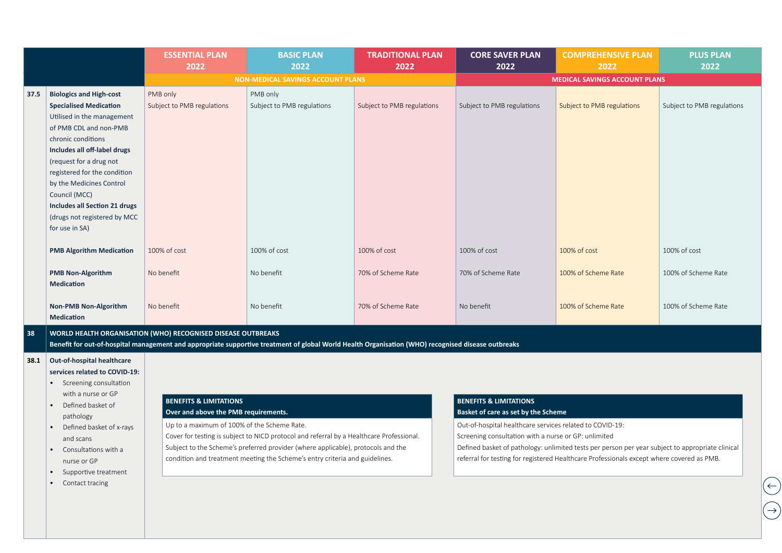|      |                                 | <b>ESSENTIAL PLAN</b><br>2022                                | <b>BASIC PLAN</b><br>2022                                                                                                                          | <b>TRADITIONAL PLAN</b><br>2022 | <b>CORE SAVER PLAN</b><br>2022 | <b>COMPREHENSIVE PLAN</b><br>2022    | <b>PLUS PLAN</b><br>2022   |
|------|---------------------------------|--------------------------------------------------------------|----------------------------------------------------------------------------------------------------------------------------------------------------|---------------------------------|--------------------------------|--------------------------------------|----------------------------|
|      |                                 |                                                              | <b>NON-MEDICAL SAVINGS ACCOUNT PLANS</b>                                                                                                           |                                 |                                | <b>MEDICAL SAVINGS ACCOUNT PLANS</b> |                            |
| 37.5 | <b>Biologics and High-cost</b>  | PMB only                                                     | PMB only                                                                                                                                           |                                 |                                |                                      |                            |
|      | <b>Specialised Medication</b>   | Subject to PMB regulations                                   | Subject to PMB regulations                                                                                                                         | Subject to PMB regulations      | Subject to PMB regulations     | Subject to PMB regulations           | Subject to PMB regulations |
|      | Utilised in the management      |                                                              |                                                                                                                                                    |                                 |                                |                                      |                            |
|      | of PMB CDL and non-PMB          |                                                              |                                                                                                                                                    |                                 |                                |                                      |                            |
|      | chronic conditions              |                                                              |                                                                                                                                                    |                                 |                                |                                      |                            |
|      | Includes all off-label drugs    |                                                              |                                                                                                                                                    |                                 |                                |                                      |                            |
|      | (request for a drug not         |                                                              |                                                                                                                                                    |                                 |                                |                                      |                            |
|      | registered for the condition    |                                                              |                                                                                                                                                    |                                 |                                |                                      |                            |
|      | by the Medicines Control        |                                                              |                                                                                                                                                    |                                 |                                |                                      |                            |
|      | Council (MCC)                   |                                                              |                                                                                                                                                    |                                 |                                |                                      |                            |
|      | Includes all Section 21 drugs   |                                                              |                                                                                                                                                    |                                 |                                |                                      |                            |
|      | (drugs not registered by MCC    |                                                              |                                                                                                                                                    |                                 |                                |                                      |                            |
|      | for use in SA)                  |                                                              |                                                                                                                                                    |                                 |                                |                                      |                            |
|      |                                 |                                                              |                                                                                                                                                    |                                 |                                |                                      |                            |
|      | <b>PMB Algorithm Medication</b> | 100% of cost                                                 | 100% of cost                                                                                                                                       | 100% of cost                    | 100% of cost                   | 100% of cost                         | 100% of cost               |
|      |                                 |                                                              |                                                                                                                                                    |                                 |                                |                                      |                            |
|      | <b>PMB Non-Algorithm</b>        | No benefit                                                   | No benefit                                                                                                                                         | 70% of Scheme Rate              | 70% of Scheme Rate             | 100% of Scheme Rate                  | 100% of Scheme Rate        |
|      | <b>Medication</b>               |                                                              |                                                                                                                                                    |                                 |                                |                                      |                            |
|      |                                 |                                                              |                                                                                                                                                    |                                 |                                |                                      |                            |
|      | <b>Non-PMB Non-Algorithm</b>    | No benefit                                                   | No benefit                                                                                                                                         | 70% of Scheme Rate              | No benefit                     | 100% of Scheme Rate                  | 100% of Scheme Rate        |
|      | <b>Medication</b>               |                                                              |                                                                                                                                                    |                                 |                                |                                      |                            |
| 38   |                                 | WORLD HEALTH ORGANISATION (WHO) RECOGNISED DISEASE OUTBREAKS |                                                                                                                                                    |                                 |                                |                                      |                            |
|      |                                 |                                                              | Benefit for out-of-hospital management and appropriate supportive treatment of global World Health Organisation (WHO) recognised disease outbreaks |                                 |                                |                                      |                            |
| 38.1 | Out-of-hospital healthcare      |                                                              |                                                                                                                                                    |                                 |                                |                                      |                            |
|      | services related to COVID-19:   |                                                              |                                                                                                                                                    |                                 |                                |                                      |                            |

• Screening consultation with a nurse or GP

**BENEFITS & LIMITATIONS**

**Over and above the PMB requirements.** Up to a maximum of 100% of the Scheme Rate.

Cover for testing is subject to NICD protocol and referral by a Healthcare Professional. Subject to the Scheme's preferred provider (where applicable), protocols and the condition and treatment meeting the Scheme's entry criteria and guidelines.

- Defined basket of pathology
- Defined basket of x-rays and scans
- Consultations with a nurse or GP
- Supportive treatment
- Contact tracing

## **BENEFITS & LIMITATIONS**

## **Basket of care as set by the Scheme**

Out-of-hospital healthcare services related to COVID-19:

Screening consultation with a nurse or GP: unlimited

Defined basket of pathology: unlimited tests per person per year subject to appropriate clinical referral for testing for registered Healthcare Professionals except where covered as PMB.

 $\bigoplus$ 

 $(\rightarrow)$